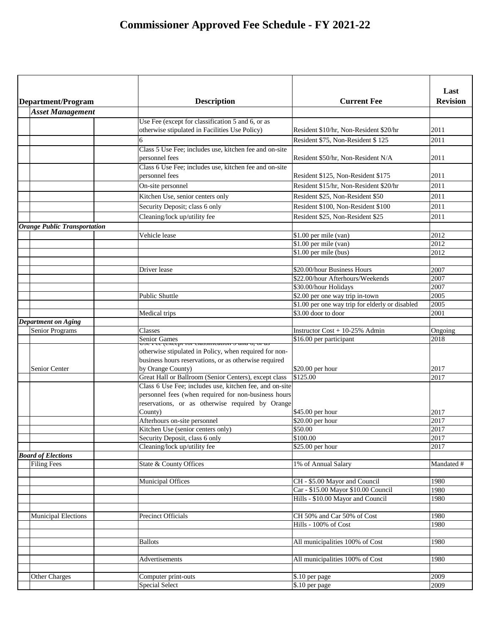| Department/Program                                   | <b>Description</b>                                                       | <b>Current Fee</b>                                           | Last<br><b>Revision</b> |
|------------------------------------------------------|--------------------------------------------------------------------------|--------------------------------------------------------------|-------------------------|
| <b>Asset Management</b>                              |                                                                          |                                                              |                         |
|                                                      | Use Fee (except for classification 5 and 6, or as                        |                                                              |                         |
|                                                      | otherwise stipulated in Facilities Use Policy)                           | Resident \$10/hr, Non-Resident \$20/hr                       | 2011                    |
|                                                      | 6                                                                        | Resident \$75, Non-Resident \$125                            | 2011                    |
|                                                      | Class 5 Use Fee; includes use, kitchen fee and on-site                   |                                                              |                         |
|                                                      | personnel fees                                                           | Resident \$50/hr, Non-Resident N/A                           | 2011                    |
|                                                      | Class 6 Use Fee; includes use, kitchen fee and on-site<br>personnel fees | Resident \$125, Non-Resident \$175                           | 2011                    |
|                                                      | On-site personnel                                                        | Resident \$15/hr, Non-Resident \$20/hr                       | 2011                    |
|                                                      | Kitchen Use, senior centers only                                         | Resident \$25, Non-Resident \$50                             | 2011                    |
|                                                      |                                                                          |                                                              |                         |
|                                                      | Security Deposit; class 6 only                                           | Resident \$100, Non-Resident \$100                           | 2011                    |
|                                                      | Cleaning/lock up/utility fee                                             | Resident \$25, Non-Resident \$25                             | 2011                    |
| <b>Orange Public Transportation</b>                  |                                                                          |                                                              |                         |
|                                                      | Vehicle lease                                                            | \$1.00 per mile (van)                                        | 2012                    |
|                                                      |                                                                          | $$1.00$ per mile (van)                                       | 2012                    |
|                                                      |                                                                          | $$1.00$ per mile (bus)                                       | 2012                    |
|                                                      |                                                                          |                                                              |                         |
|                                                      | Driver lease                                                             | \$20.00/hour Business Hours                                  | 2007                    |
|                                                      |                                                                          | \$22.00/hour Afterhours/Weekends                             | 2007                    |
|                                                      |                                                                          | \$30.00/hour Holidays                                        | 2007                    |
|                                                      | <b>Public Shuttle</b>                                                    | \$2.00 per one way trip in-town                              | 2005                    |
|                                                      |                                                                          | \$1.00 per one way trip for elderly or disabled              | 2005                    |
|                                                      | Medical trips                                                            | \$3.00 door to door                                          | 2001                    |
| <b>Department on Aging</b><br><b>Senior Programs</b> | Classes                                                                  |                                                              |                         |
|                                                      |                                                                          | Instructor $Cost + 10-25\%$ Admin<br>\$16.00 per participant | Ongoing<br>2018         |
|                                                      | Senior Games<br>Coc Tee (except for enassification 5 and 0,              |                                                              |                         |
|                                                      | otherwise stipulated in Policy, when required for non-                   |                                                              |                         |
|                                                      | business hours reservations, or as otherwise required                    |                                                              |                         |
| Senior Center                                        | by Orange County)                                                        | \$20.00 per hour                                             | 2017                    |
|                                                      | Great Hall or Ballroom (Senior Centers), except class                    | \$125.00                                                     | 2017                    |
|                                                      | Class 6 Use Fee; includes use, kitchen fee, and on-site                  |                                                              |                         |
|                                                      | personnel fees (when required for non-business hours                     |                                                              |                         |
|                                                      | reservations, or as otherwise required by Orange                         |                                                              |                         |
|                                                      | County)                                                                  | \$45.00 per hour                                             | 2017                    |
|                                                      | Afterhours on-site personnel                                             | \$20.00 per hour                                             | 2017                    |
|                                                      | Kitchen Use (senior centers only)                                        | \$50.00<br>\$100.00                                          | 2017<br>2017            |
|                                                      | Security Deposit, class 6 only                                           | \$25.00 per hour                                             | 2017                    |
| <b>Board of Elections</b>                            | Cleaning/lock up/utility fee                                             |                                                              |                         |
| <b>Filing Fees</b>                                   | State & County Offices                                                   | 1% of Annual Salary                                          | Mandated #              |
|                                                      |                                                                          |                                                              |                         |
|                                                      | <b>Municipal Offices</b>                                                 | CH - \$5.00 Mayor and Council                                | 1980                    |
|                                                      |                                                                          | Car - \$15.00 Mayor \$10.00 Council                          | 1980                    |
|                                                      |                                                                          | Hills - \$10.00 Mayor and Council                            | 1980                    |
|                                                      |                                                                          |                                                              |                         |
| <b>Municipal Elections</b>                           | <b>Precinct Officials</b>                                                | CH 50% and Car 50% of Cost                                   | 1980                    |
|                                                      |                                                                          | Hills - 100% of Cost                                         | 1980                    |
|                                                      |                                                                          |                                                              |                         |
|                                                      | <b>Ballots</b>                                                           | All municipalities 100% of Cost                              | 1980                    |
|                                                      |                                                                          |                                                              |                         |
|                                                      | <b>Advertisements</b>                                                    | All municipalities 100% of Cost                              | 1980                    |
|                                                      |                                                                          |                                                              |                         |
| <b>Other Charges</b>                                 | Computer print-outs                                                      | \$.10 per page                                               | 2009                    |
|                                                      | <b>Special Select</b>                                                    | \$.10 per page                                               | 2009                    |
|                                                      |                                                                          |                                                              |                         |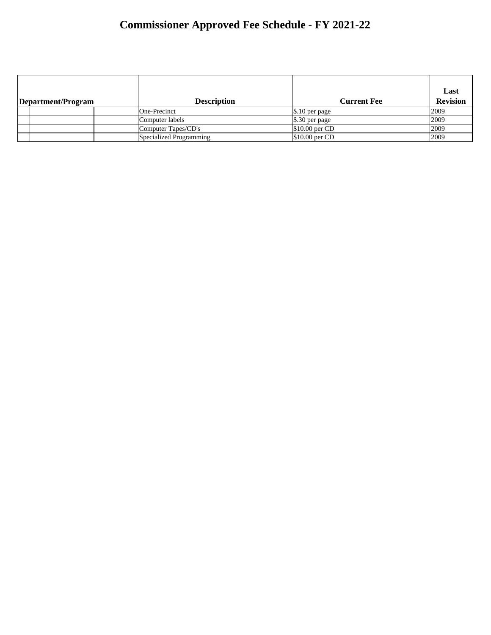| Department/Program | <b>Description</b>      | <b>Current Fee</b> | Last<br><b>Revision</b> |
|--------------------|-------------------------|--------------------|-------------------------|
|                    | One-Precinct            | $\$\,10$ per page  | 2009                    |
|                    | Computer labels         | $\$\,30$ per page  | 2009                    |
|                    | Computer Tapes/CD's     | $$10.00$ per CD    | 2009                    |
|                    | Specialized Programming | $$10.00$ per CD    | 2009                    |
|                    |                         |                    |                         |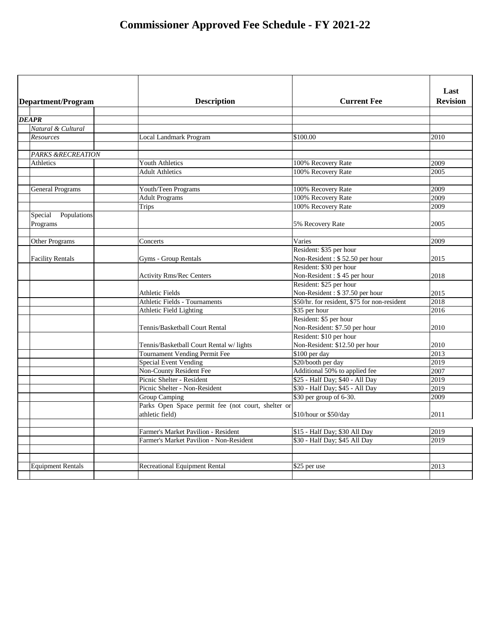| Department/Program                 | <b>Description</b>                                 | <b>Current Fee</b>                                        | Last<br><b>Revision</b> |
|------------------------------------|----------------------------------------------------|-----------------------------------------------------------|-------------------------|
| <b>DEAPR</b>                       |                                                    |                                                           |                         |
| Natural & Cultural                 |                                                    |                                                           |                         |
| Resources                          | <b>Local Landmark Program</b>                      | \$100.00                                                  | 2010                    |
|                                    |                                                    |                                                           |                         |
| <b>PARKS &amp;RECREATION</b>       |                                                    |                                                           |                         |
| Athletics                          | <b>Youth Athletics</b>                             | 100% Recovery Rate                                        | 2009                    |
|                                    | <b>Adult Athletics</b>                             | 100% Recovery Rate                                        | 2005                    |
|                                    |                                                    |                                                           |                         |
| <b>General Programs</b>            | Youth/Teen Programs                                | 100% Recovery Rate                                        | 2009                    |
|                                    | <b>Adult Programs</b>                              | 100% Recovery Rate                                        | 2009                    |
|                                    | <b>Trips</b>                                       | 100% Recovery Rate                                        | 2009                    |
| Special<br>Populations<br>Programs |                                                    | 5% Recovery Rate                                          | 2005                    |
|                                    |                                                    |                                                           |                         |
| Other Programs                     | Concerts                                           | Varies                                                    | 2009                    |
|                                    |                                                    | Resident: \$35 per hour<br>Non-Resident: \$52.50 per hour | 2015                    |
| <b>Facility Rentals</b>            | Gyms - Group Rentals                               | Resident: \$30 per hour                                   |                         |
|                                    | <b>Activity Rms/Rec Centers</b>                    | Non-Resident: \$45 per hour                               | 2018                    |
|                                    |                                                    | Resident: \$25 per hour                                   |                         |
|                                    | <b>Athletic Fields</b>                             | Non-Resident: \$37.50 per hour                            | 2015                    |
|                                    | <b>Athletic Fields - Tournaments</b>               | \$50/hr. for resident, \$75 for non-resident              | 2018                    |
|                                    | Athletic Field Lighting                            | \$35 per hour                                             | 2016                    |
|                                    |                                                    | Resident: \$5 per hour                                    |                         |
|                                    | Tennis/Basketball Court Rental                     | Non-Resident: \$7.50 per hour                             | 2010                    |
|                                    |                                                    | Resident: \$10 per hour                                   |                         |
|                                    | Tennis/Basketball Court Rental w/lights            | Non-Resident: \$12.50 per hour                            | 2010                    |
|                                    | Tournament Vending Permit Fee                      | \$100 per day                                             | 2013                    |
|                                    | <b>Special Event Vending</b>                       | \$20/booth per day                                        | 2019                    |
|                                    | <b>Non-County Resident Fee</b>                     | Additional 50% to applied fee                             | 2007                    |
|                                    | Picnic Shelter - Resident                          | \$25 - Half Day; \$40 - All Day                           | 2019                    |
|                                    | Picnic Shelter - Non-Resident                      | \$30 - Half Day; \$45 - All Day                           | 2019                    |
|                                    | Group Camping                                      | \$30 per group of 6-30.                                   | 2009                    |
|                                    | Parks Open Space permit fee (not court, shelter or |                                                           |                         |
|                                    | athletic field)                                    | \$10/hour or \$50/day                                     | 2011                    |
|                                    |                                                    |                                                           |                         |
|                                    | Farmer's Market Pavilion - Resident                | \$15 - Half Day; \$30 All Day                             | 2019                    |
|                                    | Farmer's Market Pavilion - Non-Resident            | \$30 - Half Day; \$45 All Day                             | 2019                    |
|                                    |                                                    |                                                           |                         |
|                                    |                                                    |                                                           |                         |
| <b>Equipment Rentals</b>           | <b>Recreational Equipment Rental</b>               | $$25$ per use                                             | 2013                    |
|                                    |                                                    |                                                           |                         |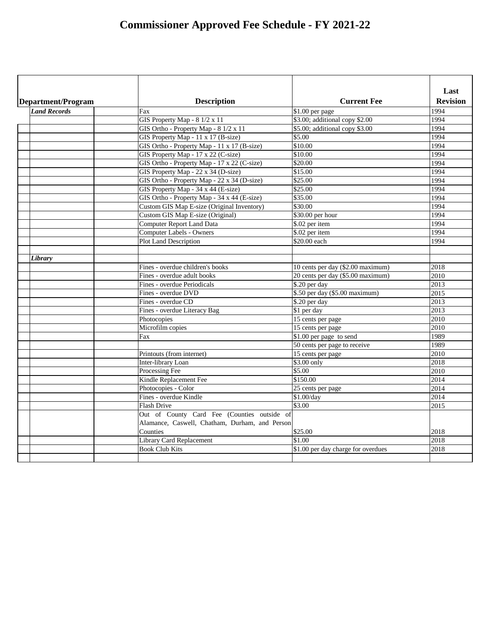| Department/Program  | <b>Description</b>                             | <b>Current Fee</b>                 | Last<br><b>Revision</b> |
|---------------------|------------------------------------------------|------------------------------------|-------------------------|
| <b>Land Records</b> | Fax                                            | \$1.00 per page                    | 1994                    |
|                     | GIS Property Map - $8 \frac{1}{2} \times 11$   | \$3.00; additional copy \$2.00     | 1994                    |
|                     | GIS Ortho - Property Map - 8 1/2 x 11          | \$5.00; additional copy \$3.00     | 1994                    |
|                     | GIS Property Map - 11 x 17 (B-size)            | \$5.00                             | 1994                    |
|                     | GIS Ortho - Property Map - 11 x 17 (B-size)    | \$10.00                            | 1994                    |
|                     | GIS Property Map - 17 x 22 (C-size)            | \$10.00                            | 1994                    |
|                     | GIS Ortho - Property Map - 17 x 22 (C-size)    | \$20.00                            | 1994                    |
|                     | GIS Property Map - 22 x 34 (D-size)            | \$15.00                            | 1994                    |
|                     | GIS Ortho - Property Map - 22 x 34 (D-size)    | \$25.00                            | 1994                    |
|                     | GIS Property Map - 34 x 44 (E-size)            | \$25.00                            | 1994                    |
|                     | GIS Ortho - Property Map - 34 x 44 (E-size)    | \$35.00                            | 1994                    |
|                     | Custom GIS Map E-size (Original Inventory)     | \$30.00                            | 1994                    |
|                     | Custom GIS Map E-size (Original)               | \$30.00 per hour                   | 1994                    |
|                     | <b>Computer Report Land Data</b>               | \$.02 per item                     | 1994                    |
|                     | <b>Computer Labels - Owners</b>                | \$.02 per item                     | 1994                    |
|                     | <b>Plot Land Description</b>                   | \$20.00 each                       | 1994                    |
|                     |                                                |                                    |                         |
| Library             |                                                |                                    |                         |
|                     | Fines - overdue children's books               | 10 cents per day (\$2.00 maximum)  | 2018                    |
|                     | Fines - overdue adult books                    | 20 cents per day (\$5.00 maximum)  | 2010                    |
|                     | <b>Fines - overdue Periodicals</b>             | \$.20 per day                      | 2013                    |
|                     | Fines - overdue DVD                            | \$.50 per day (\$5.00 maximum)     | 2015                    |
|                     | Fines - overdue CD                             | \$.20 per day                      | 2013                    |
|                     | Fines - overdue Literacy Bag                   | \$1 per day                        | 2013                    |
|                     | Photocopies                                    | 15 cents per page                  | 2010                    |
|                     | Microfilm copies                               | 15 cents per page                  | 2010                    |
|                     | Fax                                            | $$1.00$ per page to send           | 1989                    |
|                     |                                                | 50 cents per page to receive       | 1989                    |
|                     | Printouts (from internet)                      | 15 cents per page                  | 2010                    |
|                     | Inter-library Loan                             | \$3.00 only                        | 2018                    |
|                     | Processing Fee                                 | \$5.00                             | 2010                    |
|                     | Kindle Replacement Fee                         | \$150.00                           | 2014                    |
|                     | Photocopies - Color                            | 25 cents per page                  | 2014                    |
|                     | Fines - overdue Kindle                         | \$1.00/day                         | 2014                    |
|                     | <b>Flash Drive</b>                             | \$3.00                             | 2015                    |
|                     | Out of County Card Fee (Counties outside of    |                                    |                         |
|                     | Alamance, Caswell, Chatham, Durham, and Person |                                    |                         |
|                     | Counties                                       | \$25.00                            | 2018                    |
|                     | <b>Library Card Replacement</b>                | \$1.00                             | 2018                    |
|                     | <b>Book Club Kits</b>                          | \$1.00 per day charge for overdues | 2018                    |
|                     |                                                |                                    |                         |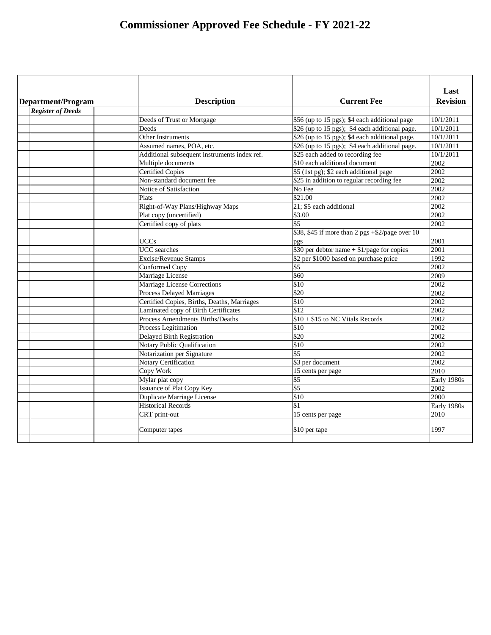| Department/Program       | <b>Description</b>                           | <b>Current Fee</b>                                 | Last<br><b>Revision</b> |
|--------------------------|----------------------------------------------|----------------------------------------------------|-------------------------|
| <b>Register of Deeds</b> |                                              |                                                    |                         |
|                          | Deeds of Trust or Mortgage                   | \$56 (up to 15 pgs); \$4 each additional page      | 10/1/2011               |
|                          | Deeds                                        | \$26 (up to 15 pgs); \$4 each additional page.     | 10/1/2011               |
|                          | <b>Other Instruments</b>                     | \$26 (up to 15 pgs); \$4 each additional page.     | 10/1/2011               |
|                          | Assumed names, POA, etc.                     | \$26 (up to 15 pgs); \$4 each additional page.     | 10/1/2011               |
|                          | Additional subsequent instruments index ref. | \$25 each added to recording fee                   | 10/1/2011               |
|                          | Multiple documents                           | \$10 each additional document                      | 2002                    |
|                          | <b>Certified Copies</b>                      | \$5 (1st pg); \$2 each additional page             | 2002                    |
|                          | Non-standard document fee                    | \$25 in addition to regular recording fee          | 2002                    |
|                          | Notice of Satisfaction                       | No Fee                                             | 2002                    |
|                          | Plats                                        | \$21.00                                            | 2002                    |
|                          | Right-of-Way Plans/Highway Maps              | 21; \$5 each additional                            | 2002                    |
|                          | Plat copy (uncertified)                      | \$3.00                                             | 2002                    |
|                          | Certified copy of plats                      | \$5                                                | 2002                    |
|                          |                                              | \$38, \$45 if more than 2 pgs $+$ \$2/page over 10 |                         |
|                          | <b>UCCs</b>                                  | pgs                                                | 2001                    |
|                          | <b>UCC</b> searches                          | \$30 per debtor name $+$ \$1/page for copies       | 2001                    |
|                          | <b>Excise/Revenue Stamps</b>                 | \$2 per \$1000 based on purchase price             | 1992                    |
|                          | Conformed Copy                               | \$5                                                | 2002                    |
|                          | Marriage License                             | \$60                                               | 2009                    |
|                          | <b>Marriage License Corrections</b>          | \$10                                               | 2002                    |
|                          | <b>Process Delayed Marriages</b>             | \$20                                               | 2002                    |
|                          | Certified Copies, Births, Deaths, Marriages  | \$10                                               | 2002                    |
|                          | Laminated copy of Birth Certificates         | \$12                                               | 2002                    |
|                          | <b>Process Amendments Births/Deaths</b>      | $$10 + $15$ to NC Vitals Records                   | 2002                    |
|                          | Process Legitimation                         | \$10                                               | 2002                    |
|                          | Delayed Birth Registration                   | \$20                                               | 2002                    |
|                          | Notary Public Qualification                  | \$10                                               | 2002                    |
|                          | Notarization per Signature                   | $\overline{$5}$                                    | 2002                    |
|                          | <b>Notary Certification</b>                  | \$3 per document                                   | 2002                    |
|                          | Copy Work                                    | 15 cents per page                                  | 2010                    |
|                          | Mylar plat copy                              | \$5                                                | Early 1980s             |
|                          | <b>Issuance of Plat Copy Key</b>             | $\sqrt[6]{5}$                                      | 2002                    |
|                          | <b>Duplicate Marriage License</b>            | \$10                                               | 2000                    |
|                          | <b>Historical Records</b>                    | \$1                                                | Early 1980s             |
|                          | CRT print-out                                | 15 cents per page                                  | 2010                    |
|                          | Computer tapes                               | \$10 per tape                                      | 1997                    |
|                          |                                              |                                                    |                         |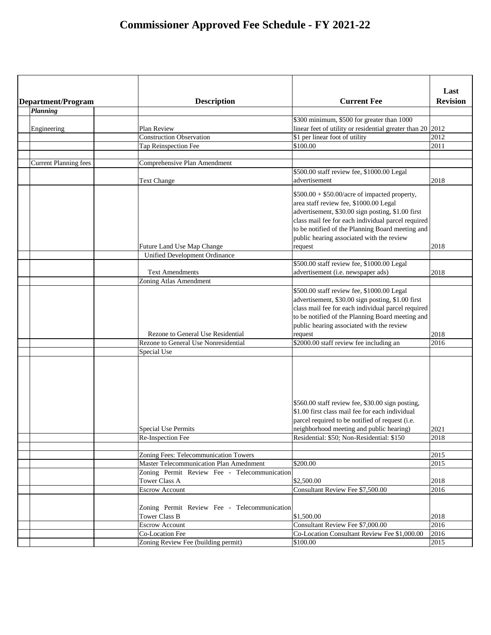|                              |                                                |                                                              | Last            |
|------------------------------|------------------------------------------------|--------------------------------------------------------------|-----------------|
| Department/Program           | <b>Description</b>                             | <b>Current Fee</b>                                           | <b>Revision</b> |
| Planning                     |                                                |                                                              |                 |
|                              |                                                | \$300 minimum, \$500 for greater than 1000                   |                 |
| Engineering                  | Plan Review                                    | linear feet of utility or residential greater than $20$ 2012 |                 |
|                              | <b>Construction Observation</b>                | \$1 per linear foot of utility                               | 2012            |
|                              | Tap Reinspection Fee                           | \$100.00                                                     | 2011            |
|                              |                                                |                                                              |                 |
| <b>Current Planning fees</b> | <b>Comprehensive Plan Amendment</b>            |                                                              |                 |
|                              |                                                | \$500.00 staff review fee, \$1000.00 Legal                   |                 |
|                              | <b>Text Change</b>                             | advertisement                                                | 2018            |
|                              |                                                | $$500.00 + $50.00/$ acre of impacted property,               |                 |
|                              |                                                | area staff review fee, \$1000.00 Legal                       |                 |
|                              |                                                | advertisement, \$30.00 sign posting, \$1.00 first            |                 |
|                              |                                                | class mail fee for each individual parcel required           |                 |
|                              |                                                | to be notified of the Planning Board meeting and             |                 |
|                              |                                                | public hearing associated with the review                    |                 |
|                              | Future Land Use Map Change                     | request                                                      | 2018            |
|                              | <b>Unified Development Ordinance</b>           |                                                              |                 |
|                              |                                                | \$500.00 staff review fee, \$1000.00 Legal                   |                 |
|                              | <b>Text Amendments</b>                         | advertisement (i.e. newspaper ads)                           | 2018            |
|                              | Zoning Atlas Amendment                         |                                                              |                 |
|                              |                                                | \$500.00 staff review fee, \$1000.00 Legal                   |                 |
|                              |                                                | advertisement, \$30.00 sign posting, \$1.00 first            |                 |
|                              |                                                | class mail fee for each individual parcel required           |                 |
|                              |                                                | to be notified of the Planning Board meeting and             |                 |
|                              |                                                | public hearing associated with the review                    |                 |
|                              | Rezone to General Use Residential              | request                                                      | 2018            |
|                              | <b>Rezone to General Use Nonresidential</b>    | \$2000.00 staff review fee including an                      | 2016            |
|                              | Special Use                                    |                                                              |                 |
|                              |                                                |                                                              |                 |
|                              |                                                |                                                              |                 |
|                              |                                                |                                                              |                 |
|                              |                                                |                                                              |                 |
|                              |                                                |                                                              |                 |
|                              |                                                | \$560.00 staff review fee, \$30.00 sign posting,             |                 |
|                              |                                                | \$1.00 first class mail fee for each individual              |                 |
|                              |                                                | parcel required to be notified of request (i.e.              |                 |
|                              | <b>Special Use Permits</b>                     | neighborhood meeting and public hearing)                     | 2021            |
|                              | Re-Inspection Fee                              | Residential: \$50; Non-Residential: \$150                    | 2018            |
|                              |                                                |                                                              |                 |
|                              | Zoning Fees: Telecommunication Towers          |                                                              | 2015            |
|                              | <b>Master Telecommunication Plan Amednment</b> | \$200.00                                                     | 2015            |
|                              | Zoning Permit Review Fee - Telecommunication   |                                                              |                 |
|                              | <b>Tower Class A</b>                           | \$2,500.00                                                   | 2018            |
|                              | <b>Escrow Account</b>                          | Consultant Review Fee \$7,500.00                             | 2016            |
|                              |                                                |                                                              |                 |
|                              | Zoning Permit Review Fee - Telecommunication   |                                                              |                 |
|                              | <b>Tower Class B</b>                           | \$1,500.00                                                   | 2018            |
|                              | <b>Escrow Account</b>                          | Consultant Review Fee \$7,000.00                             | 2016            |
|                              | <b>Co-Location Fee</b>                         | Co-Location Consultant Review Fee \$1,000.00                 | 2016            |
|                              | Zoning Review Fee (building permit)            | \$100.00                                                     | 2015            |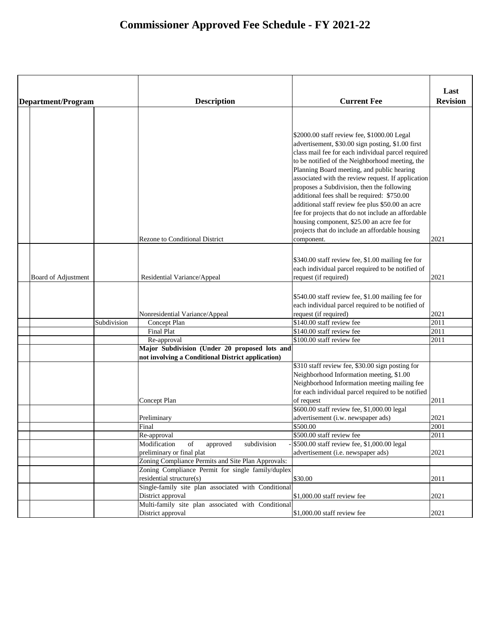|                     |             |                                                                               |                                                                                                                                                                                                                                                                                                                                                                                                                                                                                                                                                                                                                                    | Last            |
|---------------------|-------------|-------------------------------------------------------------------------------|------------------------------------------------------------------------------------------------------------------------------------------------------------------------------------------------------------------------------------------------------------------------------------------------------------------------------------------------------------------------------------------------------------------------------------------------------------------------------------------------------------------------------------------------------------------------------------------------------------------------------------|-----------------|
| Department/Program  |             | <b>Description</b>                                                            | <b>Current Fee</b>                                                                                                                                                                                                                                                                                                                                                                                                                                                                                                                                                                                                                 | <b>Revision</b> |
|                     |             | <b>Rezone to Conditional District</b>                                         | \$2000.00 staff review fee, \$1000.00 Legal<br>advertisement, \$30.00 sign posting, \$1.00 first<br>class mail fee for each individual parcel required<br>to be notified of the Neighborhood meeting, the<br>Planning Board meeting, and public hearing<br>associated with the review request. If application<br>proposes a Subdivision, then the following<br>additional fees shall be required: \$750.00<br>additional staff review fee plus \$50.00 an acre<br>fee for projects that do not include an affordable<br>housing component, \$25.00 an acre fee for<br>projects that do include an affordable housing<br>component. | 2021            |
|                     |             |                                                                               |                                                                                                                                                                                                                                                                                                                                                                                                                                                                                                                                                                                                                                    |                 |
| Board of Adjustment |             | Residential Variance/Appeal                                                   | \$340.00 staff review fee, \$1.00 mailing fee for<br>each individual parcel required to be notified of<br>request (if required)                                                                                                                                                                                                                                                                                                                                                                                                                                                                                                    | 2021            |
|                     |             | Nonresidential Variance/Appeal                                                | \$540.00 staff review fee, \$1.00 mailing fee for<br>each individual parcel required to be notified of<br>request (if required)                                                                                                                                                                                                                                                                                                                                                                                                                                                                                                    | 2021            |
|                     | Subdivision | Concept Plan                                                                  | \$140.00 staff review fee                                                                                                                                                                                                                                                                                                                                                                                                                                                                                                                                                                                                          | 2011            |
|                     |             | <b>Final Plat</b>                                                             | \$140.00 staff review fee                                                                                                                                                                                                                                                                                                                                                                                                                                                                                                                                                                                                          | 2011            |
|                     |             | Re-approval                                                                   | \$100.00 staff review fee                                                                                                                                                                                                                                                                                                                                                                                                                                                                                                                                                                                                          | 2011            |
|                     |             | Major Subdivision (Under 20 proposed lots and                                 |                                                                                                                                                                                                                                                                                                                                                                                                                                                                                                                                                                                                                                    |                 |
|                     |             | not involving a Conditional District application)                             |                                                                                                                                                                                                                                                                                                                                                                                                                                                                                                                                                                                                                                    |                 |
|                     |             | Concept Plan                                                                  | \$310 staff review fee, \$30.00 sign posting for<br>Neighborhood Information meeting, \$1.00<br>Neighborhood Information meeting mailing fee<br>for each individual parcel required to be notified<br>of request                                                                                                                                                                                                                                                                                                                                                                                                                   | 2011            |
|                     |             |                                                                               | \$600.00 staff review fee, \$1,000.00 legal                                                                                                                                                                                                                                                                                                                                                                                                                                                                                                                                                                                        |                 |
|                     |             | Preliminary                                                                   | advertisement (i.w. newspaper ads)                                                                                                                                                                                                                                                                                                                                                                                                                                                                                                                                                                                                 | 2021            |
|                     |             | Final                                                                         | \$500.00                                                                                                                                                                                                                                                                                                                                                                                                                                                                                                                                                                                                                           | 2001            |
|                     |             | Re-approval                                                                   | \$500.00 staff review fee                                                                                                                                                                                                                                                                                                                                                                                                                                                                                                                                                                                                          | 2011            |
|                     |             | subdivision<br>Modification<br>of<br>approved                                 | \$500.00 staff review fee, \$1,000.00 legal                                                                                                                                                                                                                                                                                                                                                                                                                                                                                                                                                                                        |                 |
|                     |             | preliminary or final plat                                                     | advertisement (i.e. newspaper ads)                                                                                                                                                                                                                                                                                                                                                                                                                                                                                                                                                                                                 | 2021            |
|                     |             | Zoning Compliance Permits and Site Plan Approvals:                            |                                                                                                                                                                                                                                                                                                                                                                                                                                                                                                                                                                                                                                    |                 |
|                     |             | Zoning Compliance Permit for single family/duplex<br>residential structure(s) | \$30.00                                                                                                                                                                                                                                                                                                                                                                                                                                                                                                                                                                                                                            | 2011            |
|                     |             | Single-family site plan associated with Conditional                           |                                                                                                                                                                                                                                                                                                                                                                                                                                                                                                                                                                                                                                    |                 |
|                     |             | District approval                                                             | $$1,000.00$ staff review fee                                                                                                                                                                                                                                                                                                                                                                                                                                                                                                                                                                                                       | 2021            |
|                     |             | Multi-family site plan associated with Conditional                            |                                                                                                                                                                                                                                                                                                                                                                                                                                                                                                                                                                                                                                    |                 |
|                     |             | District approval                                                             | $$1,000.00$ staff review fee                                                                                                                                                                                                                                                                                                                                                                                                                                                                                                                                                                                                       | 2021            |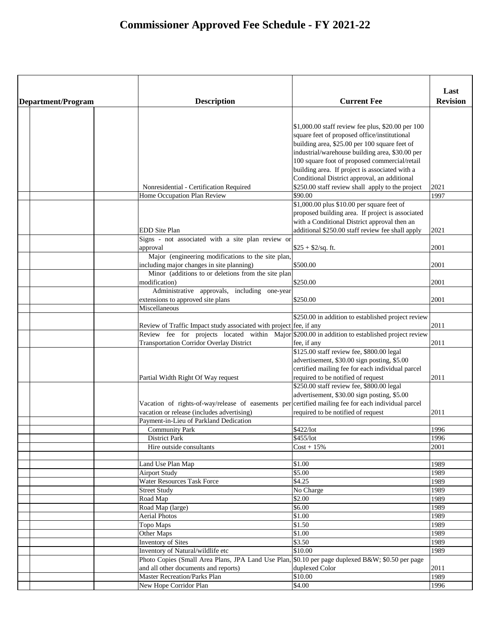| Department/Program | <b>Description</b>                                                                                  | <b>Current Fee</b>                                 | Last<br><b>Revision</b> |
|--------------------|-----------------------------------------------------------------------------------------------------|----------------------------------------------------|-------------------------|
|                    |                                                                                                     |                                                    |                         |
|                    |                                                                                                     |                                                    |                         |
|                    |                                                                                                     | \$1,000.00 staff review fee plus, \$20.00 per 100  |                         |
|                    |                                                                                                     | square feet of proposed office/institutional       |                         |
|                    |                                                                                                     | building area, \$25.00 per 100 square feet of      |                         |
|                    |                                                                                                     | industrial/warehouse building area, \$30.00 per    |                         |
|                    |                                                                                                     | 100 square foot of proposed commercial/retail      |                         |
|                    |                                                                                                     | building area. If project is associated with a     |                         |
|                    |                                                                                                     | Conditional District approval, an additional       |                         |
|                    | Nonresidential - Certification Required                                                             | \$250.00 staff review shall apply to the project   | 2021                    |
|                    | Home Occupation Plan Review                                                                         | \$90.00                                            | 1997                    |
|                    |                                                                                                     | \$1,000.00 plus \$10.00 per square feet of         |                         |
|                    |                                                                                                     | proposed building area. If project is associated   |                         |
|                    |                                                                                                     | with a Conditional District approval then an       |                         |
|                    | <b>EDD</b> Site Plan                                                                                | additional \$250.00 staff review fee shall apply   | 2021                    |
|                    | Signs - not associated with a site plan review or                                                   |                                                    |                         |
|                    | approval                                                                                            | $$25 + $2/sq$ . ft.                                | 2001                    |
|                    | Major (engineering modifications to the site plan,                                                  |                                                    |                         |
|                    | including major changes in site planning)                                                           | \$500.00                                           | 2001                    |
|                    | Minor (additions to or deletions from the site plan                                                 |                                                    |                         |
|                    | modification)                                                                                       | \$250.00                                           | 2001                    |
|                    | Administrative approvals, including one-year                                                        |                                                    |                         |
|                    | extensions to approved site plans                                                                   | \$250.00                                           | 2001                    |
|                    | Miscellaneous                                                                                       |                                                    |                         |
|                    |                                                                                                     | \$250.00 in addition to established project review |                         |
|                    | Review of Traffic Impact study associated with project fee, if any                                  |                                                    | 2011                    |
|                    | Review fee for projects located within Major \$200.00 in addition to established project review     |                                                    |                         |
|                    | <b>Transportation Corridor Overlay District</b>                                                     | fee, if any                                        | 2011                    |
|                    |                                                                                                     | \$125.00 staff review fee, \$800.00 legal          |                         |
|                    |                                                                                                     | advertisement, \$30.00 sign posting, \$5.00        |                         |
|                    |                                                                                                     | certified mailing fee for each individual parcel   |                         |
|                    | Partial Width Right Of Way request                                                                  | required to be notified of request                 | 2011                    |
|                    |                                                                                                     | \$250.00 staff review fee, \$800.00 legal          |                         |
|                    |                                                                                                     | advertisement, \$30.00 sign posting, \$5.00        |                         |
|                    | Vacation of rights-of-way/release of easements per certified mailing fee for each individual parcel |                                                    |                         |
|                    | vacation or release (includes advertising)                                                          | required to be notified of request                 | 2011                    |
|                    | Payment-in-Lieu of Parkland Dedication                                                              |                                                    |                         |
|                    | <b>Community Park</b>                                                                               | \$422/lot                                          | 1996                    |
|                    | <b>District Park</b>                                                                                | \$455/lot                                          | 1996                    |
|                    | Hire outside consultants                                                                            | $Cost + 15\%$                                      | 2001                    |
|                    |                                                                                                     |                                                    |                         |
|                    | Land Use Plan Map                                                                                   | \$1.00                                             | 1989                    |
|                    | <b>Airport Study</b>                                                                                | \$5.00                                             | 1989                    |
|                    | <b>Water Resources Task Force</b>                                                                   | \$4.25                                             | 1989                    |
|                    | <b>Street Study</b>                                                                                 | No Charge                                          | 1989                    |
|                    | Road Map                                                                                            | \$2.00                                             | 1989                    |
|                    | Road Map (large)                                                                                    | \$6.00                                             | 1989                    |
|                    | <b>Aerial Photos</b>                                                                                | \$1.00                                             | 1989                    |
|                    | Topo Maps                                                                                           | \$1.50                                             | 1989                    |
|                    | Other Maps                                                                                          | \$1.00                                             | 1989                    |
|                    | <b>Inventory of Sites</b>                                                                           | \$3.50                                             | 1989                    |
|                    | Inventory of Natural/wildlife etc                                                                   | \$10.00                                            | 1989                    |
|                    | Photo Copies (Small Area Plans, JPA Land Use Plan, \$0.10 per page duplexed B&W \$0.50 per page     |                                                    |                         |
|                    | and all other documents and reports)                                                                | duplexed Color                                     | 2011                    |
|                    | <b>Master Recreation/Parks Plan</b>                                                                 | \$10.00                                            | 1989                    |
|                    | New Hope Corridor Plan                                                                              | \$4.00                                             | 1996                    |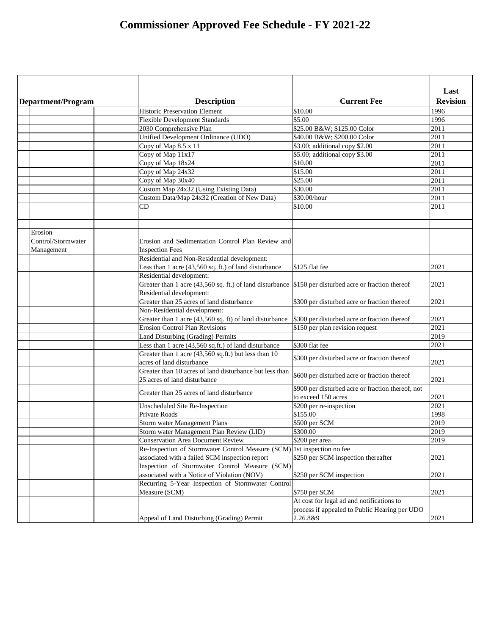|                    |                                                                                                       |                                                   | Last            |
|--------------------|-------------------------------------------------------------------------------------------------------|---------------------------------------------------|-----------------|
| Department/Program | <b>Description</b>                                                                                    | <b>Current Fee</b>                                | <b>Revision</b> |
|                    | <b>Historic Preservation Element</b>                                                                  | \$10.00                                           | 1996            |
|                    | <b>Flexible Development Standards</b>                                                                 | \$5.00                                            | 1996            |
|                    | 2030 Comprehensive Plan                                                                               | \$25.00 B&W \$125.00 Color                        | 2011            |
|                    | Unified Development Ordinance (UDO)                                                                   | \$40.00 B&W \$200.00 Color                        | 2011            |
|                    | Copy of Map 8.5 x 11                                                                                  | \$3.00; additional copy \$2.00                    | 2011            |
|                    | Copy of Map 11x17                                                                                     | \$5.00; additional copy \$3.00                    | 2011            |
|                    | Copy of Map 18x24                                                                                     | \$10.00                                           | 2011            |
|                    | Copy of Map 24x32                                                                                     | \$15.00                                           | 2011            |
|                    | Copy of Map 30x40                                                                                     | \$25.00                                           | 2011            |
|                    | Custom Map 24x32 (Using Existing Data)                                                                | \$30.00                                           | 2011            |
|                    | Custom Data/Map 24x32 (Creation of New Data)                                                          | \$30.00/hour                                      | 2011            |
|                    | CD                                                                                                    | \$10.00                                           | 2011            |
|                    |                                                                                                       |                                                   |                 |
|                    |                                                                                                       |                                                   |                 |
| Erosion            |                                                                                                       |                                                   |                 |
| Control/Stormwater | Erosion and Sedimentation Control Plan Review and                                                     |                                                   |                 |
| Management         | <b>Inspection Fees</b>                                                                                |                                                   |                 |
|                    | Residential and Non-Residential development:                                                          |                                                   |                 |
|                    | Less than 1 acre (43,560 sq. ft.) of land disturbance                                                 | $$125$ flat fee                                   | 2021            |
|                    | Residential development:                                                                              |                                                   |                 |
|                    | Greater than 1 acre (43,560 sq. ft.) of land disturbance \$150 per disturbed acre or fraction thereof |                                                   | 2021            |
|                    | Residential development:                                                                              |                                                   |                 |
|                    | Greater than 25 acres of land disturbance                                                             | \$300 per disturbed acre or fraction thereof      | 2021            |
|                    | Non-Residential development:                                                                          |                                                   |                 |
|                    | Greater than 1 acre (43,560 sq. ft) of land disturbance                                               | \$300 per disturbed acre or fraction thereof      | 2021            |
|                    | <b>Erosion Control Plan Revisions</b>                                                                 | \$150 per plan revision request                   | 2021            |
|                    | Land Disturbing (Grading) Permits                                                                     |                                                   | 2019            |
|                    | Less than 1 acre (43,560 sq.ft.) of land disturbance                                                  | \$300 flat fee                                    | 2021            |
|                    | Greater than 1 acre (43,560 sq.ft.) but less than 10                                                  |                                                   |                 |
|                    | acres of land disturbance                                                                             | \$300 per disturbed acre or fraction thereof      | 2021            |
|                    | Greater than 10 acres of land disturbance but less than                                               | \$600 per disturbed acre or fraction thereof      |                 |
|                    | 25 acres of land disturbance                                                                          |                                                   | 2021            |
|                    | Greater than 25 acres of land disturbance                                                             | \$900 per disturbed acre or fraction thereof, not |                 |
|                    |                                                                                                       | to exceed 150 acres                               | 2021            |
|                    | Unscheduled Site Re-Inspection                                                                        | \$200 per re-inspection                           | 2021            |
|                    | <b>Private Roads</b>                                                                                  | \$155.00                                          | 1998            |
|                    | <b>Storm water Management Plans</b>                                                                   | \$500 per SCM                                     | 2019            |
|                    | Storm water Management Plan Review (LID)                                                              | \$300.00                                          | 2019            |
|                    | <b>Conservation Area Document Review</b>                                                              | \$200 per area                                    | 2019            |
|                    | Re-Inspection of Stormwater Control Measure (SCM) 1st inspection no fee                               |                                                   |                 |
|                    | associated with a failed SCM inspection report                                                        | \$250 per SCM inspection thereafter               | 2021            |
|                    | Inspection of Stormwater Control Measure (SCM)                                                        |                                                   |                 |
|                    | associated with a Notice of Violation (NOV)                                                           | \$250 per SCM inspection                          | 2021            |
|                    | Recurring 5-Year Inspection of Stormwater Control                                                     |                                                   |                 |
|                    | Measure (SCM)                                                                                         | \$750 per SCM                                     | 2021            |
|                    |                                                                                                       | At cost for legal ad and notifications to         |                 |
|                    |                                                                                                       | process if appealed to Public Hearing per UDO     |                 |
|                    | Appeal of Land Disturbing (Grading) Permit                                                            | 2.26.8&9                                          | 2021            |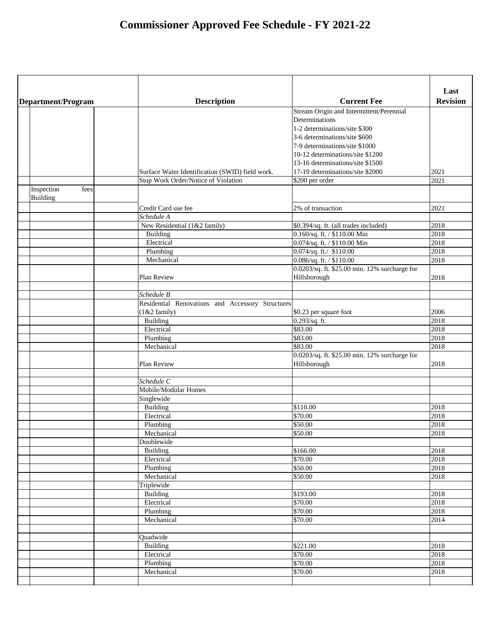|                           |                                                  |                                               | Last            |
|---------------------------|--------------------------------------------------|-----------------------------------------------|-----------------|
| <b>Department/Program</b> | <b>Description</b>                               | <b>Current Fee</b>                            | <b>Revision</b> |
|                           |                                                  | Stream Origin and Intermittent/Perennial      |                 |
|                           |                                                  | Determinations                                |                 |
|                           |                                                  | 1-2 determinations/site \$300                 |                 |
|                           |                                                  | 3-6 determinations/site \$600                 |                 |
|                           |                                                  | 7-9 determinations/site \$1000                |                 |
|                           |                                                  | 10-12 determinations/site \$1200              |                 |
|                           |                                                  | 13-16 determinations/site \$1500              |                 |
|                           | Surface Water Identification (SWID) field work.  | 17-19 determinations/site \$2000              | 2021            |
|                           | Stop Work Order/Notice of Violation              | \$200 per order                               | 2021            |
| Inspection<br>fees        |                                                  |                                               |                 |
| <b>Building</b>           |                                                  |                                               |                 |
|                           | Credit Card use fee                              | 2% of transaction                             | 2021            |
|                           | Schedule A                                       |                                               |                 |
|                           | New Residential (1&2 family)                     | \$0.394/sq. ft. (all trades included)         | 2018            |
|                           | <b>Building</b>                                  | 0.160/sq. ft. / \$110.00 Min                  | 2018            |
|                           | Electrical                                       | $\overline{0.074}$ /sq. ft. / \$110.00 Min    | 2018            |
|                           | Plumbing                                         | $0.074$ /sq. ft./ \$110.00                    | 2018            |
|                           | Mechanical                                       | $0.086$ /sq. ft. / \$110.00                   | 2018            |
|                           |                                                  | 0.0203/sq. ft. \$25.00 min. 12% surcharge for |                 |
|                           | Plan Review                                      | Hillsborough                                  | 2018            |
|                           |                                                  |                                               |                 |
|                           | Schedule B                                       |                                               |                 |
|                           | Residential Renovations and Accessory Structures |                                               |                 |
|                           | $(1& 2 \t family)$                               | \$0.23 per square foot                        | 2006            |
|                           | <b>Building</b>                                  | $0.293$ /sq. ft.                              | 2018            |
|                           | Electrical                                       | \$83.00                                       | 2018            |
|                           | Plumbing                                         | \$83.00                                       | 2018            |
|                           | Mechanical                                       | \$83.00                                       | 2018            |
|                           |                                                  | 0.0203/sq. ft. \$25.00 min. 12% surcharge for |                 |
|                           | Plan Review                                      | Hillsborough                                  | 2018            |
|                           |                                                  |                                               |                 |
|                           | Schedule C                                       |                                               |                 |
|                           | Mobile/Modular Homes                             |                                               |                 |
|                           | Singlewide                                       |                                               |                 |
|                           |                                                  | \$110.00                                      | 2018            |
|                           | <b>Building</b><br>Electrical                    | \$70.00                                       | 2018            |
|                           |                                                  | \$50.00                                       | 2018            |
|                           | Plumbing                                         |                                               |                 |
|                           | Mechanical                                       | \$50.00                                       | 2018            |
|                           | Doublewide                                       |                                               |                 |
|                           | <b>Building</b>                                  | \$166.00                                      | 2018            |
|                           | Electrical                                       | \$70.00                                       | 2018            |
|                           | Plumbing                                         | \$50.00                                       | 2018            |
|                           | Mechanical                                       | \$50.00                                       | 2018            |
|                           | Triplewide                                       |                                               |                 |
|                           | <b>Building</b>                                  | \$193.00                                      | 2018            |
|                           | Electrical                                       | \$70.00                                       | 2018            |
|                           | Plumbing                                         | \$70.00                                       | 2018            |
|                           | Mechanical                                       | \$70.00                                       | 2014            |
|                           | Quadwide                                         |                                               |                 |
|                           | <b>Building</b>                                  | \$221.00                                      | 2018            |
|                           | Electrical                                       | \$70.00                                       | 2018            |
|                           | Plumbing                                         | \$70.00                                       | 2018            |
|                           | Mechanical                                       | \$70.00                                       | 2018            |
|                           |                                                  |                                               |                 |
|                           |                                                  |                                               |                 |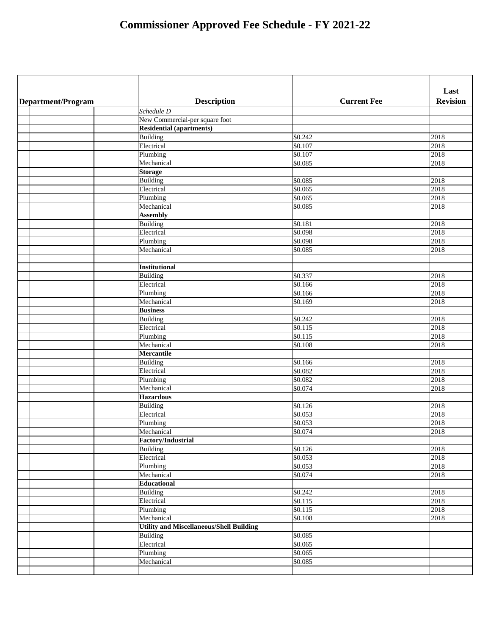|                    |                                                 |                     | Last            |
|--------------------|-------------------------------------------------|---------------------|-----------------|
| Department/Program | <b>Description</b>                              | <b>Current Fee</b>  | <b>Revision</b> |
|                    | Schedule D                                      |                     |                 |
|                    | New Commercial-per square foot                  |                     |                 |
|                    | <b>Residential (apartments)</b>                 |                     |                 |
|                    | <b>Building</b>                                 | \$0.242             | 2018            |
|                    | Electrical                                      | \$0.107             | 2018            |
|                    | Plumbing                                        | \$0.107             | 2018            |
|                    | Mechanical                                      | \$0.085             | 2018            |
|                    | <b>Storage</b>                                  |                     |                 |
|                    | <b>Building</b>                                 | \$0.085             | 2018            |
|                    | Electrical                                      | \$0.065             | 2018            |
|                    | Plumbing                                        | \$0.065             | 2018            |
|                    | Mechanical                                      | \$0.085             | 2018            |
|                    | <b>Assembly</b>                                 |                     |                 |
|                    | Building                                        | \$0.181             | 2018            |
|                    | Electrical                                      | \$0.098             | 2018            |
|                    | Plumbing                                        | \$0.098             | 2018            |
|                    | Mechanical                                      | \$0.085             | 2018            |
|                    |                                                 |                     |                 |
|                    | <b>Institutional</b>                            |                     |                 |
|                    | <b>Building</b>                                 | \$0.337             | 2018            |
|                    | Electrical                                      | \$0.166             | 2018            |
|                    | Plumbing                                        | \$0.166             | 2018            |
|                    | Mechanical                                      | \$0.169             | 2018            |
|                    | <b>Business</b>                                 |                     |                 |
|                    | <b>Building</b>                                 | \$0.242             | 2018            |
|                    | Electrical                                      | \$0.115             | 2018            |
|                    | Plumbing                                        | \$0.115             | 2018            |
|                    | Mechanical                                      | \$0.108             | 2018            |
|                    | <b>Mercantile</b>                               |                     |                 |
|                    | <b>Building</b>                                 | \$0.166             | 2018            |
|                    | Electrical                                      | $\overline{$0.082}$ | 2018            |
|                    | Plumbing                                        | \$0.082             | 2018            |
|                    | Mechanical                                      | $\sqrt{$0.074}$     | 2018            |
|                    | <b>Hazardous</b>                                |                     |                 |
|                    | <b>Building</b>                                 | $\overline{$}0.126$ | 2018            |
|                    | Electrical                                      | \$0.053             | 2018            |
|                    | Plumbing                                        | $\overline{$}0.053$ | 2018            |
|                    | Mechanical                                      | \$0.074             | 2018            |
|                    | <b>Factory/Industrial</b>                       |                     |                 |
|                    | <b>Building</b>                                 | $\sqrt{$0.126}$     | 2018            |
|                    | Electrical                                      | $\overline{$}0.053$ | 2018            |
|                    | Plumbing                                        | \$0.053             | 2018            |
|                    | Mechanical                                      | \$0.074             | 2018            |
|                    | <b>Educational</b>                              |                     |                 |
|                    | <b>Building</b>                                 | $\sqrt{$0.242}$     | 2018            |
|                    | Electrical                                      | \$0.115             | 2018            |
|                    | Plumbing                                        | \$0.115             | 2018            |
|                    | Mechanical                                      | \$0.108             | 2018            |
|                    | <b>Utility and Miscellaneous/Shell Building</b> |                     |                 |
|                    | <b>Building</b>                                 | \$0.085             |                 |
|                    | Electrical                                      | \$0.065             |                 |
|                    | Plumbing                                        | \$0.065             |                 |
|                    | Mechanical                                      | \$0.085             |                 |
|                    |                                                 |                     |                 |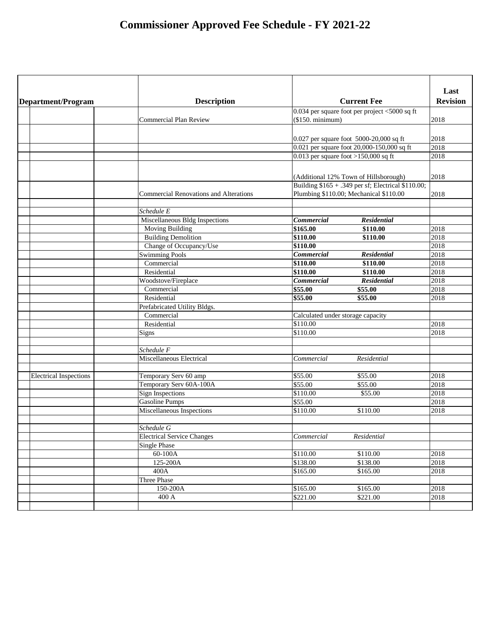| <b>Current Fee</b><br><b>Description</b><br>Department/Program<br>$0.034$ per square foot per project <5000 sq ft<br>(\$150. minimum)<br>2018<br><b>Commercial Plan Review</b><br>$[0.027$ per square foot 5000-20,000 sq ft<br>2018<br>$[0.021]$ per square foot 20,000-150,000 sq ft<br>2018<br>$0.013$ per square foot >150,000 sq ft<br>2018<br>(Additional 12% Town of Hillsborough)<br>2018<br>Building \$165 + .349 per sf; Electrical \$110.00;<br>Plumbing \$110.00; Mechanical \$110.00<br><b>Commercial Renovations and Alterations</b><br>2018<br>Schedule E<br><b>Commercial</b><br><b>Residential</b><br>Miscellaneous Bldg Inspections |                         |
|-------------------------------------------------------------------------------------------------------------------------------------------------------------------------------------------------------------------------------------------------------------------------------------------------------------------------------------------------------------------------------------------------------------------------------------------------------------------------------------------------------------------------------------------------------------------------------------------------------------------------------------------------------|-------------------------|
|                                                                                                                                                                                                                                                                                                                                                                                                                                                                                                                                                                                                                                                       | Last<br><b>Revision</b> |
|                                                                                                                                                                                                                                                                                                                                                                                                                                                                                                                                                                                                                                                       |                         |
|                                                                                                                                                                                                                                                                                                                                                                                                                                                                                                                                                                                                                                                       |                         |
|                                                                                                                                                                                                                                                                                                                                                                                                                                                                                                                                                                                                                                                       |                         |
|                                                                                                                                                                                                                                                                                                                                                                                                                                                                                                                                                                                                                                                       |                         |
|                                                                                                                                                                                                                                                                                                                                                                                                                                                                                                                                                                                                                                                       |                         |
|                                                                                                                                                                                                                                                                                                                                                                                                                                                                                                                                                                                                                                                       |                         |
|                                                                                                                                                                                                                                                                                                                                                                                                                                                                                                                                                                                                                                                       |                         |
|                                                                                                                                                                                                                                                                                                                                                                                                                                                                                                                                                                                                                                                       |                         |
|                                                                                                                                                                                                                                                                                                                                                                                                                                                                                                                                                                                                                                                       |                         |
|                                                                                                                                                                                                                                                                                                                                                                                                                                                                                                                                                                                                                                                       |                         |
|                                                                                                                                                                                                                                                                                                                                                                                                                                                                                                                                                                                                                                                       |                         |
|                                                                                                                                                                                                                                                                                                                                                                                                                                                                                                                                                                                                                                                       |                         |
| \$165.00<br>2018<br><b>Moving Building</b><br>\$110.00                                                                                                                                                                                                                                                                                                                                                                                                                                                                                                                                                                                                |                         |
| <b>Building Demolition</b><br>\$110.00<br>2018<br>\$110.00                                                                                                                                                                                                                                                                                                                                                                                                                                                                                                                                                                                            |                         |
| \$110.00<br>Change of Occupancy/Use<br>2018                                                                                                                                                                                                                                                                                                                                                                                                                                                                                                                                                                                                           |                         |
| Swimming Pools<br><b>Commercial</b><br><b>Residential</b><br>2018                                                                                                                                                                                                                                                                                                                                                                                                                                                                                                                                                                                     |                         |
| \$110.00<br>Commercial<br>2018<br>\$110.00                                                                                                                                                                                                                                                                                                                                                                                                                                                                                                                                                                                                            |                         |
| \$110.00<br>2018<br>Residential<br>\$110.00                                                                                                                                                                                                                                                                                                                                                                                                                                                                                                                                                                                                           |                         |
| <b>Commercial</b><br><b>Residential</b><br>Woodstove/Fireplace<br>2018                                                                                                                                                                                                                                                                                                                                                                                                                                                                                                                                                                                |                         |
| \$55.00<br>2018<br>\$55.00<br>Commercial                                                                                                                                                                                                                                                                                                                                                                                                                                                                                                                                                                                                              |                         |
| \$55.00<br>Residential<br>\$55.00                                                                                                                                                                                                                                                                                                                                                                                                                                                                                                                                                                                                                     | 2018                    |
| Prefabricated Utility Bldgs.                                                                                                                                                                                                                                                                                                                                                                                                                                                                                                                                                                                                                          |                         |
| Commercial<br>Calculated under storage capacity                                                                                                                                                                                                                                                                                                                                                                                                                                                                                                                                                                                                       |                         |
| \$110.00<br>2018<br>Residential                                                                                                                                                                                                                                                                                                                                                                                                                                                                                                                                                                                                                       |                         |
| \$110.00<br>2018<br>Signs                                                                                                                                                                                                                                                                                                                                                                                                                                                                                                                                                                                                                             |                         |
|                                                                                                                                                                                                                                                                                                                                                                                                                                                                                                                                                                                                                                                       |                         |
| Schedule F                                                                                                                                                                                                                                                                                                                                                                                                                                                                                                                                                                                                                                            |                         |
| Miscellaneous Electrical<br>Commercial<br>Residential                                                                                                                                                                                                                                                                                                                                                                                                                                                                                                                                                                                                 |                         |
|                                                                                                                                                                                                                                                                                                                                                                                                                                                                                                                                                                                                                                                       |                         |
| \$55.00<br>\$55.00<br><b>Electrical Inspections</b><br>Temporary Serv 60 amp                                                                                                                                                                                                                                                                                                                                                                                                                                                                                                                                                                          | 2018                    |
| \$55.00<br>Temporary Serv 60A-100A<br>\$55.00                                                                                                                                                                                                                                                                                                                                                                                                                                                                                                                                                                                                         | 2018                    |
| \$110.00<br><b>Sign Inspections</b><br>\$55.00                                                                                                                                                                                                                                                                                                                                                                                                                                                                                                                                                                                                        | 2018                    |
| \$55.00<br><b>Gasoline Pumps</b>                                                                                                                                                                                                                                                                                                                                                                                                                                                                                                                                                                                                                      | 2018                    |
| Miscellaneous Inspections<br>\$110.00<br>\$110.00                                                                                                                                                                                                                                                                                                                                                                                                                                                                                                                                                                                                     | 2018                    |
|                                                                                                                                                                                                                                                                                                                                                                                                                                                                                                                                                                                                                                                       |                         |
| Schedule G                                                                                                                                                                                                                                                                                                                                                                                                                                                                                                                                                                                                                                            |                         |
| <b>Electrical Service Changes</b><br>Residential<br>Commercial                                                                                                                                                                                                                                                                                                                                                                                                                                                                                                                                                                                        |                         |
| Single Phase                                                                                                                                                                                                                                                                                                                                                                                                                                                                                                                                                                                                                                          |                         |
| \$110.00<br>60-100A<br>\$110.00                                                                                                                                                                                                                                                                                                                                                                                                                                                                                                                                                                                                                       | 2018                    |
| $\overline{$}138.00$<br>\$138.00<br>125-200A                                                                                                                                                                                                                                                                                                                                                                                                                                                                                                                                                                                                          | 2018                    |
| 400A<br>\$165.00<br>\$165.00                                                                                                                                                                                                                                                                                                                                                                                                                                                                                                                                                                                                                          | 2018                    |
| <b>Three Phase</b>                                                                                                                                                                                                                                                                                                                                                                                                                                                                                                                                                                                                                                    |                         |
| $\overline{$}165.00$<br>\$165.00<br>150-200A                                                                                                                                                                                                                                                                                                                                                                                                                                                                                                                                                                                                          | 2018                    |
| \$221.00<br>400 A<br>\$221.00                                                                                                                                                                                                                                                                                                                                                                                                                                                                                                                                                                                                                         | 2018                    |
|                                                                                                                                                                                                                                                                                                                                                                                                                                                                                                                                                                                                                                                       |                         |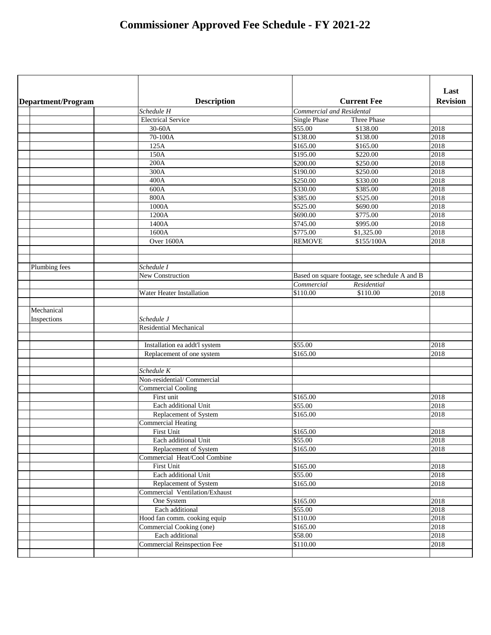|                    |                                    |                                               | Last            |
|--------------------|------------------------------------|-----------------------------------------------|-----------------|
| Department/Program | <b>Description</b>                 | <b>Current Fee</b>                            | <b>Revision</b> |
|                    | Schedule H                         | <b>Commercial and Residental</b>              |                 |
|                    | <b>Electrical Service</b>          | <b>Single Phase</b><br>Three Phase            |                 |
|                    | 30-60A                             | \$55.00<br>\$138.00                           | 2018            |
|                    | 70-100A                            | \$138.00<br>\$138.00                          | 2018            |
|                    | 125A                               | \$165.00<br>\$165.00                          | 2018            |
|                    | 150A                               | \$195.00<br>\$220.00                          | 2018            |
|                    | 200A                               | \$200.00<br>\$250.00                          | 2018            |
|                    | 300A                               | \$190.00<br>\$250.00                          | 2018            |
|                    | 400A                               | \$250.00<br>\$330.00                          | 2018            |
|                    | 600A                               | \$330.00<br>\$385.00                          | 2018            |
|                    | 800A                               | \$385.00<br>\$525.00                          | 2018            |
|                    | 1000A                              | \$525.00<br>\$690.00                          | 2018            |
|                    | 1200A                              | \$690.00<br>\$775.00                          | 2018            |
|                    | 1400A                              | \$745.00<br>\$995.00                          | 2018            |
|                    | 1600A                              | \$775.00<br>\$1,325.00                        | 2018            |
|                    | Over 1600A                         | <b>REMOVE</b><br>\$155/100A                   | 2018            |
|                    |                                    |                                               |                 |
|                    |                                    |                                               |                 |
| Plumbing fees      | Schedule I                         |                                               |                 |
|                    | New Construction                   | Based on square footage, see schedule A and B |                 |
|                    |                                    | Commercial<br>Residential                     |                 |
|                    | <b>Water Heater Installation</b>   | \$110.00<br>\$110.00                          | 2018            |
|                    |                                    |                                               |                 |
| Mechanical         |                                    |                                               |                 |
| Inspections        | Schedule J                         |                                               |                 |
|                    | <b>Residential Mechanical</b>      |                                               |                 |
|                    |                                    |                                               |                 |
|                    | Installation ea addt'l system      | \$55.00                                       | 2018            |
|                    | Replacement of one system          | \$165.00                                      | 2018            |
|                    |                                    |                                               |                 |
|                    | Schedule K                         |                                               |                 |
|                    | Non-residential/Commercial         |                                               |                 |
|                    | <b>Commercial Cooling</b>          |                                               |                 |
|                    | First unit                         | \$165.00                                      | 2018            |
|                    | Each additional Unit               | \$55.00                                       | 2018            |
|                    | Replacement of System              | \$165.00                                      | 2018            |
|                    | <b>Commercial Heating</b>          |                                               |                 |
|                    | First Unit                         | \$165.00                                      | 2018            |
|                    | Each additional Unit               | \$55.00                                       | 2018            |
|                    | Replacement of System              | \$165.00                                      | 2018            |
|                    | Commercial Heat/Cool Combine       |                                               |                 |
|                    | <b>First Unit</b>                  | \$165.00                                      | 2018            |
|                    | Each additional Unit               | $\overline{$}55.00$                           | 2018            |
|                    | Replacement of System              | \$165.00                                      | 2018            |
|                    | Commercial Ventilation/Exhaust     |                                               |                 |
|                    | One System                         | \$165.00                                      | 2018            |
|                    | Each additional                    | $\overline{$}55.00$                           | 2018            |
|                    | Hood fan comm. cooking equip       | \$110.00                                      | 2018            |
|                    | <b>Commercial Cooking (one)</b>    | $\sqrt{$165.00}$                              | 2018            |
|                    | Each additional                    | \$58.00                                       | 2018            |
|                    | <b>Commercial Reinspection Fee</b> | \$110.00                                      | 2018            |
|                    |                                    |                                               |                 |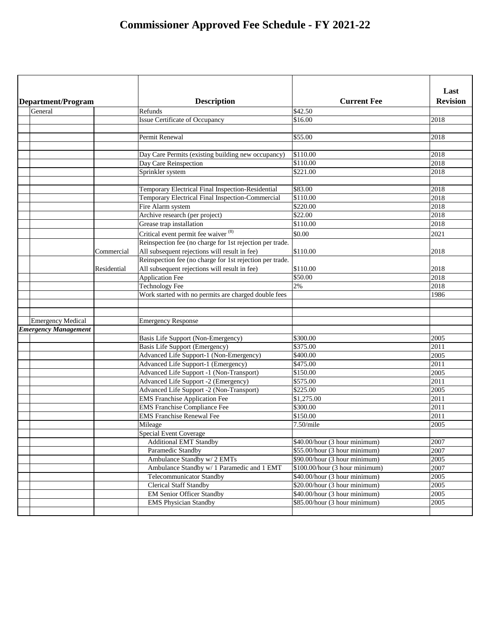| <b>Revision</b><br><b>Current Fee</b><br><b>Description</b><br>Department/Program<br>General<br>\$42.50<br>Refunds<br>\$16.00<br>2018<br><b>Issue Certificate of Occupancy</b><br>\$55.00<br>Permit Renewal<br>2018<br>\$110.00<br>2018<br>Day Care Permits (existing building new occupancy)<br>$\sqrt{$110.00}$<br>Day Care Reinspection<br>2018<br>\$221.00<br>2018<br>Sprinkler system<br>2018<br>\$83.00<br>Temporary Electrical Final Inspection-Residential<br>Temporary Electrical Final Inspection-Commercial<br>\$110.00<br>2018<br>\$220.00<br>2018<br>Fire Alarm system<br>\$22.00<br>Archive research (per project)<br>2018<br>Grease trap installation<br>\$110.00<br>2018<br>Critical event permit fee waiver (8)<br>\$0.00<br>2021<br>Reinspection fee (no charge for 1st rejection per trade.<br>All subsequent rejections will result in fee)<br>\$110.00<br>2018<br>Commercial<br>Reinspection fee (no charge for 1st rejection per trade.<br>All subsequent rejections will result in fee)<br>\$110.00<br>2018<br>Residential<br>$\overline{$}50.00$<br>2018<br><b>Application Fee</b><br>2%<br><b>Technology Fee</b><br>2018<br>Work started with no permits are charged double fees<br>1986<br><b>Emergency Medical</b><br><b>Emergency Response</b><br><b>Emergency Management</b><br>\$300.00<br>2005<br>Basis Life Support (Non-Emergency)<br>\$375.00<br><b>Basis Life Support (Emergency)</b><br>2011<br>2005<br>Advanced Life Support-1 (Non-Emergency)<br>\$400.00<br>\$475.00<br>Advanced Life Support-1 (Emergency)<br>2011<br>2005<br>\$150.00<br>Advanced Life Support -1 (Non-Transport)<br>\$575.00<br><b>Advanced Life Support -2 (Emergency)</b><br>2011<br>\$225.00<br>Advanced Life Support -2 (Non-Transport)<br>2005<br>\$1,275.00<br><b>EMS</b> Franchise Application Fee<br>2011<br>\$300.00<br>2011<br><b>EMS Franchise Compliance Fee</b><br><b>EMS Franchise Renewal Fee</b><br>\$150.00<br>2011<br>2005<br>Mileage<br>$7.50$ /mile<br><b>Special Event Coverage</b><br>2007<br><b>Additional EMT Standby</b><br>\$40.00/hour (3 hour minimum)<br>Paramedic Standby<br>\$55.00/hour (3 hour minimum)<br>2007<br>Ambulance Standby w/ 2 EMTs<br>\$90.00/hour (3 hour minimum)<br>2005<br>$\overline{$100.00/hour}$ (3 hour minimum)<br>Ambulance Standby w/ 1 Paramedic and 1 EMT<br>2007<br>\$40.00/hour (3 hour minimum)<br>2005<br><b>Telecommunicator Standby</b><br><b>Clerical Staff Standby</b><br>\$20.00/hour (3 hour minimum)<br>2005<br><b>EM Senior Officer Standby</b><br>\$40.00/hour (3 hour minimum)<br>2005<br><b>EMS Physician Standby</b><br>\$85.00/hour (3 hour minimum)<br>2005 |  |  |      |
|----------------------------------------------------------------------------------------------------------------------------------------------------------------------------------------------------------------------------------------------------------------------------------------------------------------------------------------------------------------------------------------------------------------------------------------------------------------------------------------------------------------------------------------------------------------------------------------------------------------------------------------------------------------------------------------------------------------------------------------------------------------------------------------------------------------------------------------------------------------------------------------------------------------------------------------------------------------------------------------------------------------------------------------------------------------------------------------------------------------------------------------------------------------------------------------------------------------------------------------------------------------------------------------------------------------------------------------------------------------------------------------------------------------------------------------------------------------------------------------------------------------------------------------------------------------------------------------------------------------------------------------------------------------------------------------------------------------------------------------------------------------------------------------------------------------------------------------------------------------------------------------------------------------------------------------------------------------------------------------------------------------------------------------------------------------------------------------------------------------------------------------------------------------------------------------------------------------------------------------------------------------------------------------------------------------------------------------------------------------------------------------------------------------------------------------------------------------------------------------------------------------------------------------------------------------------------------------------------------------------------------------------------|--|--|------|
|                                                                                                                                                                                                                                                                                                                                                                                                                                                                                                                                                                                                                                                                                                                                                                                                                                                                                                                                                                                                                                                                                                                                                                                                                                                                                                                                                                                                                                                                                                                                                                                                                                                                                                                                                                                                                                                                                                                                                                                                                                                                                                                                                                                                                                                                                                                                                                                                                                                                                                                                                                                                                                                    |  |  | Last |
|                                                                                                                                                                                                                                                                                                                                                                                                                                                                                                                                                                                                                                                                                                                                                                                                                                                                                                                                                                                                                                                                                                                                                                                                                                                                                                                                                                                                                                                                                                                                                                                                                                                                                                                                                                                                                                                                                                                                                                                                                                                                                                                                                                                                                                                                                                                                                                                                                                                                                                                                                                                                                                                    |  |  |      |
|                                                                                                                                                                                                                                                                                                                                                                                                                                                                                                                                                                                                                                                                                                                                                                                                                                                                                                                                                                                                                                                                                                                                                                                                                                                                                                                                                                                                                                                                                                                                                                                                                                                                                                                                                                                                                                                                                                                                                                                                                                                                                                                                                                                                                                                                                                                                                                                                                                                                                                                                                                                                                                                    |  |  |      |
|                                                                                                                                                                                                                                                                                                                                                                                                                                                                                                                                                                                                                                                                                                                                                                                                                                                                                                                                                                                                                                                                                                                                                                                                                                                                                                                                                                                                                                                                                                                                                                                                                                                                                                                                                                                                                                                                                                                                                                                                                                                                                                                                                                                                                                                                                                                                                                                                                                                                                                                                                                                                                                                    |  |  |      |
|                                                                                                                                                                                                                                                                                                                                                                                                                                                                                                                                                                                                                                                                                                                                                                                                                                                                                                                                                                                                                                                                                                                                                                                                                                                                                                                                                                                                                                                                                                                                                                                                                                                                                                                                                                                                                                                                                                                                                                                                                                                                                                                                                                                                                                                                                                                                                                                                                                                                                                                                                                                                                                                    |  |  |      |
|                                                                                                                                                                                                                                                                                                                                                                                                                                                                                                                                                                                                                                                                                                                                                                                                                                                                                                                                                                                                                                                                                                                                                                                                                                                                                                                                                                                                                                                                                                                                                                                                                                                                                                                                                                                                                                                                                                                                                                                                                                                                                                                                                                                                                                                                                                                                                                                                                                                                                                                                                                                                                                                    |  |  |      |
|                                                                                                                                                                                                                                                                                                                                                                                                                                                                                                                                                                                                                                                                                                                                                                                                                                                                                                                                                                                                                                                                                                                                                                                                                                                                                                                                                                                                                                                                                                                                                                                                                                                                                                                                                                                                                                                                                                                                                                                                                                                                                                                                                                                                                                                                                                                                                                                                                                                                                                                                                                                                                                                    |  |  |      |
|                                                                                                                                                                                                                                                                                                                                                                                                                                                                                                                                                                                                                                                                                                                                                                                                                                                                                                                                                                                                                                                                                                                                                                                                                                                                                                                                                                                                                                                                                                                                                                                                                                                                                                                                                                                                                                                                                                                                                                                                                                                                                                                                                                                                                                                                                                                                                                                                                                                                                                                                                                                                                                                    |  |  |      |
|                                                                                                                                                                                                                                                                                                                                                                                                                                                                                                                                                                                                                                                                                                                                                                                                                                                                                                                                                                                                                                                                                                                                                                                                                                                                                                                                                                                                                                                                                                                                                                                                                                                                                                                                                                                                                                                                                                                                                                                                                                                                                                                                                                                                                                                                                                                                                                                                                                                                                                                                                                                                                                                    |  |  |      |
|                                                                                                                                                                                                                                                                                                                                                                                                                                                                                                                                                                                                                                                                                                                                                                                                                                                                                                                                                                                                                                                                                                                                                                                                                                                                                                                                                                                                                                                                                                                                                                                                                                                                                                                                                                                                                                                                                                                                                                                                                                                                                                                                                                                                                                                                                                                                                                                                                                                                                                                                                                                                                                                    |  |  |      |
|                                                                                                                                                                                                                                                                                                                                                                                                                                                                                                                                                                                                                                                                                                                                                                                                                                                                                                                                                                                                                                                                                                                                                                                                                                                                                                                                                                                                                                                                                                                                                                                                                                                                                                                                                                                                                                                                                                                                                                                                                                                                                                                                                                                                                                                                                                                                                                                                                                                                                                                                                                                                                                                    |  |  |      |
|                                                                                                                                                                                                                                                                                                                                                                                                                                                                                                                                                                                                                                                                                                                                                                                                                                                                                                                                                                                                                                                                                                                                                                                                                                                                                                                                                                                                                                                                                                                                                                                                                                                                                                                                                                                                                                                                                                                                                                                                                                                                                                                                                                                                                                                                                                                                                                                                                                                                                                                                                                                                                                                    |  |  |      |
|                                                                                                                                                                                                                                                                                                                                                                                                                                                                                                                                                                                                                                                                                                                                                                                                                                                                                                                                                                                                                                                                                                                                                                                                                                                                                                                                                                                                                                                                                                                                                                                                                                                                                                                                                                                                                                                                                                                                                                                                                                                                                                                                                                                                                                                                                                                                                                                                                                                                                                                                                                                                                                                    |  |  |      |
|                                                                                                                                                                                                                                                                                                                                                                                                                                                                                                                                                                                                                                                                                                                                                                                                                                                                                                                                                                                                                                                                                                                                                                                                                                                                                                                                                                                                                                                                                                                                                                                                                                                                                                                                                                                                                                                                                                                                                                                                                                                                                                                                                                                                                                                                                                                                                                                                                                                                                                                                                                                                                                                    |  |  |      |
|                                                                                                                                                                                                                                                                                                                                                                                                                                                                                                                                                                                                                                                                                                                                                                                                                                                                                                                                                                                                                                                                                                                                                                                                                                                                                                                                                                                                                                                                                                                                                                                                                                                                                                                                                                                                                                                                                                                                                                                                                                                                                                                                                                                                                                                                                                                                                                                                                                                                                                                                                                                                                                                    |  |  |      |
|                                                                                                                                                                                                                                                                                                                                                                                                                                                                                                                                                                                                                                                                                                                                                                                                                                                                                                                                                                                                                                                                                                                                                                                                                                                                                                                                                                                                                                                                                                                                                                                                                                                                                                                                                                                                                                                                                                                                                                                                                                                                                                                                                                                                                                                                                                                                                                                                                                                                                                                                                                                                                                                    |  |  |      |
|                                                                                                                                                                                                                                                                                                                                                                                                                                                                                                                                                                                                                                                                                                                                                                                                                                                                                                                                                                                                                                                                                                                                                                                                                                                                                                                                                                                                                                                                                                                                                                                                                                                                                                                                                                                                                                                                                                                                                                                                                                                                                                                                                                                                                                                                                                                                                                                                                                                                                                                                                                                                                                                    |  |  |      |
|                                                                                                                                                                                                                                                                                                                                                                                                                                                                                                                                                                                                                                                                                                                                                                                                                                                                                                                                                                                                                                                                                                                                                                                                                                                                                                                                                                                                                                                                                                                                                                                                                                                                                                                                                                                                                                                                                                                                                                                                                                                                                                                                                                                                                                                                                                                                                                                                                                                                                                                                                                                                                                                    |  |  |      |
|                                                                                                                                                                                                                                                                                                                                                                                                                                                                                                                                                                                                                                                                                                                                                                                                                                                                                                                                                                                                                                                                                                                                                                                                                                                                                                                                                                                                                                                                                                                                                                                                                                                                                                                                                                                                                                                                                                                                                                                                                                                                                                                                                                                                                                                                                                                                                                                                                                                                                                                                                                                                                                                    |  |  |      |
|                                                                                                                                                                                                                                                                                                                                                                                                                                                                                                                                                                                                                                                                                                                                                                                                                                                                                                                                                                                                                                                                                                                                                                                                                                                                                                                                                                                                                                                                                                                                                                                                                                                                                                                                                                                                                                                                                                                                                                                                                                                                                                                                                                                                                                                                                                                                                                                                                                                                                                                                                                                                                                                    |  |  |      |
|                                                                                                                                                                                                                                                                                                                                                                                                                                                                                                                                                                                                                                                                                                                                                                                                                                                                                                                                                                                                                                                                                                                                                                                                                                                                                                                                                                                                                                                                                                                                                                                                                                                                                                                                                                                                                                                                                                                                                                                                                                                                                                                                                                                                                                                                                                                                                                                                                                                                                                                                                                                                                                                    |  |  |      |
|                                                                                                                                                                                                                                                                                                                                                                                                                                                                                                                                                                                                                                                                                                                                                                                                                                                                                                                                                                                                                                                                                                                                                                                                                                                                                                                                                                                                                                                                                                                                                                                                                                                                                                                                                                                                                                                                                                                                                                                                                                                                                                                                                                                                                                                                                                                                                                                                                                                                                                                                                                                                                                                    |  |  |      |
|                                                                                                                                                                                                                                                                                                                                                                                                                                                                                                                                                                                                                                                                                                                                                                                                                                                                                                                                                                                                                                                                                                                                                                                                                                                                                                                                                                                                                                                                                                                                                                                                                                                                                                                                                                                                                                                                                                                                                                                                                                                                                                                                                                                                                                                                                                                                                                                                                                                                                                                                                                                                                                                    |  |  |      |
|                                                                                                                                                                                                                                                                                                                                                                                                                                                                                                                                                                                                                                                                                                                                                                                                                                                                                                                                                                                                                                                                                                                                                                                                                                                                                                                                                                                                                                                                                                                                                                                                                                                                                                                                                                                                                                                                                                                                                                                                                                                                                                                                                                                                                                                                                                                                                                                                                                                                                                                                                                                                                                                    |  |  |      |
|                                                                                                                                                                                                                                                                                                                                                                                                                                                                                                                                                                                                                                                                                                                                                                                                                                                                                                                                                                                                                                                                                                                                                                                                                                                                                                                                                                                                                                                                                                                                                                                                                                                                                                                                                                                                                                                                                                                                                                                                                                                                                                                                                                                                                                                                                                                                                                                                                                                                                                                                                                                                                                                    |  |  |      |
|                                                                                                                                                                                                                                                                                                                                                                                                                                                                                                                                                                                                                                                                                                                                                                                                                                                                                                                                                                                                                                                                                                                                                                                                                                                                                                                                                                                                                                                                                                                                                                                                                                                                                                                                                                                                                                                                                                                                                                                                                                                                                                                                                                                                                                                                                                                                                                                                                                                                                                                                                                                                                                                    |  |  |      |
|                                                                                                                                                                                                                                                                                                                                                                                                                                                                                                                                                                                                                                                                                                                                                                                                                                                                                                                                                                                                                                                                                                                                                                                                                                                                                                                                                                                                                                                                                                                                                                                                                                                                                                                                                                                                                                                                                                                                                                                                                                                                                                                                                                                                                                                                                                                                                                                                                                                                                                                                                                                                                                                    |  |  |      |
|                                                                                                                                                                                                                                                                                                                                                                                                                                                                                                                                                                                                                                                                                                                                                                                                                                                                                                                                                                                                                                                                                                                                                                                                                                                                                                                                                                                                                                                                                                                                                                                                                                                                                                                                                                                                                                                                                                                                                                                                                                                                                                                                                                                                                                                                                                                                                                                                                                                                                                                                                                                                                                                    |  |  |      |
|                                                                                                                                                                                                                                                                                                                                                                                                                                                                                                                                                                                                                                                                                                                                                                                                                                                                                                                                                                                                                                                                                                                                                                                                                                                                                                                                                                                                                                                                                                                                                                                                                                                                                                                                                                                                                                                                                                                                                                                                                                                                                                                                                                                                                                                                                                                                                                                                                                                                                                                                                                                                                                                    |  |  |      |
|                                                                                                                                                                                                                                                                                                                                                                                                                                                                                                                                                                                                                                                                                                                                                                                                                                                                                                                                                                                                                                                                                                                                                                                                                                                                                                                                                                                                                                                                                                                                                                                                                                                                                                                                                                                                                                                                                                                                                                                                                                                                                                                                                                                                                                                                                                                                                                                                                                                                                                                                                                                                                                                    |  |  |      |
|                                                                                                                                                                                                                                                                                                                                                                                                                                                                                                                                                                                                                                                                                                                                                                                                                                                                                                                                                                                                                                                                                                                                                                                                                                                                                                                                                                                                                                                                                                                                                                                                                                                                                                                                                                                                                                                                                                                                                                                                                                                                                                                                                                                                                                                                                                                                                                                                                                                                                                                                                                                                                                                    |  |  |      |
|                                                                                                                                                                                                                                                                                                                                                                                                                                                                                                                                                                                                                                                                                                                                                                                                                                                                                                                                                                                                                                                                                                                                                                                                                                                                                                                                                                                                                                                                                                                                                                                                                                                                                                                                                                                                                                                                                                                                                                                                                                                                                                                                                                                                                                                                                                                                                                                                                                                                                                                                                                                                                                                    |  |  |      |
|                                                                                                                                                                                                                                                                                                                                                                                                                                                                                                                                                                                                                                                                                                                                                                                                                                                                                                                                                                                                                                                                                                                                                                                                                                                                                                                                                                                                                                                                                                                                                                                                                                                                                                                                                                                                                                                                                                                                                                                                                                                                                                                                                                                                                                                                                                                                                                                                                                                                                                                                                                                                                                                    |  |  |      |
|                                                                                                                                                                                                                                                                                                                                                                                                                                                                                                                                                                                                                                                                                                                                                                                                                                                                                                                                                                                                                                                                                                                                                                                                                                                                                                                                                                                                                                                                                                                                                                                                                                                                                                                                                                                                                                                                                                                                                                                                                                                                                                                                                                                                                                                                                                                                                                                                                                                                                                                                                                                                                                                    |  |  |      |
|                                                                                                                                                                                                                                                                                                                                                                                                                                                                                                                                                                                                                                                                                                                                                                                                                                                                                                                                                                                                                                                                                                                                                                                                                                                                                                                                                                                                                                                                                                                                                                                                                                                                                                                                                                                                                                                                                                                                                                                                                                                                                                                                                                                                                                                                                                                                                                                                                                                                                                                                                                                                                                                    |  |  |      |
|                                                                                                                                                                                                                                                                                                                                                                                                                                                                                                                                                                                                                                                                                                                                                                                                                                                                                                                                                                                                                                                                                                                                                                                                                                                                                                                                                                                                                                                                                                                                                                                                                                                                                                                                                                                                                                                                                                                                                                                                                                                                                                                                                                                                                                                                                                                                                                                                                                                                                                                                                                                                                                                    |  |  |      |
|                                                                                                                                                                                                                                                                                                                                                                                                                                                                                                                                                                                                                                                                                                                                                                                                                                                                                                                                                                                                                                                                                                                                                                                                                                                                                                                                                                                                                                                                                                                                                                                                                                                                                                                                                                                                                                                                                                                                                                                                                                                                                                                                                                                                                                                                                                                                                                                                                                                                                                                                                                                                                                                    |  |  |      |
|                                                                                                                                                                                                                                                                                                                                                                                                                                                                                                                                                                                                                                                                                                                                                                                                                                                                                                                                                                                                                                                                                                                                                                                                                                                                                                                                                                                                                                                                                                                                                                                                                                                                                                                                                                                                                                                                                                                                                                                                                                                                                                                                                                                                                                                                                                                                                                                                                                                                                                                                                                                                                                                    |  |  |      |
|                                                                                                                                                                                                                                                                                                                                                                                                                                                                                                                                                                                                                                                                                                                                                                                                                                                                                                                                                                                                                                                                                                                                                                                                                                                                                                                                                                                                                                                                                                                                                                                                                                                                                                                                                                                                                                                                                                                                                                                                                                                                                                                                                                                                                                                                                                                                                                                                                                                                                                                                                                                                                                                    |  |  |      |
|                                                                                                                                                                                                                                                                                                                                                                                                                                                                                                                                                                                                                                                                                                                                                                                                                                                                                                                                                                                                                                                                                                                                                                                                                                                                                                                                                                                                                                                                                                                                                                                                                                                                                                                                                                                                                                                                                                                                                                                                                                                                                                                                                                                                                                                                                                                                                                                                                                                                                                                                                                                                                                                    |  |  |      |
|                                                                                                                                                                                                                                                                                                                                                                                                                                                                                                                                                                                                                                                                                                                                                                                                                                                                                                                                                                                                                                                                                                                                                                                                                                                                                                                                                                                                                                                                                                                                                                                                                                                                                                                                                                                                                                                                                                                                                                                                                                                                                                                                                                                                                                                                                                                                                                                                                                                                                                                                                                                                                                                    |  |  |      |
|                                                                                                                                                                                                                                                                                                                                                                                                                                                                                                                                                                                                                                                                                                                                                                                                                                                                                                                                                                                                                                                                                                                                                                                                                                                                                                                                                                                                                                                                                                                                                                                                                                                                                                                                                                                                                                                                                                                                                                                                                                                                                                                                                                                                                                                                                                                                                                                                                                                                                                                                                                                                                                                    |  |  |      |
|                                                                                                                                                                                                                                                                                                                                                                                                                                                                                                                                                                                                                                                                                                                                                                                                                                                                                                                                                                                                                                                                                                                                                                                                                                                                                                                                                                                                                                                                                                                                                                                                                                                                                                                                                                                                                                                                                                                                                                                                                                                                                                                                                                                                                                                                                                                                                                                                                                                                                                                                                                                                                                                    |  |  |      |
|                                                                                                                                                                                                                                                                                                                                                                                                                                                                                                                                                                                                                                                                                                                                                                                                                                                                                                                                                                                                                                                                                                                                                                                                                                                                                                                                                                                                                                                                                                                                                                                                                                                                                                                                                                                                                                                                                                                                                                                                                                                                                                                                                                                                                                                                                                                                                                                                                                                                                                                                                                                                                                                    |  |  |      |
|                                                                                                                                                                                                                                                                                                                                                                                                                                                                                                                                                                                                                                                                                                                                                                                                                                                                                                                                                                                                                                                                                                                                                                                                                                                                                                                                                                                                                                                                                                                                                                                                                                                                                                                                                                                                                                                                                                                                                                                                                                                                                                                                                                                                                                                                                                                                                                                                                                                                                                                                                                                                                                                    |  |  |      |
|                                                                                                                                                                                                                                                                                                                                                                                                                                                                                                                                                                                                                                                                                                                                                                                                                                                                                                                                                                                                                                                                                                                                                                                                                                                                                                                                                                                                                                                                                                                                                                                                                                                                                                                                                                                                                                                                                                                                                                                                                                                                                                                                                                                                                                                                                                                                                                                                                                                                                                                                                                                                                                                    |  |  |      |
|                                                                                                                                                                                                                                                                                                                                                                                                                                                                                                                                                                                                                                                                                                                                                                                                                                                                                                                                                                                                                                                                                                                                                                                                                                                                                                                                                                                                                                                                                                                                                                                                                                                                                                                                                                                                                                                                                                                                                                                                                                                                                                                                                                                                                                                                                                                                                                                                                                                                                                                                                                                                                                                    |  |  |      |
|                                                                                                                                                                                                                                                                                                                                                                                                                                                                                                                                                                                                                                                                                                                                                                                                                                                                                                                                                                                                                                                                                                                                                                                                                                                                                                                                                                                                                                                                                                                                                                                                                                                                                                                                                                                                                                                                                                                                                                                                                                                                                                                                                                                                                                                                                                                                                                                                                                                                                                                                                                                                                                                    |  |  |      |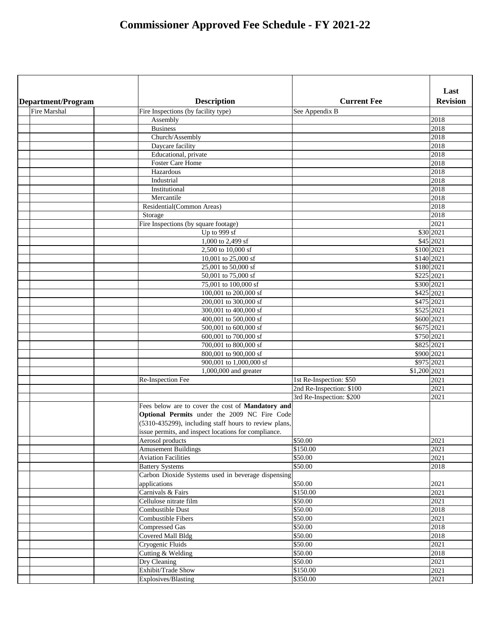|                     |                                                       |                          | Last            |
|---------------------|-------------------------------------------------------|--------------------------|-----------------|
| Department/Program  | <b>Description</b>                                    | <b>Current Fee</b>       | <b>Revision</b> |
| <b>Fire Marshal</b> | Fire Inspections (by facility type)                   | See Appendix B           |                 |
|                     | Assembly                                              |                          | 2018            |
|                     | <b>Business</b><br>Church/Assembly                    |                          | 2018<br>2018    |
|                     | Daycare facility                                      |                          | 2018            |
|                     | Educational, private                                  |                          | 2018            |
|                     | <b>Foster Care Home</b>                               |                          | 2018            |
|                     | Hazardous                                             |                          | 2018            |
|                     | Industrial                                            |                          | 2018            |
|                     | Institutional                                         |                          | 2018            |
|                     | Mercantile                                            |                          | 2018            |
|                     | Residential(Common Areas)                             |                          | 2018            |
|                     | Storage                                               |                          | 2018            |
|                     | Fire Inspections (by square footage)                  |                          | 2021            |
|                     | Up to 999 sf                                          |                          | \$30 2021       |
|                     | 1,000 to 2,499 sf                                     |                          | \$45 2021       |
|                     | 2,500 to 10,000 sf                                    |                          | \$100 2021      |
|                     | 10,001 to 25,000 sf                                   |                          | \$140 2021      |
|                     | 25,001 to 50,000 sf                                   |                          | \$180 2021      |
|                     | 50,001 to 75,000 sf                                   |                          | \$225 2021      |
|                     | 75,001 to 100,000 sf                                  |                          | \$300 2021      |
|                     | 100,001 to 200,000 sf                                 |                          | $$425$  2021    |
|                     | 200,001 to 300,000 sf                                 |                          | $$475$  2021    |
|                     | 300,001 to 400,000 sf                                 |                          | \$525 2021      |
|                     | 400,001 to 500,000 sf                                 |                          | \$600 2021      |
|                     | 500,001 to 600,000 sf                                 |                          | $$675$  2021    |
|                     | 600,001 to 700,000 sf                                 |                          | \$750 2021      |
|                     | 700,001 to 800,000 sf                                 |                          | \$825 2021      |
|                     | 800,001 to 900,000 sf                                 |                          | \$900 2021      |
|                     | 900,001 to 1,000,000 sf                               |                          | \$975 2021      |
|                     | 1,000,000 and greater                                 | \$1,200 2021             |                 |
|                     | Re-Inspection Fee                                     | 1st Re-Inspection: \$50  | 2021            |
|                     |                                                       | 2nd Re-Inspection: \$100 | 2021            |
|                     |                                                       | 3rd Re-Inspection: \$200 | 2021            |
|                     | Fees below are to cover the cost of Mandatory and     |                          |                 |
|                     | Optional Permits under the 2009 NC Fire Code          |                          |                 |
|                     | (5310-435299), including staff hours to review plans, |                          |                 |
|                     | issue permits, and inspect locations for compliance.  |                          |                 |
|                     | Aerosol products                                      | \$50.00                  | 2021            |
|                     | <b>Amusement Buildings</b>                            | \$150.00                 | 2021            |
|                     | <b>Aviation Facilities</b>                            | \$50.00                  | 2021            |
|                     | <b>Battery Systems</b>                                | \$50.00                  | 2018            |
|                     | Carbon Dioxide Systems used in beverage dispensing    |                          |                 |
|                     | applications                                          | \$50.00                  | 2021            |
|                     | Carnivals & Fairs<br>Cellulose nitrate film           | \$150.00<br>\$50.00      | 2021<br>2021    |
|                     | <b>Combustible Dust</b>                               |                          |                 |
|                     | <b>Combustible Fibers</b>                             | \$50.00<br>\$50.00       | 2018<br>2021    |
|                     | <b>Compressed Gas</b>                                 | \$50.00                  | 2018            |
|                     | <b>Covered Mall Bldg</b>                              | $\sqrt{$50.00}$          | 2018            |
|                     | Cryogenic Fluids                                      | \$50.00                  | 2021            |
|                     | Cutting & Welding                                     | \$50.00                  | 2018            |
|                     | Dry Cleaning                                          | $\sqrt{$50.00}$          | 2021            |
|                     | Exhibit/Trade Show                                    | \$150.00                 | 2021            |
|                     | Explosives/Blasting                                   | \$350.00                 | 2021            |
|                     |                                                       |                          |                 |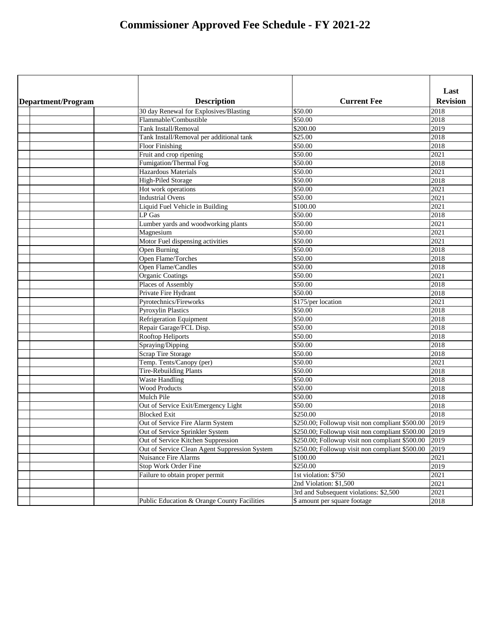|                    |                                               |                                                 | Last            |
|--------------------|-----------------------------------------------|-------------------------------------------------|-----------------|
| Department/Program | <b>Description</b>                            | <b>Current Fee</b>                              | <b>Revision</b> |
|                    | 30 day Renewal for Explosives/Blasting        | \$50.00                                         | 2018            |
|                    | Flammable/Combustible                         | \$50.00                                         | 2018            |
|                    | <b>Tank Install/Removal</b>                   | \$200.00                                        | 2019            |
|                    | Tank Install/Removal per additional tank      | \$25.00                                         | 2018            |
|                    | <b>Floor Finishing</b>                        | \$50.00                                         | 2018            |
|                    | Fruit and crop ripening                       | \$50.00                                         | 2021            |
|                    | Fumigation/Thermal Fog                        | \$50.00                                         | 2018            |
|                    | <b>Hazardous Materials</b>                    | \$50.00                                         | 2021            |
|                    | <b>High-Piled Storage</b>                     | \$50.00                                         | 2018            |
|                    | Hot work operations                           | \$50.00                                         | 2021            |
|                    | <b>Industrial Ovens</b>                       | \$50.00                                         | 2021            |
|                    | Liquid Fuel Vehicle in Building               | \$100.00                                        | 2021            |
|                    | LP Gas                                        | \$50.00                                         | 2018            |
|                    | Lumber yards and woodworking plants           | \$50.00                                         | 2021            |
|                    | Magnesium                                     | \$50.00                                         | 2021            |
|                    | Motor Fuel dispensing activities              | \$50.00                                         | 2021            |
|                    | Open Burning                                  | \$50.00                                         | 2018            |
|                    | Open Flame/Torches                            | \$50.00                                         | 2018            |
|                    | Open Flame/Candles                            | \$50.00                                         | 2018            |
|                    | <b>Organic Coatings</b>                       | \$50.00                                         | 2021            |
|                    | Places of Assembly                            | \$50.00                                         | 2018            |
|                    | Private Fire Hydrant                          | \$50.00                                         | 2018            |
|                    | Pyrotechnics/Fireworks                        | \$175/per location                              | 2021            |
|                    | Pyroxylin Plastics                            | \$50.00                                         | 2018            |
|                    | <b>Refrigeration Equipment</b>                | \$50.00                                         | 2018            |
|                    | Repair Garage/FCL Disp.                       | \$50.00                                         | 2018            |
|                    | <b>Rooftop Heliports</b>                      | \$50.00                                         | 2018            |
|                    | Spraying/Dipping                              | \$50.00                                         | 2018            |
|                    | <b>Scrap Tire Storage</b>                     | \$50.00                                         | 2018            |
|                    | Temp. Tents/Canopy (per)                      | \$50.00                                         | 2021            |
|                    | <b>Tire-Rebuilding Plants</b>                 | \$50.00                                         | 2018            |
|                    | <b>Waste Handling</b>                         | \$50.00                                         | 2018            |
|                    | <b>Wood Products</b>                          | \$50.00                                         | 2018            |
|                    | Mulch Pile                                    | \$50.00                                         | 2018            |
|                    | Out of Service Exit/Emergency Light           | \$50.00                                         | 2018            |
|                    | <b>Blocked Exit</b>                           | \$250.00                                        | 2018            |
|                    | Out of Service Fire Alarm System              | \$250.00; Followup visit non compliant \$500.00 | 2019            |
|                    | Out of Service Sprinkler System               | \$250.00; Followup visit non compliant \$500.00 | 2019            |
|                    | Out of Service Kitchen Suppression            | \$250.00; Followup visit non compliant \$500.00 | 2019            |
|                    | Out of Service Clean Agent Suppression System | \$250.00; Followup visit non compliant \$500.00 | 2019            |
|                    | <b>Nuisance Fire Alarms</b>                   | \$100.00                                        | 2021            |
|                    | Stop Work Order Fine                          | \$250.00                                        | 2019            |
|                    | Failure to obtain proper permit               | 1st violation: \$750                            | 2021            |
|                    |                                               | 2nd Violation: \$1,500                          | 2021            |
|                    |                                               | 3rd and Subsequent violations: \$2,500          | 2021            |
|                    | Public Education & Orange County Facilities   | \$ amount per square footage                    | 2018            |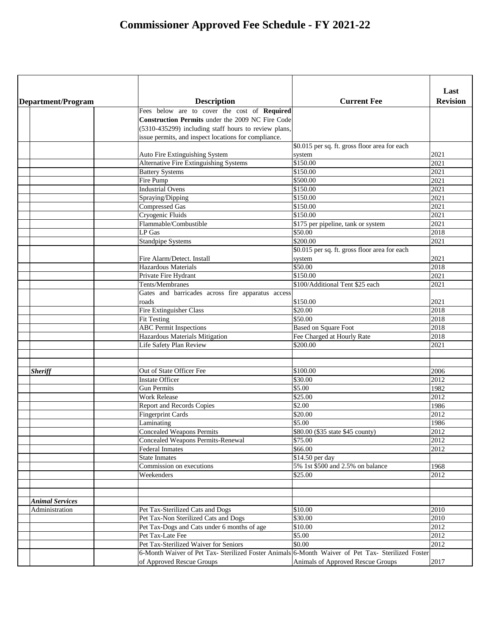| Last<br><b>Description</b><br><b>Current Fee</b><br><b>Revision</b><br>Department/Program<br>Fees below are to cover the cost of Required<br><b>Construction Permits under the 2009 NC Fire Code</b><br>(5310-435299) including staff hours to review plans,<br>issue permits, and inspect locations for compliance.<br>\$0.015 per sq. ft. gross floor area for each<br>2021<br>Auto Fire Extinguishing System<br>system<br><b>Alternative Fire Extinguishing Systems</b><br>\$150.00<br>2021<br>\$150.00<br>2021<br><b>Battery Systems</b><br>\$500.00<br>2021<br>Fire Pump<br><b>Industrial Ovens</b><br>\$150.00<br>2021<br>\$150.00<br>Spraying/Dipping<br>2021<br>2021<br>\$150.00<br><b>Compressed Gas</b><br>\$150.00<br>2021<br>Cryogenic Fluids<br>Flammable/Combustible<br>\$175 per pipeline, tank or system<br>2021<br>\$50.00<br>LP Gas<br>2018<br>\$200.00<br>2021<br><b>Standpipe Systems</b><br>\$0.015 per sq. ft. gross floor area for each<br>2021<br>Fire Alarm/Detect. Install<br>system<br>\$50.00<br>2018<br><b>Hazardous Materials</b><br>\$150.00<br>2021<br>Private Fire Hydrant<br>\$100/Additional Tent \$25 each<br>Tents/Membranes<br>2021<br>Gates and barricades across fire apparatus access<br>2021<br>\$150.00<br>roads<br><b>Fire Extinguisher Class</b><br>\$20.00<br>2018<br>\$50.00<br>2018<br><b>Fit Testing</b><br>2018<br><b>ABC</b> Permit Inspections<br><b>Based on Square Foot</b><br>Hazardous Materials Mitigation<br>Fee Charged at Hourly Rate<br>2018<br>\$200.00<br>Life Safety Plan Review<br>2021<br>Out of State Officer Fee<br>\$100.00<br>2006<br><b>Sheriff</b><br>\$30.00<br><b>Instate Officer</b><br>2012<br>\$5.00<br><b>Gun Permits</b><br>1982<br>\$25.00<br><b>Work Release</b><br>2012<br>\$2.00<br><b>Report and Records Copies</b><br>1986<br>\$20.00<br><b>Fingerprint Cards</b><br>2012<br>\$5.00<br>Laminating<br>1986<br><b>Concealed Weapons Permits</b><br>\$80.00 (\$35 state \$45 county)<br>2012<br>\$75.00<br><b>Concealed Weapons Permits-Renewal</b><br>2012<br>\$66.00<br><b>Federal Inmates</b><br>2012<br>\$14.50 per day<br><b>State Inmates</b><br>5% 1st \$500 and 2.5% on balance<br>Commission on executions<br>1968<br>\$25.00<br>Weekenders<br>2012<br><b>Animal Services</b><br>\$10.00<br>Pet Tax-Sterilized Cats and Dogs<br>2010<br>Administration<br>Pet Tax-Non Sterilized Cats and Dogs<br>\$30.00<br>2010<br>Pet Tax-Dogs and Cats under 6 months of age<br>\$10.00<br>2012<br>\$5.00<br>Pet Tax-Late Fee<br>2012<br>Pet Tax-Sterilized Waiver for Seniors<br>\$0.00<br>2012<br>6-Month Waiver of Pet Tax- Sterilized Foster Animals 6-Month Waiver of Pet Tax- Sterilized Foster<br>of Approved Rescue Groups<br>Animals of Approved Rescue Groups<br>2017 |  |  |
|----------------------------------------------------------------------------------------------------------------------------------------------------------------------------------------------------------------------------------------------------------------------------------------------------------------------------------------------------------------------------------------------------------------------------------------------------------------------------------------------------------------------------------------------------------------------------------------------------------------------------------------------------------------------------------------------------------------------------------------------------------------------------------------------------------------------------------------------------------------------------------------------------------------------------------------------------------------------------------------------------------------------------------------------------------------------------------------------------------------------------------------------------------------------------------------------------------------------------------------------------------------------------------------------------------------------------------------------------------------------------------------------------------------------------------------------------------------------------------------------------------------------------------------------------------------------------------------------------------------------------------------------------------------------------------------------------------------------------------------------------------------------------------------------------------------------------------------------------------------------------------------------------------------------------------------------------------------------------------------------------------------------------------------------------------------------------------------------------------------------------------------------------------------------------------------------------------------------------------------------------------------------------------------------------------------------------------------------------------------------------------------------------------------------------------------------------------------------------------------------------------------------------------------------------------------------------------------------------------------------------------------------------------------------------------------------------------------------------------------------------------------|--|--|
|                                                                                                                                                                                                                                                                                                                                                                                                                                                                                                                                                                                                                                                                                                                                                                                                                                                                                                                                                                                                                                                                                                                                                                                                                                                                                                                                                                                                                                                                                                                                                                                                                                                                                                                                                                                                                                                                                                                                                                                                                                                                                                                                                                                                                                                                                                                                                                                                                                                                                                                                                                                                                                                                                                                                                                |  |  |
|                                                                                                                                                                                                                                                                                                                                                                                                                                                                                                                                                                                                                                                                                                                                                                                                                                                                                                                                                                                                                                                                                                                                                                                                                                                                                                                                                                                                                                                                                                                                                                                                                                                                                                                                                                                                                                                                                                                                                                                                                                                                                                                                                                                                                                                                                                                                                                                                                                                                                                                                                                                                                                                                                                                                                                |  |  |
|                                                                                                                                                                                                                                                                                                                                                                                                                                                                                                                                                                                                                                                                                                                                                                                                                                                                                                                                                                                                                                                                                                                                                                                                                                                                                                                                                                                                                                                                                                                                                                                                                                                                                                                                                                                                                                                                                                                                                                                                                                                                                                                                                                                                                                                                                                                                                                                                                                                                                                                                                                                                                                                                                                                                                                |  |  |
|                                                                                                                                                                                                                                                                                                                                                                                                                                                                                                                                                                                                                                                                                                                                                                                                                                                                                                                                                                                                                                                                                                                                                                                                                                                                                                                                                                                                                                                                                                                                                                                                                                                                                                                                                                                                                                                                                                                                                                                                                                                                                                                                                                                                                                                                                                                                                                                                                                                                                                                                                                                                                                                                                                                                                                |  |  |
|                                                                                                                                                                                                                                                                                                                                                                                                                                                                                                                                                                                                                                                                                                                                                                                                                                                                                                                                                                                                                                                                                                                                                                                                                                                                                                                                                                                                                                                                                                                                                                                                                                                                                                                                                                                                                                                                                                                                                                                                                                                                                                                                                                                                                                                                                                                                                                                                                                                                                                                                                                                                                                                                                                                                                                |  |  |
|                                                                                                                                                                                                                                                                                                                                                                                                                                                                                                                                                                                                                                                                                                                                                                                                                                                                                                                                                                                                                                                                                                                                                                                                                                                                                                                                                                                                                                                                                                                                                                                                                                                                                                                                                                                                                                                                                                                                                                                                                                                                                                                                                                                                                                                                                                                                                                                                                                                                                                                                                                                                                                                                                                                                                                |  |  |
|                                                                                                                                                                                                                                                                                                                                                                                                                                                                                                                                                                                                                                                                                                                                                                                                                                                                                                                                                                                                                                                                                                                                                                                                                                                                                                                                                                                                                                                                                                                                                                                                                                                                                                                                                                                                                                                                                                                                                                                                                                                                                                                                                                                                                                                                                                                                                                                                                                                                                                                                                                                                                                                                                                                                                                |  |  |
|                                                                                                                                                                                                                                                                                                                                                                                                                                                                                                                                                                                                                                                                                                                                                                                                                                                                                                                                                                                                                                                                                                                                                                                                                                                                                                                                                                                                                                                                                                                                                                                                                                                                                                                                                                                                                                                                                                                                                                                                                                                                                                                                                                                                                                                                                                                                                                                                                                                                                                                                                                                                                                                                                                                                                                |  |  |
|                                                                                                                                                                                                                                                                                                                                                                                                                                                                                                                                                                                                                                                                                                                                                                                                                                                                                                                                                                                                                                                                                                                                                                                                                                                                                                                                                                                                                                                                                                                                                                                                                                                                                                                                                                                                                                                                                                                                                                                                                                                                                                                                                                                                                                                                                                                                                                                                                                                                                                                                                                                                                                                                                                                                                                |  |  |
|                                                                                                                                                                                                                                                                                                                                                                                                                                                                                                                                                                                                                                                                                                                                                                                                                                                                                                                                                                                                                                                                                                                                                                                                                                                                                                                                                                                                                                                                                                                                                                                                                                                                                                                                                                                                                                                                                                                                                                                                                                                                                                                                                                                                                                                                                                                                                                                                                                                                                                                                                                                                                                                                                                                                                                |  |  |
|                                                                                                                                                                                                                                                                                                                                                                                                                                                                                                                                                                                                                                                                                                                                                                                                                                                                                                                                                                                                                                                                                                                                                                                                                                                                                                                                                                                                                                                                                                                                                                                                                                                                                                                                                                                                                                                                                                                                                                                                                                                                                                                                                                                                                                                                                                                                                                                                                                                                                                                                                                                                                                                                                                                                                                |  |  |
|                                                                                                                                                                                                                                                                                                                                                                                                                                                                                                                                                                                                                                                                                                                                                                                                                                                                                                                                                                                                                                                                                                                                                                                                                                                                                                                                                                                                                                                                                                                                                                                                                                                                                                                                                                                                                                                                                                                                                                                                                                                                                                                                                                                                                                                                                                                                                                                                                                                                                                                                                                                                                                                                                                                                                                |  |  |
|                                                                                                                                                                                                                                                                                                                                                                                                                                                                                                                                                                                                                                                                                                                                                                                                                                                                                                                                                                                                                                                                                                                                                                                                                                                                                                                                                                                                                                                                                                                                                                                                                                                                                                                                                                                                                                                                                                                                                                                                                                                                                                                                                                                                                                                                                                                                                                                                                                                                                                                                                                                                                                                                                                                                                                |  |  |
|                                                                                                                                                                                                                                                                                                                                                                                                                                                                                                                                                                                                                                                                                                                                                                                                                                                                                                                                                                                                                                                                                                                                                                                                                                                                                                                                                                                                                                                                                                                                                                                                                                                                                                                                                                                                                                                                                                                                                                                                                                                                                                                                                                                                                                                                                                                                                                                                                                                                                                                                                                                                                                                                                                                                                                |  |  |
|                                                                                                                                                                                                                                                                                                                                                                                                                                                                                                                                                                                                                                                                                                                                                                                                                                                                                                                                                                                                                                                                                                                                                                                                                                                                                                                                                                                                                                                                                                                                                                                                                                                                                                                                                                                                                                                                                                                                                                                                                                                                                                                                                                                                                                                                                                                                                                                                                                                                                                                                                                                                                                                                                                                                                                |  |  |
|                                                                                                                                                                                                                                                                                                                                                                                                                                                                                                                                                                                                                                                                                                                                                                                                                                                                                                                                                                                                                                                                                                                                                                                                                                                                                                                                                                                                                                                                                                                                                                                                                                                                                                                                                                                                                                                                                                                                                                                                                                                                                                                                                                                                                                                                                                                                                                                                                                                                                                                                                                                                                                                                                                                                                                |  |  |
|                                                                                                                                                                                                                                                                                                                                                                                                                                                                                                                                                                                                                                                                                                                                                                                                                                                                                                                                                                                                                                                                                                                                                                                                                                                                                                                                                                                                                                                                                                                                                                                                                                                                                                                                                                                                                                                                                                                                                                                                                                                                                                                                                                                                                                                                                                                                                                                                                                                                                                                                                                                                                                                                                                                                                                |  |  |
|                                                                                                                                                                                                                                                                                                                                                                                                                                                                                                                                                                                                                                                                                                                                                                                                                                                                                                                                                                                                                                                                                                                                                                                                                                                                                                                                                                                                                                                                                                                                                                                                                                                                                                                                                                                                                                                                                                                                                                                                                                                                                                                                                                                                                                                                                                                                                                                                                                                                                                                                                                                                                                                                                                                                                                |  |  |
|                                                                                                                                                                                                                                                                                                                                                                                                                                                                                                                                                                                                                                                                                                                                                                                                                                                                                                                                                                                                                                                                                                                                                                                                                                                                                                                                                                                                                                                                                                                                                                                                                                                                                                                                                                                                                                                                                                                                                                                                                                                                                                                                                                                                                                                                                                                                                                                                                                                                                                                                                                                                                                                                                                                                                                |  |  |
|                                                                                                                                                                                                                                                                                                                                                                                                                                                                                                                                                                                                                                                                                                                                                                                                                                                                                                                                                                                                                                                                                                                                                                                                                                                                                                                                                                                                                                                                                                                                                                                                                                                                                                                                                                                                                                                                                                                                                                                                                                                                                                                                                                                                                                                                                                                                                                                                                                                                                                                                                                                                                                                                                                                                                                |  |  |
|                                                                                                                                                                                                                                                                                                                                                                                                                                                                                                                                                                                                                                                                                                                                                                                                                                                                                                                                                                                                                                                                                                                                                                                                                                                                                                                                                                                                                                                                                                                                                                                                                                                                                                                                                                                                                                                                                                                                                                                                                                                                                                                                                                                                                                                                                                                                                                                                                                                                                                                                                                                                                                                                                                                                                                |  |  |
|                                                                                                                                                                                                                                                                                                                                                                                                                                                                                                                                                                                                                                                                                                                                                                                                                                                                                                                                                                                                                                                                                                                                                                                                                                                                                                                                                                                                                                                                                                                                                                                                                                                                                                                                                                                                                                                                                                                                                                                                                                                                                                                                                                                                                                                                                                                                                                                                                                                                                                                                                                                                                                                                                                                                                                |  |  |
|                                                                                                                                                                                                                                                                                                                                                                                                                                                                                                                                                                                                                                                                                                                                                                                                                                                                                                                                                                                                                                                                                                                                                                                                                                                                                                                                                                                                                                                                                                                                                                                                                                                                                                                                                                                                                                                                                                                                                                                                                                                                                                                                                                                                                                                                                                                                                                                                                                                                                                                                                                                                                                                                                                                                                                |  |  |
|                                                                                                                                                                                                                                                                                                                                                                                                                                                                                                                                                                                                                                                                                                                                                                                                                                                                                                                                                                                                                                                                                                                                                                                                                                                                                                                                                                                                                                                                                                                                                                                                                                                                                                                                                                                                                                                                                                                                                                                                                                                                                                                                                                                                                                                                                                                                                                                                                                                                                                                                                                                                                                                                                                                                                                |  |  |
|                                                                                                                                                                                                                                                                                                                                                                                                                                                                                                                                                                                                                                                                                                                                                                                                                                                                                                                                                                                                                                                                                                                                                                                                                                                                                                                                                                                                                                                                                                                                                                                                                                                                                                                                                                                                                                                                                                                                                                                                                                                                                                                                                                                                                                                                                                                                                                                                                                                                                                                                                                                                                                                                                                                                                                |  |  |
|                                                                                                                                                                                                                                                                                                                                                                                                                                                                                                                                                                                                                                                                                                                                                                                                                                                                                                                                                                                                                                                                                                                                                                                                                                                                                                                                                                                                                                                                                                                                                                                                                                                                                                                                                                                                                                                                                                                                                                                                                                                                                                                                                                                                                                                                                                                                                                                                                                                                                                                                                                                                                                                                                                                                                                |  |  |
|                                                                                                                                                                                                                                                                                                                                                                                                                                                                                                                                                                                                                                                                                                                                                                                                                                                                                                                                                                                                                                                                                                                                                                                                                                                                                                                                                                                                                                                                                                                                                                                                                                                                                                                                                                                                                                                                                                                                                                                                                                                                                                                                                                                                                                                                                                                                                                                                                                                                                                                                                                                                                                                                                                                                                                |  |  |
|                                                                                                                                                                                                                                                                                                                                                                                                                                                                                                                                                                                                                                                                                                                                                                                                                                                                                                                                                                                                                                                                                                                                                                                                                                                                                                                                                                                                                                                                                                                                                                                                                                                                                                                                                                                                                                                                                                                                                                                                                                                                                                                                                                                                                                                                                                                                                                                                                                                                                                                                                                                                                                                                                                                                                                |  |  |
|                                                                                                                                                                                                                                                                                                                                                                                                                                                                                                                                                                                                                                                                                                                                                                                                                                                                                                                                                                                                                                                                                                                                                                                                                                                                                                                                                                                                                                                                                                                                                                                                                                                                                                                                                                                                                                                                                                                                                                                                                                                                                                                                                                                                                                                                                                                                                                                                                                                                                                                                                                                                                                                                                                                                                                |  |  |
|                                                                                                                                                                                                                                                                                                                                                                                                                                                                                                                                                                                                                                                                                                                                                                                                                                                                                                                                                                                                                                                                                                                                                                                                                                                                                                                                                                                                                                                                                                                                                                                                                                                                                                                                                                                                                                                                                                                                                                                                                                                                                                                                                                                                                                                                                                                                                                                                                                                                                                                                                                                                                                                                                                                                                                |  |  |
|                                                                                                                                                                                                                                                                                                                                                                                                                                                                                                                                                                                                                                                                                                                                                                                                                                                                                                                                                                                                                                                                                                                                                                                                                                                                                                                                                                                                                                                                                                                                                                                                                                                                                                                                                                                                                                                                                                                                                                                                                                                                                                                                                                                                                                                                                                                                                                                                                                                                                                                                                                                                                                                                                                                                                                |  |  |
|                                                                                                                                                                                                                                                                                                                                                                                                                                                                                                                                                                                                                                                                                                                                                                                                                                                                                                                                                                                                                                                                                                                                                                                                                                                                                                                                                                                                                                                                                                                                                                                                                                                                                                                                                                                                                                                                                                                                                                                                                                                                                                                                                                                                                                                                                                                                                                                                                                                                                                                                                                                                                                                                                                                                                                |  |  |
|                                                                                                                                                                                                                                                                                                                                                                                                                                                                                                                                                                                                                                                                                                                                                                                                                                                                                                                                                                                                                                                                                                                                                                                                                                                                                                                                                                                                                                                                                                                                                                                                                                                                                                                                                                                                                                                                                                                                                                                                                                                                                                                                                                                                                                                                                                                                                                                                                                                                                                                                                                                                                                                                                                                                                                |  |  |
|                                                                                                                                                                                                                                                                                                                                                                                                                                                                                                                                                                                                                                                                                                                                                                                                                                                                                                                                                                                                                                                                                                                                                                                                                                                                                                                                                                                                                                                                                                                                                                                                                                                                                                                                                                                                                                                                                                                                                                                                                                                                                                                                                                                                                                                                                                                                                                                                                                                                                                                                                                                                                                                                                                                                                                |  |  |
|                                                                                                                                                                                                                                                                                                                                                                                                                                                                                                                                                                                                                                                                                                                                                                                                                                                                                                                                                                                                                                                                                                                                                                                                                                                                                                                                                                                                                                                                                                                                                                                                                                                                                                                                                                                                                                                                                                                                                                                                                                                                                                                                                                                                                                                                                                                                                                                                                                                                                                                                                                                                                                                                                                                                                                |  |  |
|                                                                                                                                                                                                                                                                                                                                                                                                                                                                                                                                                                                                                                                                                                                                                                                                                                                                                                                                                                                                                                                                                                                                                                                                                                                                                                                                                                                                                                                                                                                                                                                                                                                                                                                                                                                                                                                                                                                                                                                                                                                                                                                                                                                                                                                                                                                                                                                                                                                                                                                                                                                                                                                                                                                                                                |  |  |
|                                                                                                                                                                                                                                                                                                                                                                                                                                                                                                                                                                                                                                                                                                                                                                                                                                                                                                                                                                                                                                                                                                                                                                                                                                                                                                                                                                                                                                                                                                                                                                                                                                                                                                                                                                                                                                                                                                                                                                                                                                                                                                                                                                                                                                                                                                                                                                                                                                                                                                                                                                                                                                                                                                                                                                |  |  |
|                                                                                                                                                                                                                                                                                                                                                                                                                                                                                                                                                                                                                                                                                                                                                                                                                                                                                                                                                                                                                                                                                                                                                                                                                                                                                                                                                                                                                                                                                                                                                                                                                                                                                                                                                                                                                                                                                                                                                                                                                                                                                                                                                                                                                                                                                                                                                                                                                                                                                                                                                                                                                                                                                                                                                                |  |  |
|                                                                                                                                                                                                                                                                                                                                                                                                                                                                                                                                                                                                                                                                                                                                                                                                                                                                                                                                                                                                                                                                                                                                                                                                                                                                                                                                                                                                                                                                                                                                                                                                                                                                                                                                                                                                                                                                                                                                                                                                                                                                                                                                                                                                                                                                                                                                                                                                                                                                                                                                                                                                                                                                                                                                                                |  |  |
|                                                                                                                                                                                                                                                                                                                                                                                                                                                                                                                                                                                                                                                                                                                                                                                                                                                                                                                                                                                                                                                                                                                                                                                                                                                                                                                                                                                                                                                                                                                                                                                                                                                                                                                                                                                                                                                                                                                                                                                                                                                                                                                                                                                                                                                                                                                                                                                                                                                                                                                                                                                                                                                                                                                                                                |  |  |
|                                                                                                                                                                                                                                                                                                                                                                                                                                                                                                                                                                                                                                                                                                                                                                                                                                                                                                                                                                                                                                                                                                                                                                                                                                                                                                                                                                                                                                                                                                                                                                                                                                                                                                                                                                                                                                                                                                                                                                                                                                                                                                                                                                                                                                                                                                                                                                                                                                                                                                                                                                                                                                                                                                                                                                |  |  |
|                                                                                                                                                                                                                                                                                                                                                                                                                                                                                                                                                                                                                                                                                                                                                                                                                                                                                                                                                                                                                                                                                                                                                                                                                                                                                                                                                                                                                                                                                                                                                                                                                                                                                                                                                                                                                                                                                                                                                                                                                                                                                                                                                                                                                                                                                                                                                                                                                                                                                                                                                                                                                                                                                                                                                                |  |  |
|                                                                                                                                                                                                                                                                                                                                                                                                                                                                                                                                                                                                                                                                                                                                                                                                                                                                                                                                                                                                                                                                                                                                                                                                                                                                                                                                                                                                                                                                                                                                                                                                                                                                                                                                                                                                                                                                                                                                                                                                                                                                                                                                                                                                                                                                                                                                                                                                                                                                                                                                                                                                                                                                                                                                                                |  |  |
|                                                                                                                                                                                                                                                                                                                                                                                                                                                                                                                                                                                                                                                                                                                                                                                                                                                                                                                                                                                                                                                                                                                                                                                                                                                                                                                                                                                                                                                                                                                                                                                                                                                                                                                                                                                                                                                                                                                                                                                                                                                                                                                                                                                                                                                                                                                                                                                                                                                                                                                                                                                                                                                                                                                                                                |  |  |
|                                                                                                                                                                                                                                                                                                                                                                                                                                                                                                                                                                                                                                                                                                                                                                                                                                                                                                                                                                                                                                                                                                                                                                                                                                                                                                                                                                                                                                                                                                                                                                                                                                                                                                                                                                                                                                                                                                                                                                                                                                                                                                                                                                                                                                                                                                                                                                                                                                                                                                                                                                                                                                                                                                                                                                |  |  |
|                                                                                                                                                                                                                                                                                                                                                                                                                                                                                                                                                                                                                                                                                                                                                                                                                                                                                                                                                                                                                                                                                                                                                                                                                                                                                                                                                                                                                                                                                                                                                                                                                                                                                                                                                                                                                                                                                                                                                                                                                                                                                                                                                                                                                                                                                                                                                                                                                                                                                                                                                                                                                                                                                                                                                                |  |  |
|                                                                                                                                                                                                                                                                                                                                                                                                                                                                                                                                                                                                                                                                                                                                                                                                                                                                                                                                                                                                                                                                                                                                                                                                                                                                                                                                                                                                                                                                                                                                                                                                                                                                                                                                                                                                                                                                                                                                                                                                                                                                                                                                                                                                                                                                                                                                                                                                                                                                                                                                                                                                                                                                                                                                                                |  |  |
|                                                                                                                                                                                                                                                                                                                                                                                                                                                                                                                                                                                                                                                                                                                                                                                                                                                                                                                                                                                                                                                                                                                                                                                                                                                                                                                                                                                                                                                                                                                                                                                                                                                                                                                                                                                                                                                                                                                                                                                                                                                                                                                                                                                                                                                                                                                                                                                                                                                                                                                                                                                                                                                                                                                                                                |  |  |
|                                                                                                                                                                                                                                                                                                                                                                                                                                                                                                                                                                                                                                                                                                                                                                                                                                                                                                                                                                                                                                                                                                                                                                                                                                                                                                                                                                                                                                                                                                                                                                                                                                                                                                                                                                                                                                                                                                                                                                                                                                                                                                                                                                                                                                                                                                                                                                                                                                                                                                                                                                                                                                                                                                                                                                |  |  |
|                                                                                                                                                                                                                                                                                                                                                                                                                                                                                                                                                                                                                                                                                                                                                                                                                                                                                                                                                                                                                                                                                                                                                                                                                                                                                                                                                                                                                                                                                                                                                                                                                                                                                                                                                                                                                                                                                                                                                                                                                                                                                                                                                                                                                                                                                                                                                                                                                                                                                                                                                                                                                                                                                                                                                                |  |  |
|                                                                                                                                                                                                                                                                                                                                                                                                                                                                                                                                                                                                                                                                                                                                                                                                                                                                                                                                                                                                                                                                                                                                                                                                                                                                                                                                                                                                                                                                                                                                                                                                                                                                                                                                                                                                                                                                                                                                                                                                                                                                                                                                                                                                                                                                                                                                                                                                                                                                                                                                                                                                                                                                                                                                                                |  |  |
|                                                                                                                                                                                                                                                                                                                                                                                                                                                                                                                                                                                                                                                                                                                                                                                                                                                                                                                                                                                                                                                                                                                                                                                                                                                                                                                                                                                                                                                                                                                                                                                                                                                                                                                                                                                                                                                                                                                                                                                                                                                                                                                                                                                                                                                                                                                                                                                                                                                                                                                                                                                                                                                                                                                                                                |  |  |
|                                                                                                                                                                                                                                                                                                                                                                                                                                                                                                                                                                                                                                                                                                                                                                                                                                                                                                                                                                                                                                                                                                                                                                                                                                                                                                                                                                                                                                                                                                                                                                                                                                                                                                                                                                                                                                                                                                                                                                                                                                                                                                                                                                                                                                                                                                                                                                                                                                                                                                                                                                                                                                                                                                                                                                |  |  |
|                                                                                                                                                                                                                                                                                                                                                                                                                                                                                                                                                                                                                                                                                                                                                                                                                                                                                                                                                                                                                                                                                                                                                                                                                                                                                                                                                                                                                                                                                                                                                                                                                                                                                                                                                                                                                                                                                                                                                                                                                                                                                                                                                                                                                                                                                                                                                                                                                                                                                                                                                                                                                                                                                                                                                                |  |  |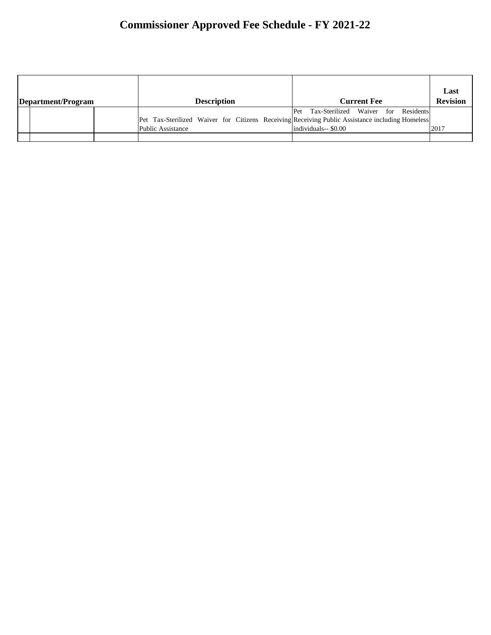| Department/Program |                                                                                                                               | <b>Description</b> |     |                                                            | <b>Current Fee</b> |  | Last<br><b>Revision</b> |
|--------------------|-------------------------------------------------------------------------------------------------------------------------------|--------------------|-----|------------------------------------------------------------|--------------------|--|-------------------------|
|                    | [Pet Tax-Sterilized Waiver for Citizens Receiving Receiving Public Assistance including Homeless]<br><b>Public Assistance</b> |                    | Pet | Tax-Sterilized Waiver for Residents<br>$individuals-$0.00$ |                    |  | 2017                    |
|                    |                                                                                                                               |                    |     |                                                            |                    |  |                         |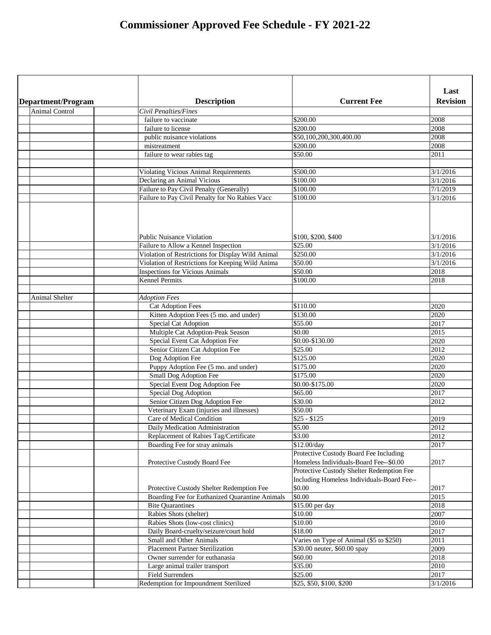| Department/Program    | <b>Description</b>                                                                          | <b>Current Fee</b>                                                                                | Last<br><b>Revision</b> |
|-----------------------|---------------------------------------------------------------------------------------------|---------------------------------------------------------------------------------------------------|-------------------------|
| <b>Animal Control</b> | Civil Penalties/Fines                                                                       |                                                                                                   |                         |
|                       | failure to vaccinate                                                                        | \$200.00                                                                                          | 2008                    |
|                       | failure to license                                                                          | \$200.00                                                                                          | 2008                    |
|                       | public nuisance violations                                                                  | \$50,100,200,300,400.00                                                                           | 2008                    |
|                       | mistreatment                                                                                | \$200.00                                                                                          | 2008                    |
|                       | failure to wear rabies tag                                                                  | \$50.00                                                                                           | 2011                    |
|                       |                                                                                             |                                                                                                   |                         |
|                       | <b>Violating Vicious Animal Requirements</b>                                                | \$500.00                                                                                          | 3/1/2016                |
|                       | Declaring an Animal Vicious                                                                 | \$100.00                                                                                          | 3/1/2016                |
|                       | Failure to Pay Civil Penalty (Generally)                                                    | \$100.00                                                                                          | 7/1/2019                |
|                       | Failure to Pay Civil Penalty for No Rabies Vacc                                             | \$100.00                                                                                          | 3/1/2016                |
|                       |                                                                                             |                                                                                                   |                         |
|                       | <b>Public Nuisance Violation</b>                                                            | \$100, \$200, \$400                                                                               | 3/1/2016                |
|                       | Failure to Allow a Kennel Inspection                                                        | \$25.00<br>\$250.00                                                                               | 3/1/2016<br>3/1/2016    |
|                       | Violation of Restrictions for Display Wild Animal                                           | \$50.00                                                                                           | 3/1/2016                |
|                       | Violation of Restrictions for Keeping Wild Anima<br><b>Inspections for Vicious Animals</b>  | \$50.00                                                                                           | 2018                    |
|                       | Kennel Permits                                                                              | \$100.00                                                                                          | 2018                    |
|                       |                                                                                             |                                                                                                   |                         |
| <b>Animal Shelter</b> | <b>Adoption Fees</b>                                                                        |                                                                                                   |                         |
|                       | <b>Cat Adoption Fees</b>                                                                    | \$110.00                                                                                          | 2020                    |
|                       | Kitten Adoption Fees (5 mo. and under)                                                      | $\sqrt{$}130.00$                                                                                  | 2020                    |
|                       | <b>Special Cat Adoption</b>                                                                 | \$55.00                                                                                           | 2017                    |
|                       | Multiple Cat Adoption-Peak Season                                                           | \$0.00                                                                                            | 2015                    |
|                       | <b>Special Event Cat Adoption Fee</b>                                                       | \$0.00-\$130.00                                                                                   | 2020                    |
|                       | Senior Citizen Cat Adoption Fee                                                             | \$25.00                                                                                           | 2012                    |
|                       | Dog Adoption Fee                                                                            | \$125.00                                                                                          | 2020                    |
|                       | Puppy Adoption Fee (5 mo. and under)                                                        | \$175.00                                                                                          | 2020                    |
|                       | <b>Small Dog Adoption Fee</b>                                                               | \$175.00                                                                                          | 2020                    |
|                       | Special Event Dog Adoption Fee                                                              | \$0.00-\$175.00                                                                                   | 2020                    |
|                       | Special Dog Adoption                                                                        | \$65.00                                                                                           | 2017                    |
|                       | Senior Citizen Dog Adoption Fee                                                             | \$30.00                                                                                           | 2012                    |
|                       | Veterinary Exam (injuries and illnesses)                                                    | \$50.00                                                                                           |                         |
|                       | <b>Care of Medical Condition</b>                                                            | $$25 - $125$                                                                                      | 2019                    |
|                       | Daily Medication Administration                                                             | \$5.00                                                                                            | 2012                    |
|                       | Replacement of Rabies Tag/Certificate                                                       | \$3.00                                                                                            | 2012                    |
|                       | Boarding Fee for stray animals                                                              | \$12.00/day                                                                                       | 2017                    |
|                       | Protective Custody Board Fee                                                                | Protective Custody Board Fee Including<br>Homeless Individuals-Board Fee--\$0.00                  | 2017                    |
|                       |                                                                                             | Protective Custody Shelter Redemption Fee<br>Including Homeless Individuals-Board Fee--<br>\$0.00 | 2017                    |
|                       | Protective Custody Shelter Redemption Fee<br>Boarding Fee for Euthanized Quarantine Animals | \$0.00                                                                                            | 2015                    |
|                       | <b>Bite Quarantines</b>                                                                     | \$15.00 per day                                                                                   | 2018                    |
|                       | Rabies Shots (shelter)                                                                      | \$10.00                                                                                           | 2007                    |
|                       | Rabies Shots (low-cost clinics)                                                             | \$10.00                                                                                           | 2010                    |
|                       | Daily Board-cruelty/seizure/court hold                                                      | \$18.00                                                                                           | 2017                    |
|                       | <b>Small and Other Animals</b>                                                              | Varies on Type of Animal (\$5 to \$250)                                                           | 2011                    |
|                       | <b>Placement Partner Sterilization</b>                                                      | \$30.00 neuter, \$60.00 spay                                                                      | 2009                    |
|                       | Owner surrender for euthanasia                                                              | \$60.00                                                                                           | 2018                    |
|                       | Large animal trailer transport                                                              | \$35.00                                                                                           | 2010                    |
|                       | <b>Field Surrenders</b>                                                                     | \$25.00                                                                                           | 2017                    |
|                       | Redemption for Impoundment Sterilized                                                       | \$25, \$50, \$100, \$200                                                                          | 3/1/2016                |
|                       |                                                                                             |                                                                                                   |                         |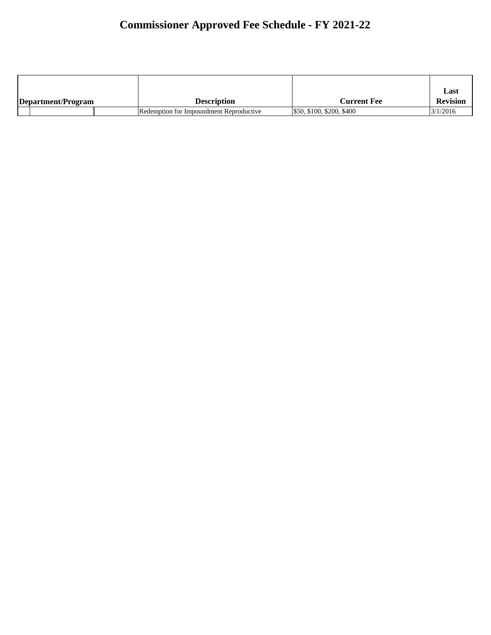|                    |  |                                         |                           | Last            |
|--------------------|--|-----------------------------------------|---------------------------|-----------------|
| Department/Program |  | Description                             | <b>Current Fee</b>        | <b>Revision</b> |
|                    |  | Redemption for Impoundment Reproductive | \$50, \$100, \$200, \$400 | 3/1/2016        |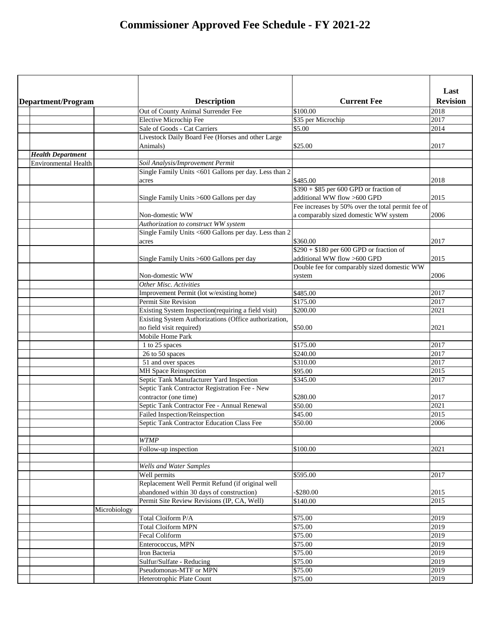|                             |                                                       |                                                                         | Last            |
|-----------------------------|-------------------------------------------------------|-------------------------------------------------------------------------|-----------------|
| Department/Program          | <b>Description</b>                                    | <b>Current Fee</b>                                                      | <b>Revision</b> |
|                             | Out of County Animal Surrender Fee                    | \$100.00                                                                | 2018            |
|                             | <b>Elective Microchip Fee</b>                         | \$35 per Microchip                                                      | 2017            |
|                             | Sale of Goods - Cat Carriers                          | \$5.00                                                                  | 2014            |
|                             | Livestock Daily Board Fee (Horses and other Large     |                                                                         |                 |
|                             | Animals)                                              | \$25.00                                                                 | 2017            |
| <b>Health Department</b>    |                                                       |                                                                         |                 |
| <b>Environmental Health</b> | Soil Analysis/Improvement Permit                      |                                                                         |                 |
|                             | Single Family Units <601 Gallons per day. Less than 2 |                                                                         |                 |
|                             | acres                                                 | \$485.00                                                                | 2018            |
|                             |                                                       | $$390 + $85$ per 600 GPD or fraction of                                 |                 |
|                             | Single Family Units >600 Gallons per day              | additional WW flow >600 GPD                                             | 2015            |
|                             |                                                       | Fee increases by 50% over the total permit fee of                       |                 |
|                             | Non-domestic WW                                       | a comparably sized domestic WW system                                   | 2006            |
|                             | Authorization to construct WW system                  |                                                                         |                 |
|                             | Single Family Units <600 Gallons per day. Less than 2 |                                                                         |                 |
|                             | acres                                                 | \$360.00                                                                | 2017            |
|                             |                                                       | $$290 + $180$ per 600 GPD or fraction of<br>additional WW flow >600 GPD |                 |
|                             | Single Family Units >600 Gallons per day              |                                                                         | 2015            |
|                             | Non-domestic WW                                       | Double fee for comparably sized domestic WW                             | 2006            |
|                             | <b>Other Misc. Activities</b>                         | system                                                                  |                 |
|                             | Improvement Permit (lot w/existing home)              | \$485.00                                                                | 2017            |
|                             | <b>Permit Site Revision</b>                           | \$175.00                                                                | 2017            |
|                             | Existing System Inspection(requiring a field visit)   | \$200.00                                                                | 2021            |
|                             | Existing System Authorizations (Office authorization, |                                                                         |                 |
|                             | no field visit required)                              | \$50.00                                                                 | 2021            |
|                             | Mobile Home Park                                      |                                                                         |                 |
|                             | 1 to 25 spaces                                        | \$175.00                                                                | 2017            |
|                             | 26 to 50 spaces                                       | \$240.00                                                                | 2017            |
|                             | 51 and over spaces                                    | \$310.00                                                                | 2017            |
|                             | <b>MH Space Reinspection</b>                          | \$95.00                                                                 | 2015            |
|                             | Septic Tank Manufacturer Yard Inspection              | \$345.00                                                                | 2017            |
|                             | Septic Tank Contractor Registration Fee - New         |                                                                         |                 |
|                             | contractor (one time)                                 | \$280.00                                                                | 2017            |
|                             | Septic Tank Contractor Fee - Annual Renewal           | \$50.00                                                                 | 2021            |
|                             | Failed Inspection/Reinspection                        | \$45.00                                                                 | 2015            |
|                             | Septic Tank Contractor Education Class Fee            | \$50.00                                                                 | 2006            |
|                             |                                                       |                                                                         |                 |
|                             | <b>WTMP</b>                                           |                                                                         |                 |
|                             | Follow-up inspection                                  | \$100.00                                                                | 2021            |
|                             |                                                       |                                                                         |                 |
|                             | <b>Wells and Water Samples</b>                        |                                                                         |                 |
|                             | Well permits                                          | \$595.00                                                                | 2017            |
|                             | Replacement Well Permit Refund (if original well      |                                                                         |                 |
|                             | abandoned within 30 days of construction)             | $-$ \$280.00                                                            | 2015            |
|                             | Permit Site Review Revisions (IP, CA, Well)           | \$140.00                                                                | 2015            |
|                             | Microbiology                                          |                                                                         |                 |
|                             | Total Cloiform P/A                                    | \$75.00                                                                 | 2019            |
|                             | <b>Total Cloiform MPN</b>                             | \$75.00                                                                 | 2019            |
|                             | <b>Fecal Coliform</b>                                 | \$75.00                                                                 | 2019            |
|                             | Enterococcus, MPN                                     | \$75.00                                                                 | 2019            |
|                             | Iron Bacteria                                         | \$75.00                                                                 | 2019            |
|                             | Sulfur/Sulfate - Reducing                             | \$75.00                                                                 | 2019            |
|                             | Pseudomonas-MTF or MPN                                | \$75.00                                                                 | 2019            |
|                             | Heterotrophic Plate Count                             | \$75.00                                                                 | 2019            |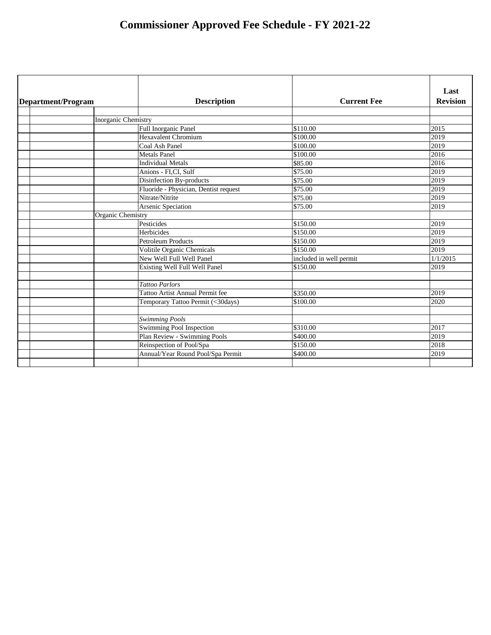| Department/Program         | <b>Description</b>                     | <b>Current Fee</b>      | Last<br><b>Revision</b> |
|----------------------------|----------------------------------------|-------------------------|-------------------------|
|                            |                                        |                         |                         |
| <b>Inorganic Chemistry</b> |                                        |                         |                         |
|                            | Full Inorganic Panel                   | \$110.00                | 2015                    |
|                            | Hexavalent Chromium                    | \$100.00                | 2019                    |
|                            | Coal Ash Panel                         | \$100.00                | 2019                    |
|                            | <b>Metals Panel</b>                    | \$100.00                | 2016                    |
|                            | <b>Individual Metals</b>               | \$85.00                 | 2016                    |
|                            | Anions - FI,CI, Sulf                   | \$75.00                 | 2019                    |
|                            | Disinfection By-products               | \$75.00                 | 2019                    |
|                            | Fluoride - Physician, Dentist request  | \$75.00                 | 2019                    |
|                            | Nitrate/Nitrite                        | \$75.00                 | 2019                    |
|                            | Arsenic Speciation                     | \$75.00                 | 2019                    |
| <b>Organic Chemistry</b>   |                                        |                         |                         |
|                            | Pesticides                             | \$150.00                | 2019                    |
|                            | Herbicides                             | \$150.00                | 2019                    |
|                            | <b>Petroleum Products</b>              | $\overline{$}150.00$    | 2019                    |
|                            | <b>Volitile Organic Chemicals</b>      | \$150.00                | 2019                    |
|                            | New Well Full Well Panel               | included in well permit | 1/1/2015                |
|                            | Existing Well Full Well Panel          | \$150.00                | 2019                    |
|                            |                                        |                         |                         |
|                            | <b>Tattoo Parlors</b>                  |                         |                         |
|                            | <b>Tattoo Artist Annual Permit fee</b> | $\overline{$}350.00$    | 2019                    |
|                            | Temporary Tattoo Permit (<30days)      | $\sqrt{5100.00}$        | 2020                    |
|                            |                                        |                         |                         |
|                            | <b>Swimming Pools</b>                  |                         |                         |
|                            | <b>Swimming Pool Inspection</b>        | \$310.00                | 2017                    |
|                            | <b>Plan Review - Swimming Pools</b>    | \$400.00                | 2019                    |
|                            | Reinspection of Pool/Spa               | \$150.00                | 2018                    |
|                            | Annual/Year Round Pool/Spa Permit      | \$400.00                | 2019                    |
|                            |                                        |                         |                         |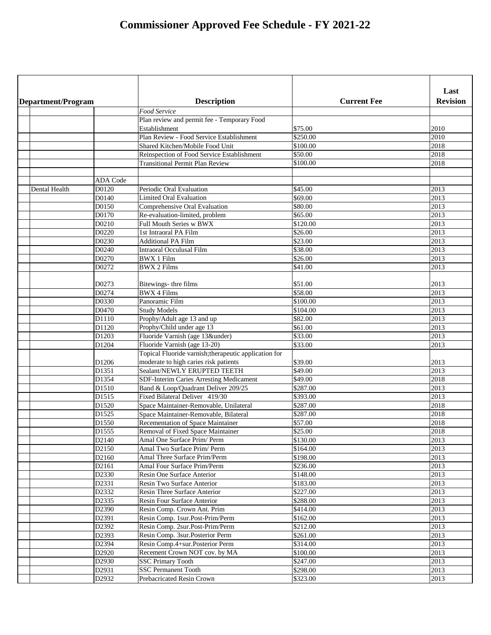| Department/Program |                 | <b>Description</b>                                    | <b>Current Fee</b> | Last<br><b>Revision</b> |
|--------------------|-----------------|-------------------------------------------------------|--------------------|-------------------------|
|                    |                 | <b>Food Service</b>                                   |                    |                         |
|                    |                 | Plan review and permit fee - Temporary Food           |                    |                         |
|                    |                 | Establishment                                         | \$75.00            | 2010                    |
|                    |                 | Plan Review - Food Service Establishment              | \$250.00           | 2010                    |
|                    |                 | Shared Kitchen/Mobile Food Unit                       | \$100.00           | 2018                    |
|                    |                 | Reinspection of Food Service Establishment            | \$50.00            | 2018                    |
|                    |                 | <b>Transitional Permit Plan Review</b>                | \$100.00           | 2018                    |
|                    |                 |                                                       |                    |                         |
|                    | <b>ADA</b> Code |                                                       |                    |                         |
| Dental Health      | D0120           | Periodic Oral Evaluation                              | \$45.00            | 2013                    |
|                    | D0140           | <b>Limited Oral Evaluation</b>                        | \$69.00            | 2013                    |
|                    | D0150           | Comprehensive Oral Evaluation                         | \$80.00            | 2013                    |
|                    | D0170           | Re-evaluation-limited, problem                        | \$65.00            | 2013                    |
|                    | D0210           | <b>Full Mouth Series w BWX</b>                        | \$120.00           | 2013                    |
|                    | D0220           | 1st Intraoral PA Film                                 | $\sqrt{$}26.00$    | 2013                    |
|                    | D0230           | <b>Additional PA Film</b>                             | \$23.00            | 2013                    |
|                    | D0240           | <b>Intraoral Occulusal Film</b>                       | \$38.00            | 2013                    |
|                    | D0270           | <b>BWX 1 Film</b>                                     | \$26.00            | 2013                    |
|                    | D0272           | <b>BWX 2 Films</b>                                    | \$41.00            | 2013                    |
|                    |                 |                                                       |                    |                         |
|                    | D0273           | Bitewings- thre films                                 | \$51.00            | 2013                    |
|                    | D0274           | <b>BWX 4 Films</b>                                    | \$58.00            | 2013                    |
|                    | D0330           | Panoramic Film                                        | $\sqrt{$100.00}$   | 2013                    |
|                    | D0470           | <b>Study Models</b>                                   | \$104.00           | 2013                    |
|                    | D1110           | Prophy/Adult age 13 and up                            | \$82.00            | 2013                    |
|                    | D1120           | Prophy/Child under age 13                             | \$61.00            | 2013                    |
|                    | D1203           | Fluoride Varnish (age 13&under)                       | \$33.00            | 2013                    |
|                    | D1204           | Fluoride Varnish (age 13-20)                          | \$33.00            | 2013                    |
|                    |                 | Topical Fluoride varnish; therapeutic application for |                    |                         |
|                    | D1206           | moderate to high caries risk patients                 | \$39.00            | 2013                    |
|                    | D1351           | Sealant/NEWLY ERUPTED TEETH                           | \$49.00            | 2013                    |
|                    | D1354           | <b>SDF-Interim Caries Arresting Medicament</b>        | \$49.00            | 2018                    |
|                    | D1510           | Band & Loop/Quadrant Deliver 209/25                   | \$287.00           | 2013                    |
|                    | D1515           | Fixed Bilateral Deliver 419/30                        | \$393.00           | 2013                    |
|                    | D1520           | Space Maintainer-Removable, Unilateral                | \$287.00           | 2018                    |
|                    | D1525           | Space Maintainer-Removable, Bilateral                 | \$287.00           | 2018                    |
|                    | D1550           | Recementation of Space Maintainer                     | \$57.00            | 2018                    |
|                    | D1555           | Removal of Fixed Space Maintainer                     | \$25.00            | 2018                    |
|                    | D2140           | Amal One Surface Prim/ Perm                           | \$130.00           | 2013                    |
|                    | D2150           | Amal Two Surface Prim/ Perm                           | \$164.00           | 2013                    |
|                    | D2160           | Amal Three Surface Prim/Perm                          | \$198.00           | 2013                    |
|                    | D2161           | <b>Amal Four Surface Prim/Perm</b>                    | \$236.00           | 2013                    |
|                    | D2330           | <b>Resin One Surface Anterior</b>                     | \$148.00           | 2013                    |
|                    | D2331           | <b>Resin Two Surface Anterior</b>                     | \$183.00           | 2013                    |
|                    | D2332           | <b>Resin Three Surface Anterior</b>                   | \$227.00           | 2013                    |
|                    | D2335           | <b>Resin Four Surface Anterior</b>                    | \$288.00           | 2013                    |
|                    | D2390           | Resin Comp. Crown Ant. Prim                           | \$414.00           | 2013                    |
|                    | D2391           | Resin Comp. 1sur.Post-Prim/Perm                       | \$162.00           | 2013                    |
|                    | D2392           | Resin Comp. 2sur.Post-Prim/Perm                       | \$212.00           | 2013                    |
|                    |                 |                                                       |                    |                         |
|                    | D2393           | Resin Comp. 3sur. Posterior Perm                      | \$261.00           | 2013                    |
|                    | D2394           | Resin Comp.4+sur.Posterior Perm                       | \$314.00           | 2013                    |
|                    | D2920           | Recement Crown NOT cov. by MA                         | \$100.00           | 2013                    |
|                    | D2930           | <b>SSC Primary Tooth</b>                              | \$247.00           | 2013                    |
|                    | D2931           | <b>SSC Permanent Tooth</b>                            | \$298.00           | 2013                    |
|                    | D2932           | <b>Prebacricated Resin Crown</b>                      | \$323.00           | 2013                    |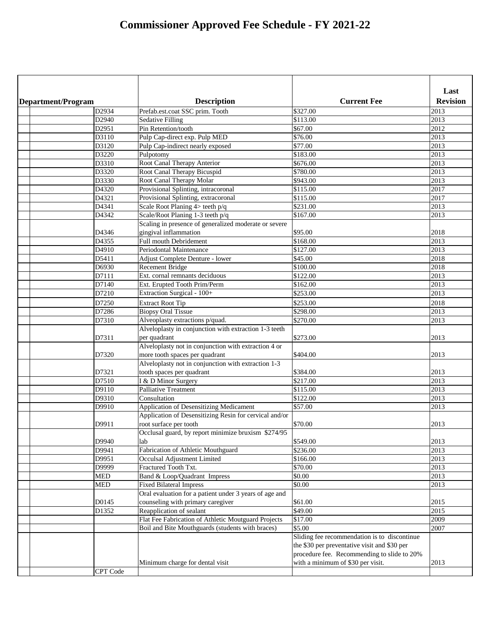|  |                    |                                                        |                                              | Last            |
|--|--------------------|--------------------------------------------------------|----------------------------------------------|-----------------|
|  | Department/Program | <b>Description</b>                                     | <b>Current Fee</b>                           | <b>Revision</b> |
|  | D2934              | Prefab.est.coat SSC prim. Tooth                        | \$327.00                                     | 2013            |
|  | D2940              | <b>Sedative Filling</b>                                | \$113.00                                     | 2013            |
|  | D2951              | Pin Retention/tooth                                    | \$67.00                                      | 2012            |
|  | D3110              | Pulp Cap-direct exp. Pulp MED                          | \$76.00                                      | 2013            |
|  | D3120              | Pulp Cap-indirect nearly exposed                       | \$77.00                                      | 2013            |
|  | D3220              | Pulpotomy                                              | \$183.00                                     | 2013            |
|  | D3310              | Root Canal Therapy Anterior                            | \$676.00                                     | 2013            |
|  | D3320              | Root Canal Therapy Bicuspid                            | \$780.00                                     | 2013            |
|  | D3330              | Root Canal Therapy Molar                               | \$943.00                                     | 2013            |
|  | D4320              | Provisional Splinting, intracoronal                    | \$115.00                                     | 2017            |
|  | D4321              | Provisional Splinting, extracoronal                    | \$115.00                                     | 2017            |
|  | D4341              | Scale Root Planing $4$ teeth $p/q$                     | \$231.00                                     | 2013            |
|  | D4342              | Scale/Root Planing 1-3 teeth p/q                       | \$167.00                                     | 2013            |
|  |                    | Scaling in presence of generalized moderate or severe  |                                              |                 |
|  | D4346              | gingival inflammation                                  | \$95.00                                      | 2018            |
|  | D4355              | <b>Full mouth Debridement</b>                          | \$168.00                                     | 2013            |
|  | D4910              | Periodontal Maintenance                                | \$127.00                                     | 2013            |
|  | D5411              | Adjust Complete Denture - lower                        | \$45.00                                      | 2018            |
|  | D6930              | <b>Recement Bridge</b>                                 | \$100.00                                     | 2018            |
|  | D7111              | Ext. cornal remnants deciduous                         | \$122.00                                     | 2013            |
|  | D7140              | Ext. Erupted Tooth Prim/Perm                           | \$162.00                                     | 2013            |
|  | D7210              | Extraction Surgical - 100+                             | \$253.00                                     | 2013            |
|  | D7250              | <b>Extract Root Tip</b>                                | \$253.00                                     | 2018            |
|  | D7286              | <b>Biopsy Oral Tissue</b>                              | \$298.00                                     | 2013            |
|  | D7310              | Alveoplasty extractions p/quad.                        | \$270.00                                     | 2013            |
|  |                    | Alveloplasty in conjunction with extraction 1-3 teeth  |                                              |                 |
|  | D7311              | per quadrant                                           | \$273.00                                     | 2013            |
|  |                    | Alveloplasty not in conjunction with extraction 4 or   |                                              |                 |
|  | D7320              | more tooth spaces per quadrant                         | \$404.00                                     | 2013            |
|  |                    | Alveloplasty not in conjunction with extraction 1-3    |                                              |                 |
|  | D7321              | tooth spaces per quadrant                              | \$384.00                                     | 2013            |
|  | D7510              | I & D Minor Surgery                                    | \$217.00                                     | 2013            |
|  | D9110              | <b>Palliative Treatment</b>                            | \$115.00                                     | 2013            |
|  | D9310              | Consultation                                           | \$122.00                                     | 2013            |
|  | D9910              | <b>Application of Desensitizing Medicament</b>         | \$57.00                                      | 2013            |
|  |                    | Application of Desensitizing Resin for cervical and/or |                                              |                 |
|  | D9911              | root surface per tooth                                 | \$70.00                                      | 2013            |
|  |                    | Occlusal guard, by report minimize bruxism \$274/95    |                                              |                 |
|  | D9940              | lab                                                    | \$549.00                                     | 2013            |
|  | D9941              | Fabrication of Athletic Mouthguard                     | \$236.00                                     | 2013            |
|  | D9951              | Occulsal Adjustment Limited                            | \$166.00                                     | 2013            |
|  | D9999              | Fractured Tooth Txt.                                   | \$70.00                                      | 2013            |
|  | <b>MED</b>         | Band & Loop/Quadrant Impress                           | \$0.00                                       | 2013            |
|  | <b>MED</b>         | <b>Fixed Bilateral Impress</b>                         | \$0.00                                       | 2013            |
|  |                    | Oral evaluation for a patient under 3 years of age and |                                              |                 |
|  | D0145              | counseling with primary caregiver                      | \$61.00                                      | 2015            |
|  | D1352              | Reapplication of sealant                               | \$49.00                                      | 2015            |
|  |                    | Flat Fee Fabrication of Athletic Moutguard Projects    | \$17.00                                      | 2009            |
|  |                    | Boil and Bite Mouthguards (students with braces)       | \$5.00                                       | 2007            |
|  |                    |                                                        | Sliding fee recommendation is to discontinue |                 |
|  |                    |                                                        | the \$30 per preventative visit and \$30 per |                 |
|  |                    |                                                        | procedure fee. Recommending to slide to 20%  |                 |
|  |                    | Minimum charge for dental visit                        | with a minimum of \$30 per visit.            | 2013            |
|  | CPT Code           |                                                        |                                              |                 |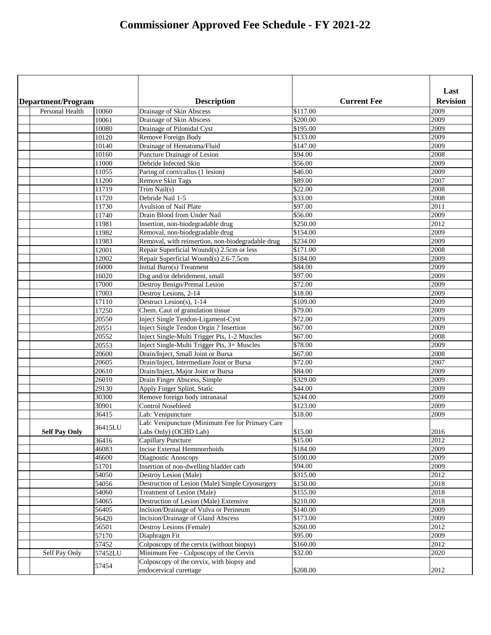|                        |         |                                                   |                    | Last            |
|------------------------|---------|---------------------------------------------------|--------------------|-----------------|
| Department/Program     |         | <b>Description</b>                                | <b>Current Fee</b> | <b>Revision</b> |
| <b>Personal Health</b> | 10060   | Drainage of Skin Abscess                          | \$117.00           | 2009            |
|                        | 10061   | Drainage of Skin Abscess                          | \$200.00           | 2009            |
|                        | 10080   | Drainage of Pilonidal Cyst                        | \$195.00           | 2009            |
|                        | 10120   | Remove Foreign Body                               | \$133.00           | 2009            |
|                        | 10140   | Drainage of Hematoma/Fluid                        | \$147.00           | 2009            |
|                        | 10160   | Puncture Drainage of Lesion                       | \$94.00            | 2008            |
|                        | 11000   | Debride Infected Skin                             | \$56.00            | 2009            |
|                        | 11055   | Paring of corn/callus (1 lesion)                  | \$46.00            | 2009            |
|                        | 11200   | <b>Remove Skin Tags</b>                           | \$89.00            | 2007            |
|                        | 11719   | Trim Nail(s)                                      | \$22.00            | 2008            |
|                        | 11720   | Debride Nail 1-5                                  | \$33.00            | 2008            |
|                        | 11730   | <b>Avulsion of Nail Plate</b>                     | \$97.00            | 2011            |
|                        | 11740   | Drain Blood from Under Nail                       | \$56.00            | 2009            |
|                        | 11981   | Insertion, non-biodegradable drug                 | \$250.00           | 2012            |
|                        | 11982   | Removal, non-biodegradable drug                   | \$154.00           | 2009            |
|                        | 11983   | Removal, with reinsertion, non-biodegradable drug | \$234.00           | 2009            |
|                        | 12001   | Repair Superficial Wound(s) 2.5cm or less         | \$171.00           | 2008            |
|                        | 12002   | Repair Superficial Wound(s) 2.6-7.5cm             | \$184.00           | 2009            |
|                        | 16000   | Initial Burn(s) Treatment                         | \$84.00            | 2009            |
|                        | 16020   | Dsg and/or debridement, small                     | \$97.00            | 2009            |
|                        | 17000   | <b>Destroy Benign/Premal Lesion</b>               | \$72.00            | 2009            |
|                        | 17003   | Destroy Lesions, 2-14                             | \$18.00            | 2009            |
|                        | 17110   | Destruct Lesion(s), 1-14                          | \$109.00           | 2009            |
|                        | 17250   | Chem. Caut of granulation tissue                  | \$79.00            | 2009            |
|                        | 20550   | <b>Inject Single Tendon-Ligament-Cyst</b>         | \$72.00            | 2009            |
|                        | 20551   | Inject Single Tendon Orgin? Insertion             | \$67.00            | 2009            |
|                        | 20552   | Inject Single-Multi Trigger Pts, 1-2 Muscles      | \$67.00            | 2008            |
|                        | 20553   | Inject Single-Multi Trigger Pts, 3+ Muscles       | \$78.00            | 2009            |
|                        | 20600   | Drain/Inject, Small Joint or Bursa                | \$67.00            | 2008            |
|                        | 20605   | Drain/Inject, Intermediate Joint or Bursa         | \$72.00            | 2007            |
|                        | 20610   | Drain/Inject, Major Joint or Bursa                | \$84.00            | 2009            |
|                        | 26010   | Drain Finger Abscess, Simple                      | \$329.00           | 2009            |
|                        | 29130   | <b>Apply Finger Splint, Static</b>                | \$44.00            | 2009            |
|                        | 30300   | Remove foreign body intranasal                    | \$244.00           | 2009            |
|                        | 30901   | <b>Control Nosebleed</b>                          | \$123.00           | 2009            |
|                        | 36415   | Lab: Venipuncture                                 | \$18.00            | 2009            |
|                        | 36415LU | Lab: Venipuncture (Minimum Fee for Primary Care   |                    |                 |
| <b>Self Pay Only</b>   |         | Labs Only) (OCHD Lab)                             | \$15.00            | 2016            |
|                        | 36416   | <b>Capillary Puncture</b>                         | \$15.00            | 2012            |
|                        | 46083   | <b>Incise External Hemmorrhoids</b>               | \$184.00           | 2009            |
|                        | 46600   | Diagnostic Anoscopy                               | \$100.00           | 2009            |
|                        | 51701   | Insertion of non-dwelling bladder cath            | \$94.00            | 2009            |
|                        | 54050   | Destroy Lesion (Male)                             | \$315.00           | 2012            |
|                        | 54056   | Destruction of Lesion (Male) Simple Cryosurgery   | \$150.00           | 2018            |
|                        | 54060   | <b>Treatment of Lesion (Male)</b>                 | \$155.00           | 2018            |
|                        | 54065   | Destruction of Lesion (Male) Extensive            | \$210.00           | 2018            |
|                        | 56405   | Incision/Drainage of Vulva or Perineum            | \$140.00           | 2009            |
|                        | 56420   | <b>Incision/Drainage of Gland Abscess</b>         | \$173.00           | 2009            |
|                        | 56501   | Destroy Lesions (Female)                          | \$260.00           | 2012            |
|                        | 57170   | Diaphragm Fit                                     | \$95.00            | 2009            |
|                        | 57452   | Colposcopy of the cervix (without biopsy)         | \$160.00           | 2012            |
| Self Pay Only          | 57452LU | Minimum Fee - Colposcopy of the Cervix            | \$32.00            | 2020            |
|                        | 57454   | Colposcopy of the cervix, with biopsy and         |                    |                 |
|                        |         | endocervical curettage                            | \$208.00           | 2012            |
|                        |         |                                                   |                    |                 |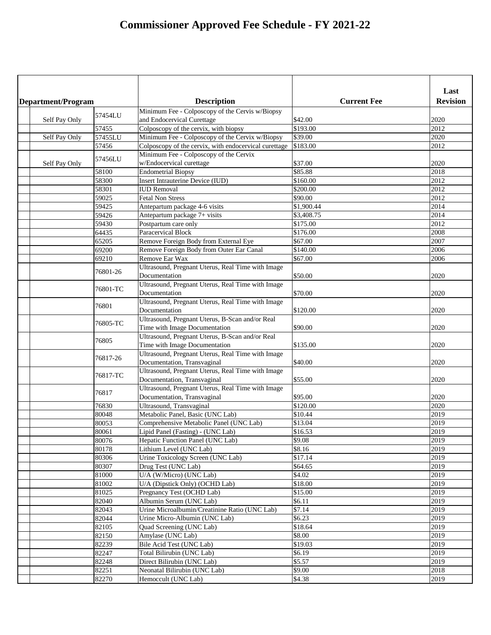|                    |          |                                                       |                    | Last            |
|--------------------|----------|-------------------------------------------------------|--------------------|-----------------|
| Department/Program |          | <b>Description</b>                                    | <b>Current Fee</b> | <b>Revision</b> |
|                    | 57454LU  | Minimum Fee - Colposcopy of the Cervis w/Biopsy       |                    |                 |
| Self Pay Only      |          | and Endocervical Curettage                            | \$42.00            | 2020            |
|                    | 57455    | Colposcopy of the cervix, with biopsy                 | $\sqrt{$}193.00$   | 2012            |
| Self Pay Only      | 57455LU  | Minimum Fee - Colposcopy of the Cervix w/Biopsy       | \$39.00            | 2020            |
|                    | 57456    | Colposcopy of the cervix, with endocervical curettage | \$183.00           | 2012            |
|                    | 57456LU  | Minimum Fee - Colposcopy of the Cervix                |                    |                 |
| Self Pay Only      |          | w/Endocervical curettage                              | \$37.00            | 2020            |
|                    | 58100    | <b>Endometrial Biopsy</b>                             | \$85.88            | 2018            |
|                    | 58300    | <b>Insert Intrauterine Device (IUD)</b>               | \$160.00           | 2012            |
|                    | 58301    | <b>IUD Removal</b>                                    | \$200.00           | 2012            |
|                    | 59025    | <b>Fetal Non Stress</b>                               | \$90.00            | 2012            |
|                    | 59425    | Antepartum package 4-6 visits                         | \$1,900.44         | 2014            |
|                    | 59426    | Antepartum package 7+ visits                          | \$3,408.75         | 2014            |
|                    | 59430    | Postpartum care only                                  | \$175.00           | 2012            |
|                    | 64435    | <b>Paracervical Block</b>                             | \$176.00           | 2008            |
|                    | 65205    | Remove Foreign Body from External Eye                 | \$67.00            | 2007            |
|                    | 69200    | Remove Foreign Body from Outer Ear Canal              | \$140.00           | 2006            |
|                    | 69210    | <b>Remove Ear Wax</b>                                 | \$67.00            | 2006            |
|                    | 76801-26 | Ultrasound, Pregnant Uterus, Real Time with Image     |                    |                 |
|                    |          | Documentation                                         | \$50.00            | 2020            |
|                    | 76801-TC | Ultrasound, Pregnant Uterus, Real Time with Image     |                    |                 |
|                    |          | Documentation                                         | \$70.00            | 2020            |
|                    | 76801    | Ultrasound, Pregnant Uterus, Real Time with Image     |                    |                 |
|                    |          | Documentation                                         | \$120.00           | 2020            |
|                    | 76805-TC | Ultrasound, Pregnant Uterus, B-Scan and/or Real       |                    |                 |
|                    |          | Time with Image Documentation                         | \$90.00            | 2020            |
|                    | 76805    | Ultrasound, Pregnant Uterus, B-Scan and/or Real       |                    |                 |
|                    |          | Time with Image Documentation                         | \$135.00           | 2020            |
|                    | 76817-26 | Ultrasound, Pregnant Uterus, Real Time with Image     |                    |                 |
|                    |          | Documentation, Transvaginal                           | \$40.00            | 2020            |
|                    | 76817-TC | Ultrasound, Pregnant Uterus, Real Time with Image     |                    |                 |
|                    |          | Documentation, Transvaginal                           | \$55.00            | 2020            |
|                    | 76817    | Ultrasound, Pregnant Uterus, Real Time with Image     |                    |                 |
|                    |          | Documentation, Transvaginal                           | \$95.00            | 2020            |
|                    | 76830    | Ultrasound, Transvaginal                              | \$120.00           | 2020            |
|                    | 80048    | Metabolic Panel, Basic (UNC Lab)                      | \$10.44            | 2019            |
|                    | 80053    | Comprehensive Metabolic Panel (UNC Lab)               | \$13.04            | 2019            |
|                    | 80061    | Lipid Panel (Fasting) - (UNC Lab)                     | \$16.53            | 2019            |
|                    | 80076    | Hepatic Function Panel (UNC Lab)                      | \$9.08             | 2019            |
|                    | 80178    | Lithium Level (UNC Lab)                               | \$8.16             | 2019            |
|                    | 80306    | Urine Toxicology Screen (UNC Lab)                     | \$17.14            | 2019            |
|                    | 80307    | Drug Test (UNC Lab)                                   | \$64.65            | 2019            |
|                    | 81000    | U/A (W/Micro) (UNC Lab)                               | \$4.02             | 2019            |
|                    | 81002    | U/A (Dipstick Only) (OCHD Lab)                        | \$18.00            | 2019            |
|                    | 81025    | Pregnancy Test (OCHD Lab)                             | \$15.00            | 2019            |
|                    | 82040    | Albumin Serum (UNC Lab)                               | \$6.11             | 2019            |
|                    | 82043    | Urine Microalbumin/Creatinine Ratio (UNC Lab)         | \$7.14             | 2019            |
|                    | 82044    | Urine Micro-Albumin (UNC Lab)                         | \$6.23             | 2019            |
|                    | 82105    | Quad Screening (UNC Lab)                              | \$18.64            | 2019            |
|                    | 82150    | Amylase (UNC Lab)                                     | \$8.00             | 2019            |
|                    | 82239    | Bile Acid Test (UNC Lab)                              | \$19.03            | 2019            |
|                    | 82247    | Total Bilirubin (UNC Lab)                             | \$6.19             | 2019            |
|                    | 82248    | Direct Bilirubin (UNC Lab)                            | \$5.57             | 2019            |
|                    | 82251    | Neonatal Bilirubin (UNC Lab)                          | \$9.00             | 2018            |
|                    | 82270    | Hemoccult (UNC Lab)                                   | \$4.38             | 2019            |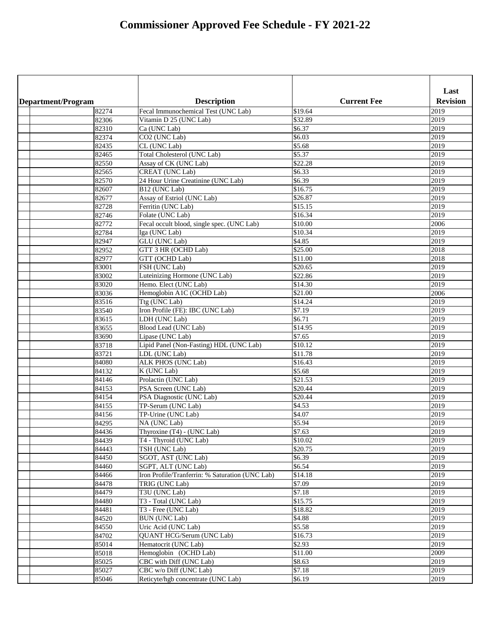| <b>Revision</b><br><b>Description</b><br><b>Current Fee</b><br>Department/Program<br>Fecal Immunochemical Test (UNC Lab)<br>\$19.64<br>2019<br>82274<br>\$32.89<br>82306<br>Vitamin D 25 (UNC Lab)<br>2019<br>Ca (UNC Lab)<br>\$6.37<br>2019<br>82310<br>\$6.03<br>CO <sub>2</sub> (UNC Lab)<br>2019<br>82374<br>\$5.68<br>CL (UNC Lab)<br>2019<br>82435<br>\$5.37<br>2019<br>Total Cholesterol (UNC Lab)<br>82465<br>\$22.28<br>Assay of CK (UNC Lab)<br>2019<br>82550<br>\$6.33<br>CREAT (UNC Lab)<br>2019<br>82565<br>\$6.39<br>24 Hour Urine Creatinine (UNC Lab)<br>2019<br>82570<br>\$16.75<br>2019<br>B12 (UNC Lab)<br>82607<br>Assay of Estriol (UNC Lab)<br>\$26.87<br>2019<br>82677<br>\$15.15<br>2019<br>82728<br>Ferritin (UNC Lab)<br>\$16.34<br>2019<br>Folate (UNC Lab)<br>82746<br>\$10.00<br>2006<br>Fecal occult blood, single spec. (UNC Lab)<br>82772<br>\$10.34<br>2019<br>82784<br>Iga (UNC Lab)<br>\$4.85<br>2019<br>GLU (UNC Lab)<br>82947<br>\$25.00<br>2018<br>GTT 3 HR (OCHD Lab)<br>82952<br>\$11.00<br>2018<br>GTT (OCHD Lab)<br>82977<br>\$20.65<br>FSH (UNC Lab)<br>2019<br>83001<br>\$22.86<br>Luteinizing Hormone (UNC Lab)<br>2019<br>83002<br>Hemo. Elect (UNC Lab)<br>\$14.30<br>2019<br>83020<br>\$21.00<br>2006<br>83036<br>Hemoglobin A1C (OCHD Lab)<br>$\sqrt{$14.24}$<br>Ttg (UNC Lab)<br>2019<br>83516<br>\$7.19<br>Iron Profile (FE): IBC (UNC Lab)<br>2019<br>83540<br>\$6.71<br>LDH (UNC Lab)<br>2019<br>83615<br>\$14.95<br>Blood Lead (UNC Lab)<br>2019<br>83655<br>83690<br>\$7.65<br>2019<br>Lipase (UNC Lab)<br>\$10.12<br>83718<br>2019<br>Lipid Panel (Non-Fasting) HDL (UNC Lab)<br>\$11.78<br>83721<br>2019<br>LDL (UNC Lab)<br>\$16.43<br>84080<br>ALK PHOS (UNC Lab)<br>2019<br>\$5.68<br>K (UNC Lab)<br>2019<br>84132<br>\$21.53<br>84146<br>Prolactin (UNC Lab)<br>2019<br>\$20.44<br>2019<br>84153<br>PSA Screen (UNC Lab)<br>\$20.44<br>84154<br>PSA Diagnostic (UNC Lab)<br>2019<br>\$4.53<br>84155<br>2019<br>TP-Serum (UNC Lab)<br>\$4.07<br>84156<br>TP-Urine (UNC Lab)<br>2019<br>\$5.94<br>2019<br>84295<br>NA (UNC Lab)<br>\$7.63<br>84436<br>Thyroxine (T4) - (UNC Lab)<br>2019<br>\$10.02<br>84439<br>T4 - Thyroid (UNC Lab)<br>2019<br>TSH (UNC Lab)<br>\$20.75<br>84443<br>2019<br>\$6.39<br>SGOT, AST (UNC Lab)<br>2019<br>84450<br>\$6.54<br>2019<br>84460<br>SGPT, ALT (UNC Lab)<br>\$14.18<br>2019<br>84466<br>Iron Profile/Tranferrin: % Saturation (UNC Lab)<br>\$7.09<br>84478<br>TRIG (UNC Lab)<br>2019<br>\$7.18<br>84479<br>T3U (UNC Lab)<br>2019<br>\$15.75<br>2019<br>84480<br>T3 - Total (UNC Lab)<br>\$18.82<br>2019<br>84481<br>T3 - Free (UNC Lab)<br>\$4.88<br>84520<br>2019<br><b>BUN</b> (UNC Lab)<br>\$5.58<br>2019<br>84550<br>Uric Acid (UNC Lab)<br>\$16.73<br>2019<br>84702<br><b>QUANT HCG/Serum (UNC Lab)</b><br>\$2.93<br>2019<br>85014<br>Hematocrit (UNC Lab)<br>\$11.00<br>85018<br>Hemoglobin (OCHD Lab)<br>2009<br>\$8.63<br>CBC with Diff (UNC Lab)<br>2019<br>85025<br>\$7.18<br>2019<br>85027<br>CBC w/o Diff (UNC Lab)<br>\$6.19<br>2019<br>85046<br>Reticyte/hgb concentrate (UNC Lab) |  |  |      |
|----------------------------------------------------------------------------------------------------------------------------------------------------------------------------------------------------------------------------------------------------------------------------------------------------------------------------------------------------------------------------------------------------------------------------------------------------------------------------------------------------------------------------------------------------------------------------------------------------------------------------------------------------------------------------------------------------------------------------------------------------------------------------------------------------------------------------------------------------------------------------------------------------------------------------------------------------------------------------------------------------------------------------------------------------------------------------------------------------------------------------------------------------------------------------------------------------------------------------------------------------------------------------------------------------------------------------------------------------------------------------------------------------------------------------------------------------------------------------------------------------------------------------------------------------------------------------------------------------------------------------------------------------------------------------------------------------------------------------------------------------------------------------------------------------------------------------------------------------------------------------------------------------------------------------------------------------------------------------------------------------------------------------------------------------------------------------------------------------------------------------------------------------------------------------------------------------------------------------------------------------------------------------------------------------------------------------------------------------------------------------------------------------------------------------------------------------------------------------------------------------------------------------------------------------------------------------------------------------------------------------------------------------------------------------------------------------------------------------------------------------------------------------------------------------------------------------------------------------------------------------------------------------------------------------------------------------------------------------------------------------------------------------------------------------------------------------------------------------|--|--|------|
|                                                                                                                                                                                                                                                                                                                                                                                                                                                                                                                                                                                                                                                                                                                                                                                                                                                                                                                                                                                                                                                                                                                                                                                                                                                                                                                                                                                                                                                                                                                                                                                                                                                                                                                                                                                                                                                                                                                                                                                                                                                                                                                                                                                                                                                                                                                                                                                                                                                                                                                                                                                                                                                                                                                                                                                                                                                                                                                                                                                                                                                                                                    |  |  | Last |
|                                                                                                                                                                                                                                                                                                                                                                                                                                                                                                                                                                                                                                                                                                                                                                                                                                                                                                                                                                                                                                                                                                                                                                                                                                                                                                                                                                                                                                                                                                                                                                                                                                                                                                                                                                                                                                                                                                                                                                                                                                                                                                                                                                                                                                                                                                                                                                                                                                                                                                                                                                                                                                                                                                                                                                                                                                                                                                                                                                                                                                                                                                    |  |  |      |
|                                                                                                                                                                                                                                                                                                                                                                                                                                                                                                                                                                                                                                                                                                                                                                                                                                                                                                                                                                                                                                                                                                                                                                                                                                                                                                                                                                                                                                                                                                                                                                                                                                                                                                                                                                                                                                                                                                                                                                                                                                                                                                                                                                                                                                                                                                                                                                                                                                                                                                                                                                                                                                                                                                                                                                                                                                                                                                                                                                                                                                                                                                    |  |  |      |
|                                                                                                                                                                                                                                                                                                                                                                                                                                                                                                                                                                                                                                                                                                                                                                                                                                                                                                                                                                                                                                                                                                                                                                                                                                                                                                                                                                                                                                                                                                                                                                                                                                                                                                                                                                                                                                                                                                                                                                                                                                                                                                                                                                                                                                                                                                                                                                                                                                                                                                                                                                                                                                                                                                                                                                                                                                                                                                                                                                                                                                                                                                    |  |  |      |
|                                                                                                                                                                                                                                                                                                                                                                                                                                                                                                                                                                                                                                                                                                                                                                                                                                                                                                                                                                                                                                                                                                                                                                                                                                                                                                                                                                                                                                                                                                                                                                                                                                                                                                                                                                                                                                                                                                                                                                                                                                                                                                                                                                                                                                                                                                                                                                                                                                                                                                                                                                                                                                                                                                                                                                                                                                                                                                                                                                                                                                                                                                    |  |  |      |
|                                                                                                                                                                                                                                                                                                                                                                                                                                                                                                                                                                                                                                                                                                                                                                                                                                                                                                                                                                                                                                                                                                                                                                                                                                                                                                                                                                                                                                                                                                                                                                                                                                                                                                                                                                                                                                                                                                                                                                                                                                                                                                                                                                                                                                                                                                                                                                                                                                                                                                                                                                                                                                                                                                                                                                                                                                                                                                                                                                                                                                                                                                    |  |  |      |
|                                                                                                                                                                                                                                                                                                                                                                                                                                                                                                                                                                                                                                                                                                                                                                                                                                                                                                                                                                                                                                                                                                                                                                                                                                                                                                                                                                                                                                                                                                                                                                                                                                                                                                                                                                                                                                                                                                                                                                                                                                                                                                                                                                                                                                                                                                                                                                                                                                                                                                                                                                                                                                                                                                                                                                                                                                                                                                                                                                                                                                                                                                    |  |  |      |
|                                                                                                                                                                                                                                                                                                                                                                                                                                                                                                                                                                                                                                                                                                                                                                                                                                                                                                                                                                                                                                                                                                                                                                                                                                                                                                                                                                                                                                                                                                                                                                                                                                                                                                                                                                                                                                                                                                                                                                                                                                                                                                                                                                                                                                                                                                                                                                                                                                                                                                                                                                                                                                                                                                                                                                                                                                                                                                                                                                                                                                                                                                    |  |  |      |
|                                                                                                                                                                                                                                                                                                                                                                                                                                                                                                                                                                                                                                                                                                                                                                                                                                                                                                                                                                                                                                                                                                                                                                                                                                                                                                                                                                                                                                                                                                                                                                                                                                                                                                                                                                                                                                                                                                                                                                                                                                                                                                                                                                                                                                                                                                                                                                                                                                                                                                                                                                                                                                                                                                                                                                                                                                                                                                                                                                                                                                                                                                    |  |  |      |
|                                                                                                                                                                                                                                                                                                                                                                                                                                                                                                                                                                                                                                                                                                                                                                                                                                                                                                                                                                                                                                                                                                                                                                                                                                                                                                                                                                                                                                                                                                                                                                                                                                                                                                                                                                                                                                                                                                                                                                                                                                                                                                                                                                                                                                                                                                                                                                                                                                                                                                                                                                                                                                                                                                                                                                                                                                                                                                                                                                                                                                                                                                    |  |  |      |
|                                                                                                                                                                                                                                                                                                                                                                                                                                                                                                                                                                                                                                                                                                                                                                                                                                                                                                                                                                                                                                                                                                                                                                                                                                                                                                                                                                                                                                                                                                                                                                                                                                                                                                                                                                                                                                                                                                                                                                                                                                                                                                                                                                                                                                                                                                                                                                                                                                                                                                                                                                                                                                                                                                                                                                                                                                                                                                                                                                                                                                                                                                    |  |  |      |
|                                                                                                                                                                                                                                                                                                                                                                                                                                                                                                                                                                                                                                                                                                                                                                                                                                                                                                                                                                                                                                                                                                                                                                                                                                                                                                                                                                                                                                                                                                                                                                                                                                                                                                                                                                                                                                                                                                                                                                                                                                                                                                                                                                                                                                                                                                                                                                                                                                                                                                                                                                                                                                                                                                                                                                                                                                                                                                                                                                                                                                                                                                    |  |  |      |
|                                                                                                                                                                                                                                                                                                                                                                                                                                                                                                                                                                                                                                                                                                                                                                                                                                                                                                                                                                                                                                                                                                                                                                                                                                                                                                                                                                                                                                                                                                                                                                                                                                                                                                                                                                                                                                                                                                                                                                                                                                                                                                                                                                                                                                                                                                                                                                                                                                                                                                                                                                                                                                                                                                                                                                                                                                                                                                                                                                                                                                                                                                    |  |  |      |
|                                                                                                                                                                                                                                                                                                                                                                                                                                                                                                                                                                                                                                                                                                                                                                                                                                                                                                                                                                                                                                                                                                                                                                                                                                                                                                                                                                                                                                                                                                                                                                                                                                                                                                                                                                                                                                                                                                                                                                                                                                                                                                                                                                                                                                                                                                                                                                                                                                                                                                                                                                                                                                                                                                                                                                                                                                                                                                                                                                                                                                                                                                    |  |  |      |
|                                                                                                                                                                                                                                                                                                                                                                                                                                                                                                                                                                                                                                                                                                                                                                                                                                                                                                                                                                                                                                                                                                                                                                                                                                                                                                                                                                                                                                                                                                                                                                                                                                                                                                                                                                                                                                                                                                                                                                                                                                                                                                                                                                                                                                                                                                                                                                                                                                                                                                                                                                                                                                                                                                                                                                                                                                                                                                                                                                                                                                                                                                    |  |  |      |
|                                                                                                                                                                                                                                                                                                                                                                                                                                                                                                                                                                                                                                                                                                                                                                                                                                                                                                                                                                                                                                                                                                                                                                                                                                                                                                                                                                                                                                                                                                                                                                                                                                                                                                                                                                                                                                                                                                                                                                                                                                                                                                                                                                                                                                                                                                                                                                                                                                                                                                                                                                                                                                                                                                                                                                                                                                                                                                                                                                                                                                                                                                    |  |  |      |
|                                                                                                                                                                                                                                                                                                                                                                                                                                                                                                                                                                                                                                                                                                                                                                                                                                                                                                                                                                                                                                                                                                                                                                                                                                                                                                                                                                                                                                                                                                                                                                                                                                                                                                                                                                                                                                                                                                                                                                                                                                                                                                                                                                                                                                                                                                                                                                                                                                                                                                                                                                                                                                                                                                                                                                                                                                                                                                                                                                                                                                                                                                    |  |  |      |
|                                                                                                                                                                                                                                                                                                                                                                                                                                                                                                                                                                                                                                                                                                                                                                                                                                                                                                                                                                                                                                                                                                                                                                                                                                                                                                                                                                                                                                                                                                                                                                                                                                                                                                                                                                                                                                                                                                                                                                                                                                                                                                                                                                                                                                                                                                                                                                                                                                                                                                                                                                                                                                                                                                                                                                                                                                                                                                                                                                                                                                                                                                    |  |  |      |
|                                                                                                                                                                                                                                                                                                                                                                                                                                                                                                                                                                                                                                                                                                                                                                                                                                                                                                                                                                                                                                                                                                                                                                                                                                                                                                                                                                                                                                                                                                                                                                                                                                                                                                                                                                                                                                                                                                                                                                                                                                                                                                                                                                                                                                                                                                                                                                                                                                                                                                                                                                                                                                                                                                                                                                                                                                                                                                                                                                                                                                                                                                    |  |  |      |
|                                                                                                                                                                                                                                                                                                                                                                                                                                                                                                                                                                                                                                                                                                                                                                                                                                                                                                                                                                                                                                                                                                                                                                                                                                                                                                                                                                                                                                                                                                                                                                                                                                                                                                                                                                                                                                                                                                                                                                                                                                                                                                                                                                                                                                                                                                                                                                                                                                                                                                                                                                                                                                                                                                                                                                                                                                                                                                                                                                                                                                                                                                    |  |  |      |
|                                                                                                                                                                                                                                                                                                                                                                                                                                                                                                                                                                                                                                                                                                                                                                                                                                                                                                                                                                                                                                                                                                                                                                                                                                                                                                                                                                                                                                                                                                                                                                                                                                                                                                                                                                                                                                                                                                                                                                                                                                                                                                                                                                                                                                                                                                                                                                                                                                                                                                                                                                                                                                                                                                                                                                                                                                                                                                                                                                                                                                                                                                    |  |  |      |
|                                                                                                                                                                                                                                                                                                                                                                                                                                                                                                                                                                                                                                                                                                                                                                                                                                                                                                                                                                                                                                                                                                                                                                                                                                                                                                                                                                                                                                                                                                                                                                                                                                                                                                                                                                                                                                                                                                                                                                                                                                                                                                                                                                                                                                                                                                                                                                                                                                                                                                                                                                                                                                                                                                                                                                                                                                                                                                                                                                                                                                                                                                    |  |  |      |
|                                                                                                                                                                                                                                                                                                                                                                                                                                                                                                                                                                                                                                                                                                                                                                                                                                                                                                                                                                                                                                                                                                                                                                                                                                                                                                                                                                                                                                                                                                                                                                                                                                                                                                                                                                                                                                                                                                                                                                                                                                                                                                                                                                                                                                                                                                                                                                                                                                                                                                                                                                                                                                                                                                                                                                                                                                                                                                                                                                                                                                                                                                    |  |  |      |
|                                                                                                                                                                                                                                                                                                                                                                                                                                                                                                                                                                                                                                                                                                                                                                                                                                                                                                                                                                                                                                                                                                                                                                                                                                                                                                                                                                                                                                                                                                                                                                                                                                                                                                                                                                                                                                                                                                                                                                                                                                                                                                                                                                                                                                                                                                                                                                                                                                                                                                                                                                                                                                                                                                                                                                                                                                                                                                                                                                                                                                                                                                    |  |  |      |
|                                                                                                                                                                                                                                                                                                                                                                                                                                                                                                                                                                                                                                                                                                                                                                                                                                                                                                                                                                                                                                                                                                                                                                                                                                                                                                                                                                                                                                                                                                                                                                                                                                                                                                                                                                                                                                                                                                                                                                                                                                                                                                                                                                                                                                                                                                                                                                                                                                                                                                                                                                                                                                                                                                                                                                                                                                                                                                                                                                                                                                                                                                    |  |  |      |
|                                                                                                                                                                                                                                                                                                                                                                                                                                                                                                                                                                                                                                                                                                                                                                                                                                                                                                                                                                                                                                                                                                                                                                                                                                                                                                                                                                                                                                                                                                                                                                                                                                                                                                                                                                                                                                                                                                                                                                                                                                                                                                                                                                                                                                                                                                                                                                                                                                                                                                                                                                                                                                                                                                                                                                                                                                                                                                                                                                                                                                                                                                    |  |  |      |
|                                                                                                                                                                                                                                                                                                                                                                                                                                                                                                                                                                                                                                                                                                                                                                                                                                                                                                                                                                                                                                                                                                                                                                                                                                                                                                                                                                                                                                                                                                                                                                                                                                                                                                                                                                                                                                                                                                                                                                                                                                                                                                                                                                                                                                                                                                                                                                                                                                                                                                                                                                                                                                                                                                                                                                                                                                                                                                                                                                                                                                                                                                    |  |  |      |
|                                                                                                                                                                                                                                                                                                                                                                                                                                                                                                                                                                                                                                                                                                                                                                                                                                                                                                                                                                                                                                                                                                                                                                                                                                                                                                                                                                                                                                                                                                                                                                                                                                                                                                                                                                                                                                                                                                                                                                                                                                                                                                                                                                                                                                                                                                                                                                                                                                                                                                                                                                                                                                                                                                                                                                                                                                                                                                                                                                                                                                                                                                    |  |  |      |
|                                                                                                                                                                                                                                                                                                                                                                                                                                                                                                                                                                                                                                                                                                                                                                                                                                                                                                                                                                                                                                                                                                                                                                                                                                                                                                                                                                                                                                                                                                                                                                                                                                                                                                                                                                                                                                                                                                                                                                                                                                                                                                                                                                                                                                                                                                                                                                                                                                                                                                                                                                                                                                                                                                                                                                                                                                                                                                                                                                                                                                                                                                    |  |  |      |
|                                                                                                                                                                                                                                                                                                                                                                                                                                                                                                                                                                                                                                                                                                                                                                                                                                                                                                                                                                                                                                                                                                                                                                                                                                                                                                                                                                                                                                                                                                                                                                                                                                                                                                                                                                                                                                                                                                                                                                                                                                                                                                                                                                                                                                                                                                                                                                                                                                                                                                                                                                                                                                                                                                                                                                                                                                                                                                                                                                                                                                                                                                    |  |  |      |
|                                                                                                                                                                                                                                                                                                                                                                                                                                                                                                                                                                                                                                                                                                                                                                                                                                                                                                                                                                                                                                                                                                                                                                                                                                                                                                                                                                                                                                                                                                                                                                                                                                                                                                                                                                                                                                                                                                                                                                                                                                                                                                                                                                                                                                                                                                                                                                                                                                                                                                                                                                                                                                                                                                                                                                                                                                                                                                                                                                                                                                                                                                    |  |  |      |
|                                                                                                                                                                                                                                                                                                                                                                                                                                                                                                                                                                                                                                                                                                                                                                                                                                                                                                                                                                                                                                                                                                                                                                                                                                                                                                                                                                                                                                                                                                                                                                                                                                                                                                                                                                                                                                                                                                                                                                                                                                                                                                                                                                                                                                                                                                                                                                                                                                                                                                                                                                                                                                                                                                                                                                                                                                                                                                                                                                                                                                                                                                    |  |  |      |
|                                                                                                                                                                                                                                                                                                                                                                                                                                                                                                                                                                                                                                                                                                                                                                                                                                                                                                                                                                                                                                                                                                                                                                                                                                                                                                                                                                                                                                                                                                                                                                                                                                                                                                                                                                                                                                                                                                                                                                                                                                                                                                                                                                                                                                                                                                                                                                                                                                                                                                                                                                                                                                                                                                                                                                                                                                                                                                                                                                                                                                                                                                    |  |  |      |
|                                                                                                                                                                                                                                                                                                                                                                                                                                                                                                                                                                                                                                                                                                                                                                                                                                                                                                                                                                                                                                                                                                                                                                                                                                                                                                                                                                                                                                                                                                                                                                                                                                                                                                                                                                                                                                                                                                                                                                                                                                                                                                                                                                                                                                                                                                                                                                                                                                                                                                                                                                                                                                                                                                                                                                                                                                                                                                                                                                                                                                                                                                    |  |  |      |
|                                                                                                                                                                                                                                                                                                                                                                                                                                                                                                                                                                                                                                                                                                                                                                                                                                                                                                                                                                                                                                                                                                                                                                                                                                                                                                                                                                                                                                                                                                                                                                                                                                                                                                                                                                                                                                                                                                                                                                                                                                                                                                                                                                                                                                                                                                                                                                                                                                                                                                                                                                                                                                                                                                                                                                                                                                                                                                                                                                                                                                                                                                    |  |  |      |
|                                                                                                                                                                                                                                                                                                                                                                                                                                                                                                                                                                                                                                                                                                                                                                                                                                                                                                                                                                                                                                                                                                                                                                                                                                                                                                                                                                                                                                                                                                                                                                                                                                                                                                                                                                                                                                                                                                                                                                                                                                                                                                                                                                                                                                                                                                                                                                                                                                                                                                                                                                                                                                                                                                                                                                                                                                                                                                                                                                                                                                                                                                    |  |  |      |
|                                                                                                                                                                                                                                                                                                                                                                                                                                                                                                                                                                                                                                                                                                                                                                                                                                                                                                                                                                                                                                                                                                                                                                                                                                                                                                                                                                                                                                                                                                                                                                                                                                                                                                                                                                                                                                                                                                                                                                                                                                                                                                                                                                                                                                                                                                                                                                                                                                                                                                                                                                                                                                                                                                                                                                                                                                                                                                                                                                                                                                                                                                    |  |  |      |
|                                                                                                                                                                                                                                                                                                                                                                                                                                                                                                                                                                                                                                                                                                                                                                                                                                                                                                                                                                                                                                                                                                                                                                                                                                                                                                                                                                                                                                                                                                                                                                                                                                                                                                                                                                                                                                                                                                                                                                                                                                                                                                                                                                                                                                                                                                                                                                                                                                                                                                                                                                                                                                                                                                                                                                                                                                                                                                                                                                                                                                                                                                    |  |  |      |
|                                                                                                                                                                                                                                                                                                                                                                                                                                                                                                                                                                                                                                                                                                                                                                                                                                                                                                                                                                                                                                                                                                                                                                                                                                                                                                                                                                                                                                                                                                                                                                                                                                                                                                                                                                                                                                                                                                                                                                                                                                                                                                                                                                                                                                                                                                                                                                                                                                                                                                                                                                                                                                                                                                                                                                                                                                                                                                                                                                                                                                                                                                    |  |  |      |
|                                                                                                                                                                                                                                                                                                                                                                                                                                                                                                                                                                                                                                                                                                                                                                                                                                                                                                                                                                                                                                                                                                                                                                                                                                                                                                                                                                                                                                                                                                                                                                                                                                                                                                                                                                                                                                                                                                                                                                                                                                                                                                                                                                                                                                                                                                                                                                                                                                                                                                                                                                                                                                                                                                                                                                                                                                                                                                                                                                                                                                                                                                    |  |  |      |
|                                                                                                                                                                                                                                                                                                                                                                                                                                                                                                                                                                                                                                                                                                                                                                                                                                                                                                                                                                                                                                                                                                                                                                                                                                                                                                                                                                                                                                                                                                                                                                                                                                                                                                                                                                                                                                                                                                                                                                                                                                                                                                                                                                                                                                                                                                                                                                                                                                                                                                                                                                                                                                                                                                                                                                                                                                                                                                                                                                                                                                                                                                    |  |  |      |
|                                                                                                                                                                                                                                                                                                                                                                                                                                                                                                                                                                                                                                                                                                                                                                                                                                                                                                                                                                                                                                                                                                                                                                                                                                                                                                                                                                                                                                                                                                                                                                                                                                                                                                                                                                                                                                                                                                                                                                                                                                                                                                                                                                                                                                                                                                                                                                                                                                                                                                                                                                                                                                                                                                                                                                                                                                                                                                                                                                                                                                                                                                    |  |  |      |
|                                                                                                                                                                                                                                                                                                                                                                                                                                                                                                                                                                                                                                                                                                                                                                                                                                                                                                                                                                                                                                                                                                                                                                                                                                                                                                                                                                                                                                                                                                                                                                                                                                                                                                                                                                                                                                                                                                                                                                                                                                                                                                                                                                                                                                                                                                                                                                                                                                                                                                                                                                                                                                                                                                                                                                                                                                                                                                                                                                                                                                                                                                    |  |  |      |
|                                                                                                                                                                                                                                                                                                                                                                                                                                                                                                                                                                                                                                                                                                                                                                                                                                                                                                                                                                                                                                                                                                                                                                                                                                                                                                                                                                                                                                                                                                                                                                                                                                                                                                                                                                                                                                                                                                                                                                                                                                                                                                                                                                                                                                                                                                                                                                                                                                                                                                                                                                                                                                                                                                                                                                                                                                                                                                                                                                                                                                                                                                    |  |  |      |
|                                                                                                                                                                                                                                                                                                                                                                                                                                                                                                                                                                                                                                                                                                                                                                                                                                                                                                                                                                                                                                                                                                                                                                                                                                                                                                                                                                                                                                                                                                                                                                                                                                                                                                                                                                                                                                                                                                                                                                                                                                                                                                                                                                                                                                                                                                                                                                                                                                                                                                                                                                                                                                                                                                                                                                                                                                                                                                                                                                                                                                                                                                    |  |  |      |
|                                                                                                                                                                                                                                                                                                                                                                                                                                                                                                                                                                                                                                                                                                                                                                                                                                                                                                                                                                                                                                                                                                                                                                                                                                                                                                                                                                                                                                                                                                                                                                                                                                                                                                                                                                                                                                                                                                                                                                                                                                                                                                                                                                                                                                                                                                                                                                                                                                                                                                                                                                                                                                                                                                                                                                                                                                                                                                                                                                                                                                                                                                    |  |  |      |
|                                                                                                                                                                                                                                                                                                                                                                                                                                                                                                                                                                                                                                                                                                                                                                                                                                                                                                                                                                                                                                                                                                                                                                                                                                                                                                                                                                                                                                                                                                                                                                                                                                                                                                                                                                                                                                                                                                                                                                                                                                                                                                                                                                                                                                                                                                                                                                                                                                                                                                                                                                                                                                                                                                                                                                                                                                                                                                                                                                                                                                                                                                    |  |  |      |
|                                                                                                                                                                                                                                                                                                                                                                                                                                                                                                                                                                                                                                                                                                                                                                                                                                                                                                                                                                                                                                                                                                                                                                                                                                                                                                                                                                                                                                                                                                                                                                                                                                                                                                                                                                                                                                                                                                                                                                                                                                                                                                                                                                                                                                                                                                                                                                                                                                                                                                                                                                                                                                                                                                                                                                                                                                                                                                                                                                                                                                                                                                    |  |  |      |
|                                                                                                                                                                                                                                                                                                                                                                                                                                                                                                                                                                                                                                                                                                                                                                                                                                                                                                                                                                                                                                                                                                                                                                                                                                                                                                                                                                                                                                                                                                                                                                                                                                                                                                                                                                                                                                                                                                                                                                                                                                                                                                                                                                                                                                                                                                                                                                                                                                                                                                                                                                                                                                                                                                                                                                                                                                                                                                                                                                                                                                                                                                    |  |  |      |
|                                                                                                                                                                                                                                                                                                                                                                                                                                                                                                                                                                                                                                                                                                                                                                                                                                                                                                                                                                                                                                                                                                                                                                                                                                                                                                                                                                                                                                                                                                                                                                                                                                                                                                                                                                                                                                                                                                                                                                                                                                                                                                                                                                                                                                                                                                                                                                                                                                                                                                                                                                                                                                                                                                                                                                                                                                                                                                                                                                                                                                                                                                    |  |  |      |
|                                                                                                                                                                                                                                                                                                                                                                                                                                                                                                                                                                                                                                                                                                                                                                                                                                                                                                                                                                                                                                                                                                                                                                                                                                                                                                                                                                                                                                                                                                                                                                                                                                                                                                                                                                                                                                                                                                                                                                                                                                                                                                                                                                                                                                                                                                                                                                                                                                                                                                                                                                                                                                                                                                                                                                                                                                                                                                                                                                                                                                                                                                    |  |  |      |
|                                                                                                                                                                                                                                                                                                                                                                                                                                                                                                                                                                                                                                                                                                                                                                                                                                                                                                                                                                                                                                                                                                                                                                                                                                                                                                                                                                                                                                                                                                                                                                                                                                                                                                                                                                                                                                                                                                                                                                                                                                                                                                                                                                                                                                                                                                                                                                                                                                                                                                                                                                                                                                                                                                                                                                                                                                                                                                                                                                                                                                                                                                    |  |  |      |
|                                                                                                                                                                                                                                                                                                                                                                                                                                                                                                                                                                                                                                                                                                                                                                                                                                                                                                                                                                                                                                                                                                                                                                                                                                                                                                                                                                                                                                                                                                                                                                                                                                                                                                                                                                                                                                                                                                                                                                                                                                                                                                                                                                                                                                                                                                                                                                                                                                                                                                                                                                                                                                                                                                                                                                                                                                                                                                                                                                                                                                                                                                    |  |  |      |
|                                                                                                                                                                                                                                                                                                                                                                                                                                                                                                                                                                                                                                                                                                                                                                                                                                                                                                                                                                                                                                                                                                                                                                                                                                                                                                                                                                                                                                                                                                                                                                                                                                                                                                                                                                                                                                                                                                                                                                                                                                                                                                                                                                                                                                                                                                                                                                                                                                                                                                                                                                                                                                                                                                                                                                                                                                                                                                                                                                                                                                                                                                    |  |  |      |
|                                                                                                                                                                                                                                                                                                                                                                                                                                                                                                                                                                                                                                                                                                                                                                                                                                                                                                                                                                                                                                                                                                                                                                                                                                                                                                                                                                                                                                                                                                                                                                                                                                                                                                                                                                                                                                                                                                                                                                                                                                                                                                                                                                                                                                                                                                                                                                                                                                                                                                                                                                                                                                                                                                                                                                                                                                                                                                                                                                                                                                                                                                    |  |  |      |
|                                                                                                                                                                                                                                                                                                                                                                                                                                                                                                                                                                                                                                                                                                                                                                                                                                                                                                                                                                                                                                                                                                                                                                                                                                                                                                                                                                                                                                                                                                                                                                                                                                                                                                                                                                                                                                                                                                                                                                                                                                                                                                                                                                                                                                                                                                                                                                                                                                                                                                                                                                                                                                                                                                                                                                                                                                                                                                                                                                                                                                                                                                    |  |  |      |
|                                                                                                                                                                                                                                                                                                                                                                                                                                                                                                                                                                                                                                                                                                                                                                                                                                                                                                                                                                                                                                                                                                                                                                                                                                                                                                                                                                                                                                                                                                                                                                                                                                                                                                                                                                                                                                                                                                                                                                                                                                                                                                                                                                                                                                                                                                                                                                                                                                                                                                                                                                                                                                                                                                                                                                                                                                                                                                                                                                                                                                                                                                    |  |  |      |
|                                                                                                                                                                                                                                                                                                                                                                                                                                                                                                                                                                                                                                                                                                                                                                                                                                                                                                                                                                                                                                                                                                                                                                                                                                                                                                                                                                                                                                                                                                                                                                                                                                                                                                                                                                                                                                                                                                                                                                                                                                                                                                                                                                                                                                                                                                                                                                                                                                                                                                                                                                                                                                                                                                                                                                                                                                                                                                                                                                                                                                                                                                    |  |  |      |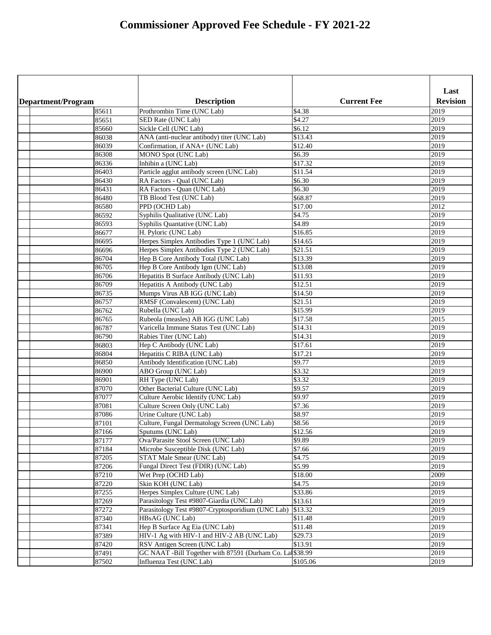|                    |                                                           |                    | Last            |
|--------------------|-----------------------------------------------------------|--------------------|-----------------|
| Department/Program | <b>Description</b>                                        | <b>Current Fee</b> | <b>Revision</b> |
| 85611              | Prothrombin Time (UNC Lab)                                | \$4.38             | 2019            |
| 85651              | SED Rate (UNC Lab)                                        | \$4.27             | 2019            |
| 85660              | Sickle Cell (UNC Lab)                                     | \$6.12             | 2019            |
| 86038              | ANA (anti-nuclear antibody) titer (UNC Lab)               | \$13.43            | 2019            |
| 86039              | Confirmation, if ANA+ (UNC Lab)                           | \$12.40            | 2019            |
| 86308              | <b>MONO Spot (UNC Lab)</b>                                | \$6.39             | 2019            |
| 86336              | Inhibin a (UNC Lab)                                       | $\sqrt{$17.32}$    | 2019            |
| 86403              | Particle agglut antibody screen (UNC Lab)                 | \$11.54            | 2019            |
| 86430              | RA Factors - Qual (UNC Lab)                               | \$6.30             | 2019            |
| 86431              | RA Factors - Quan (UNC Lab)                               | \$6.30             | 2019            |
| 86480              | TB Blood Test (UNC Lab)                                   | \$68.87            | 2019            |
| 86580              | PPD (OCHD Lab)                                            | \$17.00            | 2012            |
| 86592              | Syphilis Qualitative (UNC Lab)                            | \$4.75             | 2019            |
| 86593              | Syphilis Quantative (UNC Lab)                             | \$4.89             | 2019            |
| 86677              | H. Pyloric (UNC Lab)                                      | \$16.85            | 2019            |
| 86695              | Herpes Simplex Antibodies Type 1 (UNC Lab)                | \$14.65            | 2019            |
| 86696              | Herpes Simplex Antibodies Type 2 (UNC Lab)                | \$21.51            | 2019            |
| 86704              | Hep B Core Antibody Total (UNC Lab)                       | \$13.39            | 2019            |
| 86705              | Hep B Core Antibody Igm (UNC Lab)                         | \$13.08            | 2019            |
| 86706              | Hepatitis B Surface Antibody (UNC Lab)                    | \$11.93            | 2019            |
| 86709              | Hepatitis A Antibody (UNC Lab)                            | \$12.51            | 2019            |
| 86735              | Mumps Virus AB IGG (UNC Lab)                              | \$14.50            | 2019            |
| 86757              | RMSF (Convalescent) (UNC Lab)                             | \$21.51            | 2019            |
| 86762              | Rubella (UNC Lab)                                         | \$15.99            | 2019            |
| 86765              | Rubeola (measles) AB IGG (UNC Lab)                        | \$17.58            | 2015            |
| 86787              | Varicella Immune Status Test (UNC Lab)                    | \$14.31            | 2019            |
| 86790              | Rabies Titer (UNC Lab)                                    | \$14.31            | 2019            |
| 86803              | Hep C Antibody (UNC Lab)                                  | \$17.61            | 2019            |
| 86804              | Hepatitis C RIBA (UNC Lab)                                | \$17.21            | 2019            |
| 86850              | Antibody Identification (UNC Lab)                         | \$9.77             | 2019            |
| 86900              | ABO Group (UNC Lab)                                       | \$3.32             | 2019            |
| 86901              | RH Type (UNC Lab)                                         | \$3.32             | 2019            |
| 87070              | Other Bacterial Culture (UNC Lab)                         | \$9.57             | 2019            |
| 87077              | Culture Aerobic Identify (UNC Lab)                        | \$9.97             | 2019            |
| 87081              | Culture Screen Only (UNC Lab)                             | \$7.36             | 2019            |
| 87086              | Urine Culture (UNC Lab)                                   | \$8.97             | 2019            |
| 87101              | Culture, Fungal Dermatology Screen (UNC Lab)              | \$8.56             | 2019            |
| 87166              | Sputums (UNC Lab)                                         | \$12.56            | 2019            |
| 87177              | Ova/Parasite Stool Screen (UNC Lab)                       | \$9.89             | 2019            |
| 87184              | Microbe Susceptible Disk (UNC Lab)                        | \$7.66             | 2019            |
| 87205              | STAT Male Smear (UNC Lab)                                 | \$4.75             | 2019            |
| 87206              | Fungal Direct Test (FDIR) (UNC Lab)                       | \$5.99             | 2019            |
| 87210              | Wet Prep (OCHD Lab)                                       | \$18.00            | 2009            |
| 87220              | Skin KOH (UNC Lab)                                        | \$4.75             | 2019            |
| 87255              | Herpes Simplex Culture (UNC Lab)                          | \$33.86            | 2019            |
| 87269              | Parasitology Test #9807-Giardia (UNC Lab)                 | \$13.61            | 2019            |
| 87272              | Parasitology Test #9807-Cryptosporidium (UNC Lab)         | \$13.32            | 2019            |
| 87340              | HBsAG (UNC Lab)                                           | \$11.48            | 2019            |
| 87341              | Hep B Surface Ag Eia (UNC Lab)                            | \$11.48            | 2019            |
| 87389              | HIV-1 Ag with HIV-1 and HIV-2 AB (UNC Lab)                | \$29.73            | 2019            |
| 87420              | RSV Antigen Screen (UNC Lab)                              | \$13.91            | 2019            |
| 87491              | GC NAAT -Bill Together with 87591 (Durham Co. La \$38.99) |                    | 2019            |
| 87502              | Influenza Test (UNC Lab)                                  | \$105.06           | 2019            |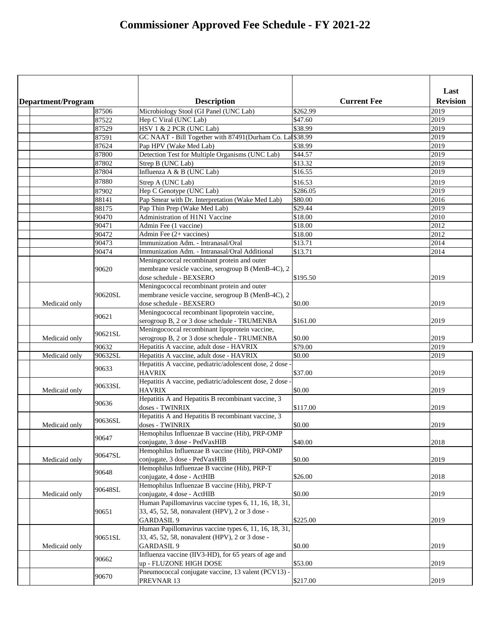| Department/Program |         | <b>Description</b>                                                        | <b>Current Fee</b> | Last<br><b>Revision</b> |
|--------------------|---------|---------------------------------------------------------------------------|--------------------|-------------------------|
|                    | 87506   | Microbiology Stool (GI Panel (UNC Lab)                                    | \$262.99           | 2019                    |
|                    | 87522   | Hep C Viral (UNC Lab)                                                     | \$47.60            | 2019                    |
|                    | 87529   | HSV 1 & 2 PCR (UNC Lab)                                                   | \$38.99            | 2019                    |
|                    | 87591   | GC NAAT - Bill Together with 87491(Durham Co. La \$38.99                  |                    | 2019                    |
|                    | 87624   | Pap HPV (Wake Med Lab)                                                    | \$38.99            | 2019                    |
|                    | 87800   | Detection Test for Multiple Organisms (UNC Lab)                           | \$44.57            | 2019                    |
|                    | 87802   | Strep B (UNC Lab)                                                         | \$13.32            | 2019                    |
|                    | 87804   | Influenza A & B (UNC Lab)                                                 | \$16.55            | 2019                    |
|                    | 87880   | Strep A (UNC Lab)                                                         | \$16.53            | 2019                    |
|                    | 87902   | Hep C Genotype (UNC Lab)                                                  | \$286.05           | 2019                    |
|                    | 88141   | Pap Smear with Dr. Interpretation (Wake Med Lab)                          | \$80.00            | 2016                    |
|                    | 88175   | Pap Thin Prep (Wake Med Lab)                                              | \$29.44            | 2019                    |
|                    | 90470   | Administration of H1N1 Vaccine                                            | \$18.00            | 2010                    |
|                    | 90471   | Admin Fee (1 vaccine)                                                     | \$18.00            | 2012                    |
|                    | 90472   | Admin Fee $(2 + \text{vaccines})$                                         | \$18.00            | 2012                    |
|                    | 90473   | Immunization Adm. - Intranasal/Oral                                       | \$13.71            |                         |
|                    |         |                                                                           |                    | 2014                    |
|                    | 90474   | Immunization Adm. - Intranasal/Oral Additional                            | \$13.71            | 2014                    |
|                    |         | Meningococcal recombinant protein and outer                               |                    |                         |
|                    | 90620   | membrane vesicle vaccine, serogroup B (MenB-4C), 2                        |                    |                         |
|                    |         | dose schedule - BEXSERO                                                   | \$195.50           | 2019                    |
|                    |         | Meningococcal recombinant protein and outer                               |                    |                         |
|                    | 90620SL | membrane vesicle vaccine, serogroup B (MenB-4C), 2                        |                    |                         |
| Medicaid only      |         | dose schedule - BEXSERO                                                   | \$0.00             | 2019                    |
|                    | 90621   | Meningococcal recombinant lipoprotein vaccine,                            |                    |                         |
|                    |         | serogroup B, 2 or 3 dose schedule - TRUMENBA                              | \$161.00           | 2019                    |
|                    | 90621SL | Meningococcal recombinant lipoprotein vaccine,                            |                    |                         |
| Medicaid only      |         | serogroup B, 2 or 3 dose schedule - TRUMENBA                              | \$0.00             | 2019                    |
|                    | 90632   | Hepatitis A vaccine, adult dose - HAVRIX                                  | \$79.00            | 2019                    |
| Medicaid only      | 90632SL | Hepatitis A vaccine, adult dose - HAVRIX                                  | \$0.00             | 2019                    |
|                    | 90633   | Hepatitis A vaccine, pediatric/adolescent dose, 2 dose -<br><b>HAVRIX</b> | \$37.00            | 2019                    |
|                    |         | Hepatitis A vaccine, pediatric/adolescent dose, 2 dose -                  |                    |                         |
| Medicaid only      | 90633SL | <b>HAVRIX</b>                                                             | \$0.00             | 2019                    |
|                    | 90636   | Hepatitis A and Hepatitis B recombinant vaccine, 3<br>doses - TWINRIX     | \$117.00           | 2019                    |
|                    |         | Hepatitis A and Hepatitis B recombinant vaccine, 3                        |                    |                         |
| Medicaid only      | 90636SL | doses - TWINRIX                                                           | \$0.00             | 2019                    |
|                    |         | Hemophilus Influenzae B vaccine (Hib), PRP-OMP                            |                    |                         |
|                    | 90647   | conjugate, 3 dose - PedVaxHIB                                             | \$40.00            | 2018                    |
|                    |         | Hemophilus Influenzae B vaccine (Hib), PRP-OMP                            |                    |                         |
| Medicaid only      | 90647SL | conjugate, 3 dose - PedVaxHIB                                             | \$0.00             | 2019                    |
|                    |         | Hemophilus Influenzae B vaccine (Hib), PRP-T                              |                    |                         |
|                    | 90648   | conjugate, 4 dose - ActHIB                                                | \$26.00            | 2018                    |
|                    |         | Hemophilus Influenzae B vaccine (Hib), PRP-T                              |                    |                         |
| Medicaid only      | 90648SL | conjugate, 4 dose - ActHIB                                                | \$0.00             | 2019                    |
|                    |         | Human Papillomavirus vaccine types 6, 11, 16, 18, 31,                     |                    |                         |
|                    | 90651   | 33, 45, 52, 58, nonavalent (HPV), 2 or 3 dose -                           |                    |                         |
|                    |         | <b>GARDASIL 9</b>                                                         | \$225.00           | 2019                    |
|                    |         | Human Papillomavirus vaccine types 6, 11, 16, 18, 31,                     |                    |                         |
|                    |         |                                                                           |                    |                         |
|                    | 90651SL | 33, 45, 52, 58, nonavalent (HPV), 2 or 3 dose -                           |                    |                         |
| Medicaid only      |         | <b>GARDASIL 9</b>                                                         | \$0.00             | 2019                    |
|                    | 90662   | Influenza vaccine (IIV3-HD), for 65 years of age and                      |                    |                         |
|                    |         | up - FLUZONE HIGH DOSE                                                    | \$53.00            | 2019                    |
|                    | 90670   | Pneumococcal conjugate vaccine, 13 valent (PCV13) -                       |                    |                         |
|                    |         | PREVNAR 13                                                                | \$217.00           | 2019                    |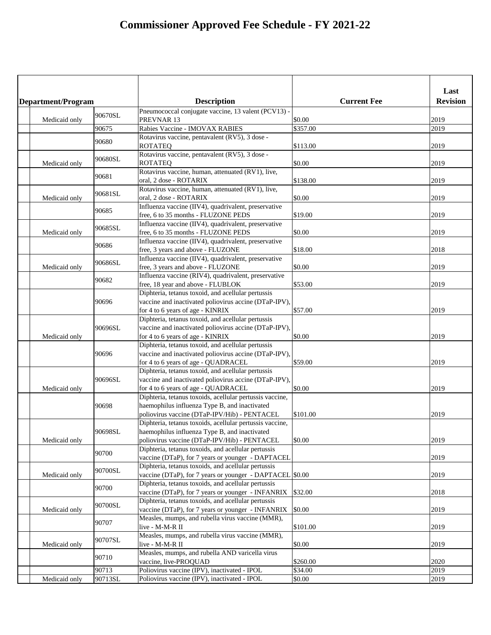|  |                    |         |                                                                                                           |                    | Last            |
|--|--------------------|---------|-----------------------------------------------------------------------------------------------------------|--------------------|-----------------|
|  | Department/Program |         | <b>Description</b>                                                                                        | <b>Current Fee</b> | <b>Revision</b> |
|  |                    | 90670SL | Pneumococcal conjugate vaccine, 13 valent (PCV13) -                                                       |                    |                 |
|  | Medicaid only      | 90675   | PREVNAR 13<br>Rabies Vaccine - IMOVAX RABIES                                                              | \$0.00<br>\$357.00 | 2019<br>2019    |
|  |                    |         | Rotavirus vaccine, pentavalent (RV5), 3 dose -                                                            |                    |                 |
|  |                    | 90680   | <b>ROTATEQ</b>                                                                                            | \$113.00           | 2019            |
|  |                    |         | Rotavirus vaccine, pentavalent (RV5), 3 dose -                                                            |                    |                 |
|  | Medicaid only      | 90680SL | <b>ROTATEQ</b>                                                                                            | \$0.00             | 2019            |
|  |                    | 90681   | Rotavirus vaccine, human, attenuated (RV1), live,                                                         |                    |                 |
|  |                    |         | oral, 2 dose - ROTARIX                                                                                    | \$138.00           | 2019            |
|  |                    | 90681SL | Rotavirus vaccine, human, attenuated (RV1), live,                                                         |                    |                 |
|  | Medicaid only      |         | oral, 2 dose - ROTARIX                                                                                    | \$0.00             | 2019            |
|  |                    | 90685   | Influenza vaccine (IIV4), quadrivalent, preservative                                                      |                    | 2019            |
|  |                    |         | free, 6 to 35 months - FLUZONE PEDS<br>Influenza vaccine (IIV4), quadrivalent, preservative               | \$19.00            |                 |
|  | Medicaid only      | 90685SL | free, 6 to 35 months - FLUZONE PEDS                                                                       | \$0.00             | 2019            |
|  |                    |         | Influenza vaccine (IIV4), quadrivalent, preservative                                                      |                    |                 |
|  |                    | 90686   | free, 3 years and above - FLUZONE                                                                         | \$18.00            | 2018            |
|  |                    |         | Influenza vaccine (IIV4), quadrivalent, preservative                                                      |                    |                 |
|  | Medicaid only      | 90686SL | free, 3 years and above - FLUZONE                                                                         | \$0.00             | 2019            |
|  |                    | 90682   | Influenza vaccine (RIV4), quadrivalent, preservative                                                      |                    |                 |
|  |                    |         | free, 18 year and above - FLUBLOK                                                                         | \$53.00            | 2019            |
|  |                    |         | Diphteria, tetanus toxoid, and acellular pertussis                                                        |                    |                 |
|  |                    | 90696   | vaccine and inactivated poliovirus accine (DTaP-IPV),                                                     |                    |                 |
|  |                    |         | for 4 to 6 years of age - KINRIX<br>Diphteria, tetanus toxoid, and acellular pertussis                    | \$57.00            | 2019            |
|  |                    | 90696SL | vaccine and inactivated poliovirus accine (DTaP-IPV),                                                     |                    |                 |
|  | Medicaid only      |         | for 4 to 6 years of age - KINRIX                                                                          | \$0.00             | 2019            |
|  |                    |         | Diphteria, tetanus toxoid, and acellular pertussis                                                        |                    |                 |
|  |                    | 90696   | vaccine and inactivated poliovirus accine (DTaP-IPV),                                                     |                    |                 |
|  |                    |         | for 4 to 6 years of age - QUADRACEL                                                                       | \$59.00            | 2019            |
|  |                    |         | Diphteria, tetanus toxoid, and acellular pertussis                                                        |                    |                 |
|  |                    | 90696SL | vaccine and inactivated poliovirus accine (DTaP-IPV),                                                     |                    |                 |
|  | Medicaid only      |         | for 4 to 6 years of age - QUADRACEL                                                                       | \$0.00             | 2019            |
|  |                    |         | Diphteria, tetanus toxoids, acellular pertussis vaccine,                                                  |                    |                 |
|  |                    | 90698   | haemophilus influenza Type B, and inactivated                                                             |                    |                 |
|  |                    |         | poliovirus vaccine (DTaP-IPV/Hib) - PENTACEL                                                              | \$101.00           | 2019            |
|  |                    | 90698SL | Diphteria, tetanus toxoids, acellular pertussis vaccine,<br>haemophilus influenza Type B, and inactivated |                    |                 |
|  | Medicaid only      |         | poliovirus vaccine (DTaP-IPV/Hib) - PENTACEL                                                              | \$0.00             | 2019            |
|  |                    |         | Diphteria, tetanus toxoids, and acellular pertussis                                                       |                    |                 |
|  |                    | 90700   | vaccine (DTaP), for 7 years or younger - DAPTACEL                                                         |                    | 2019            |
|  |                    |         | Diphteria, tetanus toxoids, and acellular pertussis                                                       |                    |                 |
|  | Medicaid only      | 90700SL | vaccine (DTaP), for 7 years or younger - DAPTACEL \$0.00                                                  |                    | 2019            |
|  |                    | 90700   | Diphteria, tetanus toxoids, and acellular pertussis                                                       |                    |                 |
|  |                    |         | vaccine (DTaP), for 7 years or younger - INFANRIX                                                         | \$32.00            | 2018            |
|  |                    | 90700SL | Diphteria, tetanus toxoids, and acellular pertussis                                                       |                    |                 |
|  | Medicaid only      |         | vaccine (DTaP), for 7 years or younger - INFANRIX                                                         | \$0.00             | 2019            |
|  |                    | 90707   | Measles, mumps, and rubella virus vaccine (MMR),                                                          |                    |                 |
|  |                    |         | live - M-M-R II<br>Measles, mumps, and rubella virus vaccine (MMR),                                       | \$101.00           | 2019            |
|  | Medicaid only      | 90707SL | live - M-M-R II                                                                                           | \$0.00             | 2019            |
|  |                    |         | Measles, mumps, and rubella AND varicella virus                                                           |                    |                 |
|  |                    | 90710   | vaccine, live-PROQUAD                                                                                     | \$260.00           | 2020            |
|  |                    | 90713   | Poliovirus vaccine (IPV), inactivated - IPOL                                                              | \$34.00            | 2019            |
|  | Medicaid only      | 90713SL | Poliovirus vaccine (IPV), inactivated - IPOL                                                              | \$0.00             | 2019            |
|  |                    |         |                                                                                                           |                    |                 |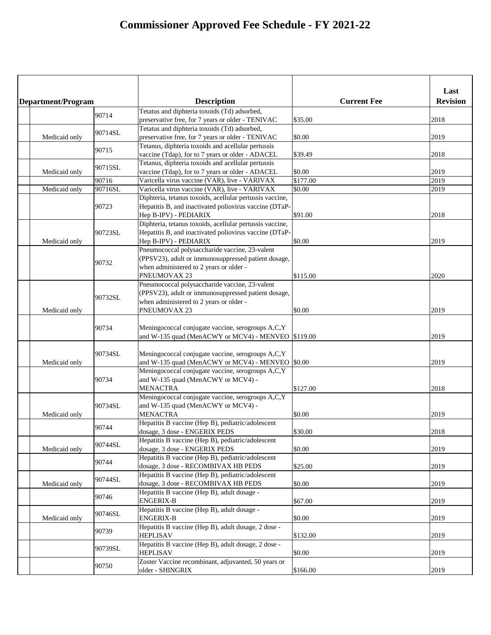|                    |         |                                                                                                                |                    | Last            |
|--------------------|---------|----------------------------------------------------------------------------------------------------------------|--------------------|-----------------|
| Department/Program |         | <b>Description</b>                                                                                             | <b>Current Fee</b> | <b>Revision</b> |
|                    | 90714   | Tetatus and diphteria toxoids (Td) adsorbed,                                                                   |                    |                 |
|                    |         | preservative free, for 7 years or older - TENIVAC                                                              | \$35.00            | 2018            |
|                    | 90714SL | Tetatus and diphteria toxoids (Td) adsorbed,                                                                   |                    |                 |
| Medicaid only      |         | preservative free, for 7 years or older - TENIVAC                                                              | \$0.00             | 2019            |
|                    | 90715   | Tetanus, diphteria toxoids and acellular pertussis                                                             |                    |                 |
|                    |         | vaccine (Tdap), for to 7 years or older - ADACEL                                                               | \$39.49            | 2018            |
|                    | 90715SL | Tetanus, diphteria toxoids and acellular pertussis                                                             |                    |                 |
| Medicaid only      |         | vaccine (Tdap), for to 7 years or older - ADACEL                                                               | \$0.00             | 2019            |
|                    | 90716   | Varicella virus vaccine (VAR), live - VARIVAX                                                                  | \$177.00           | 2019            |
| Medicaid only      | 90716SL | Varicella virus vaccine (VAR), live - VARIVAX                                                                  | \$0.00             | 2019            |
|                    |         | Diphteria, tetanus toxoids, acellular pertussis vaccine,                                                       |                    |                 |
|                    | 90723   | Hepatitis B, and inactivated poliovirus vaccine (DTaP-                                                         |                    |                 |
|                    |         | Hep B-IPV) - PEDIARIX                                                                                          | \$91.00            | 2018            |
|                    |         | Diphteria, tetanus toxoids, acellular pertussis vaccine,                                                       |                    |                 |
|                    | 90723SL | Hepatitis B, and inactivated poliovirus vaccine (DTaP-                                                         |                    |                 |
| Medicaid only      |         | Hep B-IPV) - PEDIARIX                                                                                          | \$0.00             | 2019            |
|                    |         | Pneumococcal polysaccharide vaccine, 23-valent                                                                 |                    |                 |
|                    | 90732   | (PPSV23), adult or immunosuppressed patient dosage,                                                            |                    |                 |
|                    |         | when administered to 2 years or older -                                                                        |                    |                 |
|                    |         | PNEUMOVAX 23                                                                                                   | \$115.00           | 2020            |
|                    |         | Pneumococcal polysaccharide vaccine, 23-valent                                                                 |                    |                 |
|                    | 90732SL | (PPSV23), adult or immunosuppressed patient dosage,                                                            |                    |                 |
|                    |         | when administered to 2 years or older -                                                                        |                    |                 |
| Medicaid only      |         | PNEUMOVAX 23                                                                                                   | \$0.00             | 2019            |
|                    | 90734   | Meningococcal conjugate vaccine, serogroups A,C,Y<br>and W-135 quad (MenACWY or MCV4) - MENVEO $\mid$ \$119.00 |                    | 2019            |
| Medicaid only      | 90734SL | Meningococcal conjugate vaccine, serogroups A,C,Y<br>and W-135 quad (MenACWY or MCV4) - MENVEO $\mid$ \$0.00   |                    | 2019            |
|                    | 90734   | Meningococcal conjugate vaccine, serogroups A,C,Y<br>and W-135 quad (MenACWY or MCV4) -<br><b>MENACTRA</b>     | \$127.00           | 2018            |
|                    | 90734SL | Meningococcal conjugate vaccine, serogroups A,C,Y<br>and W-135 quad (MenACWY or MCV4) -                        |                    |                 |
| Medicaid only      |         | <b>MENACTRA</b>                                                                                                | \$0.00             | 2019            |
|                    | 90744   | Hepatitis B vaccine (Hep B), pediatric/adolescent<br>dosage, 3 dose - ENGERIX PEDS                             | \$30.00            | 2018            |
|                    | 90744SL | Hepatitis B vaccine (Hep B), pediatric/adolescent                                                              |                    |                 |
| Medicaid only      |         | dosage, 3 dose - ENGERIX PEDS                                                                                  | \$0.00             | 2019            |
|                    | 90744   | Hepatitis B vaccine (Hep B), pediatric/adolescent                                                              |                    |                 |
|                    |         | dosage, 3 dose - RECOMBIVAX HB PEDS                                                                            | \$25.00            | 2019            |
|                    | 90744SL | Hepatitis B vaccine (Hep B), pediatric/adolescent                                                              |                    |                 |
| Medicaid only      |         | dosage, 3 dose - RECOMBIVAX HB PEDS                                                                            | \$0.00             | 2019            |
|                    | 90746   | Hepatitis B vaccine (Hep B), adult dosage -                                                                    |                    |                 |
|                    |         | <b>ENGERIX-B</b>                                                                                               | \$67.00            | 2019            |
|                    | 90746SL | Hepatitis B vaccine (Hep B), adult dosage -<br><b>ENGERIX-B</b>                                                |                    |                 |
| Medicaid only      |         |                                                                                                                | \$0.00             | 2019            |
|                    | 90739   | Hepatitis B vaccine (Hep B), adult dosage, 2 dose -<br><b>HEPLISAV</b>                                         | \$132.00           | 2019            |
|                    | 90739SL | Hepatitis B vaccine (Hep B), adult dosage, 2 dose -                                                            |                    |                 |
|                    |         | <b>HEPLISAV</b>                                                                                                | \$0.00             | 2019            |
|                    | 90750   | Zoster Vaccine recombinant, adjuvanted, 50 years or                                                            |                    |                 |
|                    |         | older - SHINGRIX                                                                                               | \$166.00           | 2019            |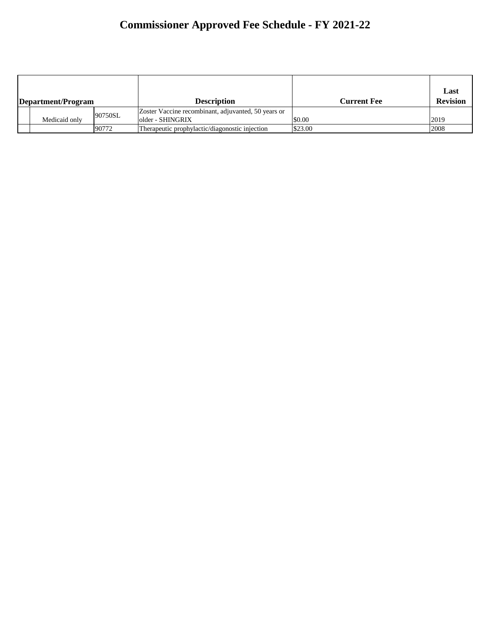| Department/Program |               |         | <b>Description</b>                                                      | <b>Current Fee</b> | Last<br><b>Revision</b> |
|--------------------|---------------|---------|-------------------------------------------------------------------------|--------------------|-------------------------|
|                    | Medicaid only | 90750SL | Zoster Vaccine recombinant, adjuvanted, 50 years or<br>older - SHINGRIX | \$0.00             | 2019                    |
|                    |               | 90772   | 'Therapeutic prophylactic/diagonostic injection                         | \$23.00            | 2008                    |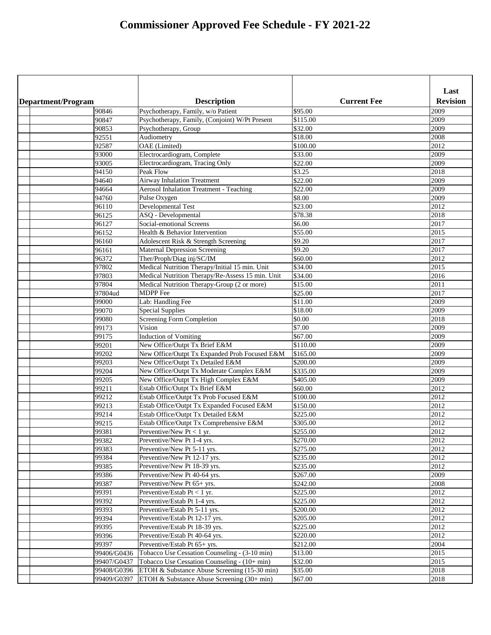|                    |                                                                             |                               | Last            |
|--------------------|-----------------------------------------------------------------------------|-------------------------------|-----------------|
| Department/Program | <b>Description</b>                                                          | <b>Current Fee</b>            | <b>Revision</b> |
| 90846              | Psychotherapy, Family, w/o Patient                                          | \$95.00                       | 2009            |
| 90847              | Psychotherapy, Family, (Conjoint) W/Pt Present                              | \$115.00                      | 2009            |
| 90853              | Psychotherapy, Group                                                        | \$32.00                       | 2009            |
| 92551              | Audiometry                                                                  | \$18.00                       | 2008            |
| 92587              | OAE (Limited)                                                               | \$100.00                      | 2012            |
| 93000              | Electrocardiogram, Complete                                                 | \$33.00                       | 2009            |
| 93005              | Electrocardiogram, Tracing Only                                             | $\overline{$}22.00$           | 2009            |
| 94150              | Peak Flow                                                                   | \$3.25                        | 2018            |
| 94640              | <b>Airway Inhalation Treatment</b>                                          | \$22.00                       | 2009            |
| 94664              | <b>Aerosol Inhalation Treatment - Teaching</b>                              | \$22.00                       | 2009            |
| 94760              | Pulse Oxygen                                                                | \$8.00                        | 2009            |
| 96110              | Developmental Test                                                          | \$23.00                       | 2012            |
| 96125              | ASQ - Developmental<br>Social-emotional Screens                             | \$78.38                       | 2018            |
| 96127              | Health & Behavior Intervention                                              | \$6.00                        | 2017<br>2015    |
| 96152              |                                                                             | $\overline{$}55.00$<br>\$9.20 |                 |
| 96160              | Adolescent Risk & Strength Screening                                        | \$9.20                        | 2017<br>2017    |
| 96161<br>96372     | <b>Maternal Depression Screening</b>                                        | \$60.00                       | 2012            |
| 97802              | Ther/Proph/Diag inj/SC/IM<br>Medical Nutrition Therapy/Initial 15 min. Unit | \$34.00                       | 2015            |
| 97803              | Medical Nutrition Therapy/Re-Assess 15 min. Unit                            | \$34.00                       | 2016            |
| 97804              | Medical Nutrition Therapy-Group (2 or more)                                 | \$15.00                       | 2011            |
| 97804ud            | <b>MDPP</b> Fee                                                             | \$25.00                       | 2017            |
| 99000              | Lab: Handling Fee                                                           | $\sqrt{311.00}$               | 2009            |
| 99070              | <b>Special Supplies</b>                                                     | \$18.00                       | 2009            |
| 99080              | <b>Screening Form Completion</b>                                            | \$0.00                        | 2018            |
| 99173              | Vision                                                                      | \$7.00                        | 2009            |
| 99175              | <b>Induction of Vomiting</b>                                                | \$67.00                       | 2009            |
| 99201              | New Office/Outpt Tx Brief E&M                                               | \$110.00                      | 2009            |
| 99202              | New Office/Outpt Tx Expanded Prob Focused E&M                               | \$165.00                      | 2009            |
| 99203              | New Office/Outpt Tx Detailed E&M                                            | \$200.00                      | 2009            |
| 99204              | New Office/Outpt Tx Moderate Complex E&M                                    | \$335.00                      | 2009            |
| 99205              | New Office/Outpt Tx High Complex E&M                                        | \$405.00                      | 2009            |
| 99211              | Estab Offic/Outpt Tx Brief E&M                                              | \$60.00                       | 2012            |
| 99212              | Estab Office/Outpt Tx Prob Focused E&M                                      | \$100.00                      | 2012            |
| 99213              | Estab Office/Outpt Tx Expanded Focused E&M                                  | \$150.00                      | 2012            |
| 99214              | Estab Office/Outpt Tx Detailed E&M                                          | \$225.00                      | 2012            |
| 99215              | Estab Office/Outpt Tx Comprehensive E&M                                     | \$305.00                      | 2012            |
| 99381              | Preventive/New Pt $< 1$ yr.                                                 | \$255.00                      | 2012            |
| 99382              | Preventive/New Pt 1-4 yrs.                                                  | \$270.00                      | 2012            |
| 99383              | Preventive/New Pt 5-11 yrs.                                                 | \$275.00                      | 2012            |
| 99384              | Preventive/New Pt 12-17 yrs.                                                | $\overline{$}235.00$          | 2012            |
| 99385              | Preventive/New Pt 18-39 yrs.                                                | \$235.00                      | 2012            |
| 99386              | Preventive/New Pt 40-64 yrs.                                                | \$267.00                      | 2009            |
| 99387              | Preventive/New Pt 65+ yrs.                                                  | \$242.00                      | 2008            |
| 99391              | Preventive/Estab Pt $< 1$ yr.                                               | $\overline{$}225.00$          | 2012            |
| 99392              | Preventive/Estab Pt 1-4 yrs.                                                | \$225.00                      | 2012            |
| 99393              | Preventive/Estab Pt 5-11 yrs.                                               | \$200.00                      | 2012            |
| 99394              | Preventive/Estab Pt 12-17 yrs.                                              | \$205.00                      | 2012            |
| 99395              | Preventive/Estab Pt 18-39 yrs.                                              | $\overline{$}225.00$          | 2012            |
| 99396              | Preventive/Estab Pt 40-64 yrs.                                              | \$220.00                      | 2012            |
| 99397              | Preventive/Estab Pt 65+ yrs.                                                | \$212.00                      | 2004            |
| 99406/G0436        | Tobacco Use Cessation Counseling - (3-10 min)                               | \$13.00                       | 2015            |
| 99407/G0437        | Tobacco Use Cessation Counseling - (10+ min)                                | \$32.00                       | 2015            |
| 99408/G0396        | ETOH & Substance Abuse Screening (15-30 min)                                | \$35.00                       | 2018            |
| 99409/G0397        | ETOH & Substance Abuse Screening (30+ min)                                  | \$67.00                       | 2018            |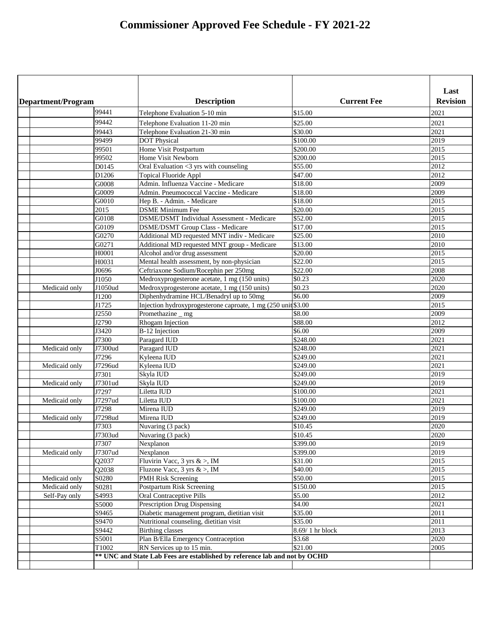| Department/Program |         | <b>Description</b>                                                         | <b>Current Fee</b> | Last<br><b>Revision</b> |
|--------------------|---------|----------------------------------------------------------------------------|--------------------|-------------------------|
|                    | 99441   | Telephone Evaluation 5-10 min                                              | \$15.00            | 2021                    |
|                    | 99442   | Telephone Evaluation 11-20 min                                             | \$25.00            | 2021                    |
|                    | 99443   | Telephone Evaluation 21-30 min                                             | \$30.00            | 2021                    |
|                    | 99499   | <b>DOT</b> Physical                                                        | \$100.00           | 2019                    |
|                    | 99501   | Home Visit Postpartum                                                      | \$200.00           | 2015                    |
|                    | 99502   | <b>Home Visit Newborn</b>                                                  | \$200.00           | 2015                    |
|                    | D0145   | Oral Evaluation <3 yrs with counseling                                     | \$55.00            | 2012                    |
|                    | D1206   | <b>Topical Fluoride Appl</b>                                               | \$47.00            | 2012                    |
|                    | G0008   | Admin. Influenza Vaccine - Medicare                                        | \$18.00            | 2009                    |
|                    | G0009   | Admin. Pneumococcal Vaccine - Medicare                                     | \$18.00            | 2009                    |
|                    | G0010   | Hep B. - Admin. - Medicare                                                 | \$18.00            | 2015                    |
|                    | 2015    | <b>DSME</b> Minimum Fee                                                    | \$20.00            | 2015                    |
|                    | G0108   | <b>DSME/DSMT</b> Individual Assessment - Medicare                          | \$52.00            | 2015                    |
|                    | G0109   | <b>DSME/DSMT Group Class - Medicare</b>                                    | \$17.00            | 2015                    |
|                    | G0270   | Additional MD requested MNT indiv - Medicare                               | \$25.00            | 2010                    |
|                    | G0271   | Additional MD requested MNT group - Medicare                               | \$13.00            | 2010                    |
|                    | H0001   | Alcohol and/or drug assessment                                             | \$20.00            | 2015                    |
|                    | H0031   | Mental health assessment, by non-physician                                 | \$22.00            | 2015                    |
|                    | J0696   | Ceftriaxone Sodium/Rocephin per 250mg                                      | \$22.00            | 2008                    |
|                    | J1050   | Medroxyprogesterone acetate, 1 mg (150 units)                              | \$0.23             | 2020                    |
| Medicaid only      | J1050ud | Medroxyprogesterone acetate, 1 mg (150 units)                              | \$0.23             | 2020                    |
|                    | J1200   | Diphenhydramine HCL/Benadryl up to 50mg                                    | \$6.00             | 2009                    |
|                    | J1725   | Injection hydroxyprogesterone caproate, 1 mg (250 unit \$3.00              |                    | 2015                    |
|                    | J2550   | Promethazine _ mg                                                          | \$8.00             | 2009                    |
|                    | J2790   | Rhogam Injection                                                           | \$88.00            | 2012                    |
|                    | J3420   | B-12 Injection                                                             | \$6.00             | 2009                    |
|                    | J7300   | Paragard IUD                                                               | \$248.00           | 2021                    |
| Medicaid only      | J7300ud | Paragard IUD                                                               | \$248.00           | 2021                    |
|                    | J7296   | Kyleena IUD                                                                | \$249.00           | 2021                    |
| Medicaid only      | J7296ud | Kyleena IUD                                                                | \$249.00           | 2021                    |
|                    | J7301   | Skyla IUD                                                                  | \$249.00           | 2019                    |
| Medicaid only      | J7301ud | Skyla IUD                                                                  | \$249.00           | 2019                    |
|                    | J7297   | Liletta IUD                                                                | \$100.00           | 2021                    |
| Medicaid only      | J7297ud | Liletta IUD                                                                | \$100.00           | 2021                    |
|                    | J7298   | Mirena IUD                                                                 | \$249.00           | 2019                    |
| Medicaid only      | J7298ud | Mirena IUD                                                                 | \$249.00           | 2019                    |
|                    | J7303   | Nuvaring (3 pack)                                                          | \$10.45            | 2020                    |
|                    | J7303ud | Nuvaring (3 pack)                                                          | \$10.45            | 2020                    |
|                    | J7307   | Nexplanon                                                                  | \$399.00           | 2019                    |
| Medicaid only      | J7307ud | Nexplanon                                                                  | \$399.00           | 2019                    |
|                    | Q2037   | Fluvirin Vacc, $3 \text{ yrs } \>$ , IM                                    | \$31.00            | 2015                    |
|                    | Q2038   | Fluzone Vacc, $3 \text{ yrs } \>$ , IM                                     | \$40.00            | 2015                    |
| Medicaid only      | S0280   | <b>PMH Risk Screening</b>                                                  | \$50.00            | 2015                    |
| Medicaid only      | S0281   | <b>Postpartum Risk Screening</b>                                           | \$150.00           | 2015                    |
| Self-Pay only      | S4993   | Oral Contraceptive Pills                                                   | \$5.00             | 2012                    |
|                    | S5000   | Prescription Drug Dispensing                                               | \$4.00             | 2021                    |
|                    | S9465   | Diabetic management program, dietitian visit                               | \$35.00            | 2011                    |
|                    | S9470   | Nutritional counseling, dietitian visit                                    | \$35.00            | 2011                    |
|                    | S9442   | <b>Birthing classes</b>                                                    | 8.69/1 hr block    | 2013                    |
|                    | S5001   | Plan B/Ella Emergency Contraception                                        | \$3.68             | 2020                    |
|                    | T1002   | RN Services up to 15 min.                                                  | \$21.00            | 2005                    |
|                    |         | ** UNC and State Lab Fees are established by reference lab and not by OCHD |                    |                         |
|                    |         |                                                                            |                    |                         |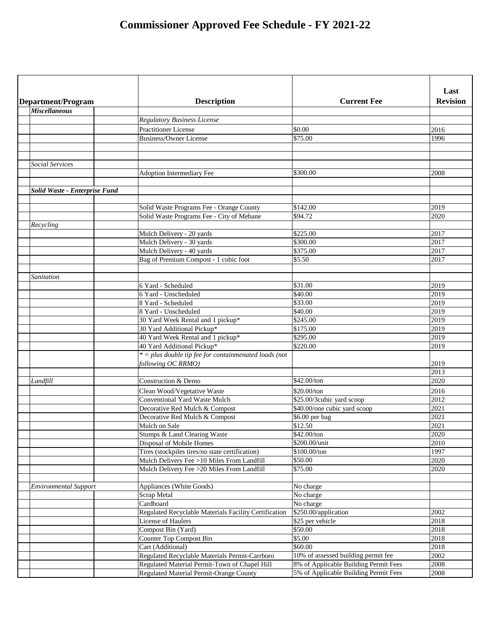|                               |                                                          |                                       | Last            |
|-------------------------------|----------------------------------------------------------|---------------------------------------|-----------------|
| Department/Program            | <b>Description</b>                                       | <b>Current Fee</b>                    | <b>Revision</b> |
| <b>Miscellaneous</b>          |                                                          |                                       |                 |
|                               | <b>Regulatory Business License</b>                       |                                       |                 |
|                               | <b>Practitioner License</b>                              | \$0.00                                | 2016            |
|                               | Business/Owner License                                   | \$75.00                               | 1996            |
|                               |                                                          |                                       |                 |
|                               |                                                          |                                       |                 |
| <b>Social Services</b>        |                                                          |                                       |                 |
|                               | Adoption Intermediary Fee                                | \$300.00                              | 2008            |
|                               |                                                          |                                       |                 |
| Solid Waste - Enterprise Fund |                                                          |                                       |                 |
|                               |                                                          |                                       |                 |
|                               | Solid Waste Programs Fee - Orange County                 | \$142.00                              | 2019            |
|                               | Solid Waste Programs Fee - City of Mebane                | \$94.72                               | 2020            |
| Recycling                     |                                                          |                                       |                 |
|                               | Mulch Delivery - 20 yards                                | \$225.00                              | 2017            |
|                               | Mulch Delivery - 30 yards                                | \$300.00                              | 2017            |
|                               | Mulch Delivery - 40 yards                                | \$375.00                              | 2017            |
|                               | Bag of Premium Compost - 1 cubic foot                    | \$5.50                                | 2017            |
|                               |                                                          |                                       |                 |
| Sanitation                    |                                                          |                                       |                 |
|                               | 6 Yard - Scheduled                                       | \$31.00                               | 2019            |
|                               | 6 Yard - Unscheduled                                     | \$40.00                               | 2019            |
|                               | 8 Yard - Scheduled                                       | \$33.00                               | 2019            |
|                               | 8 Yard - Unscheduled                                     | \$40.00                               | 2019            |
|                               | 30 Yard Week Rental and 1 pickup*                        | \$245.00                              | 2019            |
|                               | 30 Yard Additional Pickup*                               | \$175.00                              | 2019            |
|                               | 40 Yard Week Rental and 1 pickup*                        | \$295.00                              | 2019            |
|                               | 40 Yard Additional Pickup*                               | \$220.00                              | 2019            |
|                               | $* = plus double tip fee for contained loads (not$       |                                       |                 |
|                               | following OC RRMO)                                       |                                       | 2019<br>2013    |
|                               | <b>Construction &amp; Demo</b>                           | \$42.00/ton                           | 2020            |
| Landfill                      |                                                          |                                       |                 |
|                               | Clean Wood/Vegetative Waste                              | \$20.00/ton                           | 2016            |
|                               | <b>Conventional Yard Waste Mulch</b>                     | \$25.00/3cubic yard scoop             | 2012            |
|                               | Decorative Red Mulch & Compost                           | \$40.00/one cubic yard scoop          | 2021            |
|                               | Decorative Red Mulch & Compost                           | \$6.00 per bag                        | 2021            |
|                               | Mulch on Sale                                            | \$12.50                               | 2021            |
|                               | Stumps & Land Clearing Waste<br>Disposal of Mobile Homes | \$42.00/ton<br>\$200.00/unit          | 2020<br>2010    |
|                               | Tires (stockpiles tires/no state certification)          | \$100.00/ton                          | 1997            |
|                               | Mulch Delivery Fee >10 Miles From Landfill               | \$50.00                               | 2020            |
|                               | Mulch Delivery Fee > 20 Miles From Landfill              | \$75.00                               | 2020            |
|                               |                                                          |                                       |                 |
| <b>Environmental Support</b>  | Appliances (White Goods)                                 | No charge                             |                 |
|                               | <b>Scrap Metal</b>                                       | No charge                             |                 |
|                               | Cardboard                                                | No charge                             |                 |
|                               | Regulated Recyclable Materials Facility Certification    | \$250.00/application                  | 2002            |
|                               | <b>License of Haulers</b>                                | \$25 per vehicle                      | 2018            |
|                               | Compost Bin (Yard)                                       | \$50.00                               | 2018            |
|                               | <b>Counter Top Compost Bin</b>                           | \$5.00                                | 2018            |
|                               | Cart (Additional)                                        | \$60.00                               | 2018            |
|                               | Regulated Recyclable Materials Permit-Carrboro           | 10% of assessed building permit fee   | 2002            |
|                               | Regulated Material Permit-Town of Chapel Hill            | 8% of Applicable Building Permit Fees | 2008            |
|                               | Regulated Material Permit-Orange County                  | 5% of Applicable Building Permit Fees | 2008            |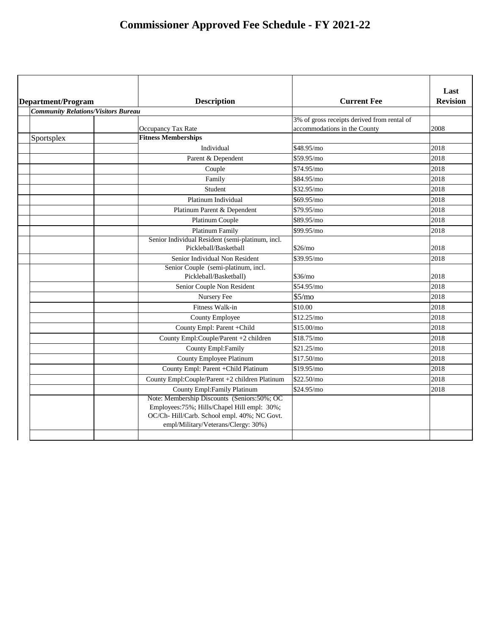| Department/Program                         | <b>Description</b>                                                                                                                                                                | <b>Current Fee</b>                                                          | Last<br><b>Revision</b> |
|--------------------------------------------|-----------------------------------------------------------------------------------------------------------------------------------------------------------------------------------|-----------------------------------------------------------------------------|-------------------------|
| <b>Community Relations/Visitors Bureau</b> |                                                                                                                                                                                   |                                                                             |                         |
|                                            | Occupancy Tax Rate                                                                                                                                                                | 3% of gross receipts derived from rental of<br>accommodations in the County | 2008                    |
| Sportsplex                                 | <b>Fitness Memberships</b>                                                                                                                                                        |                                                                             |                         |
|                                            | Individual                                                                                                                                                                        | \$48.95/mo                                                                  | 2018                    |
|                                            | Parent & Dependent                                                                                                                                                                | \$59.95/mo                                                                  | 2018                    |
|                                            | Couple                                                                                                                                                                            | \$74.95/mo                                                                  | 2018                    |
|                                            | Family                                                                                                                                                                            | \$84.95/mo                                                                  | 2018                    |
|                                            | Student                                                                                                                                                                           | \$32.95/mo                                                                  | 2018                    |
|                                            | Platinum Individual                                                                                                                                                               | \$69.95/mo                                                                  | 2018                    |
|                                            | Platinum Parent & Dependent                                                                                                                                                       | \$79.95/mo                                                                  | 2018                    |
|                                            | <b>Platinum Couple</b>                                                                                                                                                            | \$89.95/mo                                                                  | 2018                    |
|                                            | <b>Platinum Family</b>                                                                                                                                                            | \$99.95/mo                                                                  | 2018                    |
|                                            | Senior Individual Resident (semi-platinum, incl.<br>Pickleball/Basketball                                                                                                         | \$26/mo                                                                     | 2018                    |
|                                            | Senior Individual Non Resident                                                                                                                                                    | \$39.95/mo                                                                  | 2018                    |
|                                            | Senior Couple (semi-platinum, incl.                                                                                                                                               |                                                                             |                         |
|                                            | Pickleball/Basketball)                                                                                                                                                            | \$36/mo                                                                     | 2018                    |
|                                            | Senior Couple Non Resident                                                                                                                                                        | \$54.95/mo                                                                  | 2018                    |
|                                            | Nursery Fee                                                                                                                                                                       | \$5/mo                                                                      | 2018                    |
|                                            | Fitness Walk-in                                                                                                                                                                   | \$10.00                                                                     | 2018                    |
|                                            | <b>County Employee</b>                                                                                                                                                            | \$12.25/mo                                                                  | 2018                    |
|                                            | County Empl: Parent + Child                                                                                                                                                       | \$15.00/mo                                                                  | 2018                    |
|                                            | County Empl:Couple/Parent +2 children                                                                                                                                             | \$18.75/mo                                                                  | 2018                    |
|                                            | County Empl: Family                                                                                                                                                               | \$21.25/mol                                                                 | 2018                    |
|                                            | <b>County Employee Platinum</b>                                                                                                                                                   | \$17.50/mo                                                                  | 2018                    |
|                                            | County Empl: Parent + Child Platinum                                                                                                                                              | \$19.95/mo                                                                  | 2018                    |
|                                            | County Empl:Couple/Parent +2 children Platinum                                                                                                                                    | \$22.50/mo                                                                  | 2018                    |
|                                            | <b>County Empl: Family Platinum</b>                                                                                                                                               | \$24.95/mo                                                                  | 2018                    |
|                                            | Note: Membership Discounts (Seniors:50%; OC<br>Employees: 75%; Hills/Chapel Hill empl: 30%;<br>OC/Ch-Hill/Carb. School empl. 40%; NC Govt.<br>empl/Military/Veterans/Clergy: 30%) |                                                                             |                         |
|                                            |                                                                                                                                                                                   |                                                                             |                         |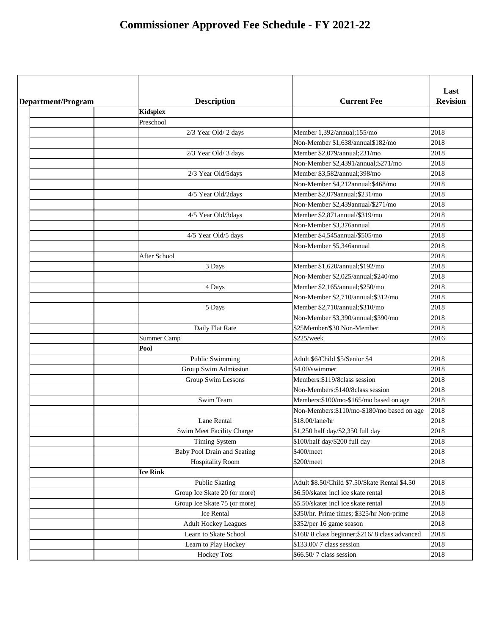| <b>Revision</b><br><b>Description</b><br><b>Current Fee</b><br>Department/Program<br><b>Kidsplex</b><br>Preschool<br>2018<br>2/3 Year Old/ 2 days<br>Member 1,392/annual;155/mo<br>2018<br>Non-Member \$1,638/annual\$182/mo<br>2018<br>Member \$2,079/annual;231/mo<br>2/3 Year Old/ 3 days<br>2018<br>Non-Member \$2,4391/annual;\$271/mo<br>2018<br>Member \$3,582/annual;398/mo<br>2/3 Year Old/5days<br>2018<br>Non-Member \$4,212annual;\$468/mo<br>2018<br>Member \$2,079annual;\$231/mo<br>4/5 Year Old/2days<br>Non-Member \$2,439annual/\$271/mo<br>2018<br>Member \$2,871annual/\$319/mo<br>2018<br>4/5 Year Old/3days<br>2018<br>Non-Member \$3,376annual<br>Member \$4,545annual/\$505/mo<br>2018<br>4/5 Year Old/5 days<br>Non-Member \$5,346annual<br>2018<br>2018<br><b>After School</b><br>Member \$1,620/annual;\$192/mo<br>2018<br>3 Days<br>2018<br>Non-Member \$2,025/annual;\$240/mo<br>2018<br>4 Days<br>Member \$2,165/annual; \$250/mo<br>2018<br>Non-Member \$2,710/annual;\$312/mo<br>2018<br>5 Days<br>Member \$2,710/annual;\$310/mo<br>2018<br>Non-Member \$3,390/annual;\$390/mo<br>2018<br>Daily Flat Rate<br>\$25Member/\$30 Non-Member<br><b>Summer Camp</b><br>\$225/week<br>2016<br>Pool<br>2018<br>Public Swimming<br>Adult \$6/Child \$5/Senior \$4<br>2018<br>\$4.00/swimmer<br>Group Swim Admission<br>Members: \$119/8 class session<br>2018<br>Group Swim Lessons<br>Non-Members: \$140/8class session<br>2018<br>2018<br><b>Swim Team</b><br>Members: \$100/mo-\$165/mo based on age<br>2018<br>Non-Members: \$110/mo-\$180/mo based on age<br>2018<br>Lane Rental<br>\$18.00/lane/hr<br>\$1,250 half day/\$2,350 full day<br>2018<br>Swim Meet Facility Charge<br><b>Timing System</b><br>\$100/half day/\$200 full day<br>2018<br><b>Baby Pool Drain and Seating</b><br>\$400/meet<br>2018<br>2018<br><b>Hospitality Room</b><br>\$200/meet<br><b>Ice Rink</b><br>2018<br>Adult \$8.50/Child \$7.50/Skate Rental \$4.50<br><b>Public Skating</b><br>2018<br>Group Ice Skate 20 (or more)<br>\$6.50/skater incl ice skate rental<br>2018<br>Group Ice Skate 75 (or more)<br>\$5.50/skater incl ice skate rental<br>2018<br><b>Ice Rental</b><br>\$350/hr. Prime times; \$325/hr Non-prime<br>2018<br>\$352/per 16 game season<br><b>Adult Hockey Leagues</b><br>\$168/8 class beginner; \$216/8 class advanced<br>2018<br>Learn to Skate School<br>\$133.00/7 class session<br>2018<br>Learn to Play Hockey<br>2018<br><b>Hockey Tots</b><br>\$66.50/7 class session |  |  | Last |
|------------------------------------------------------------------------------------------------------------------------------------------------------------------------------------------------------------------------------------------------------------------------------------------------------------------------------------------------------------------------------------------------------------------------------------------------------------------------------------------------------------------------------------------------------------------------------------------------------------------------------------------------------------------------------------------------------------------------------------------------------------------------------------------------------------------------------------------------------------------------------------------------------------------------------------------------------------------------------------------------------------------------------------------------------------------------------------------------------------------------------------------------------------------------------------------------------------------------------------------------------------------------------------------------------------------------------------------------------------------------------------------------------------------------------------------------------------------------------------------------------------------------------------------------------------------------------------------------------------------------------------------------------------------------------------------------------------------------------------------------------------------------------------------------------------------------------------------------------------------------------------------------------------------------------------------------------------------------------------------------------------------------------------------------------------------------------------------------------------------------------------------------------------------------------------------------------------------------------------------------------------------------------------------------------------------------------------------------------------------------------------------------------------------------------------------------------------------------------------------------------------------|--|--|------|
|                                                                                                                                                                                                                                                                                                                                                                                                                                                                                                                                                                                                                                                                                                                                                                                                                                                                                                                                                                                                                                                                                                                                                                                                                                                                                                                                                                                                                                                                                                                                                                                                                                                                                                                                                                                                                                                                                                                                                                                                                                                                                                                                                                                                                                                                                                                                                                                                                                                                                                                  |  |  |      |
|                                                                                                                                                                                                                                                                                                                                                                                                                                                                                                                                                                                                                                                                                                                                                                                                                                                                                                                                                                                                                                                                                                                                                                                                                                                                                                                                                                                                                                                                                                                                                                                                                                                                                                                                                                                                                                                                                                                                                                                                                                                                                                                                                                                                                                                                                                                                                                                                                                                                                                                  |  |  |      |
|                                                                                                                                                                                                                                                                                                                                                                                                                                                                                                                                                                                                                                                                                                                                                                                                                                                                                                                                                                                                                                                                                                                                                                                                                                                                                                                                                                                                                                                                                                                                                                                                                                                                                                                                                                                                                                                                                                                                                                                                                                                                                                                                                                                                                                                                                                                                                                                                                                                                                                                  |  |  |      |
|                                                                                                                                                                                                                                                                                                                                                                                                                                                                                                                                                                                                                                                                                                                                                                                                                                                                                                                                                                                                                                                                                                                                                                                                                                                                                                                                                                                                                                                                                                                                                                                                                                                                                                                                                                                                                                                                                                                                                                                                                                                                                                                                                                                                                                                                                                                                                                                                                                                                                                                  |  |  |      |
|                                                                                                                                                                                                                                                                                                                                                                                                                                                                                                                                                                                                                                                                                                                                                                                                                                                                                                                                                                                                                                                                                                                                                                                                                                                                                                                                                                                                                                                                                                                                                                                                                                                                                                                                                                                                                                                                                                                                                                                                                                                                                                                                                                                                                                                                                                                                                                                                                                                                                                                  |  |  |      |
|                                                                                                                                                                                                                                                                                                                                                                                                                                                                                                                                                                                                                                                                                                                                                                                                                                                                                                                                                                                                                                                                                                                                                                                                                                                                                                                                                                                                                                                                                                                                                                                                                                                                                                                                                                                                                                                                                                                                                                                                                                                                                                                                                                                                                                                                                                                                                                                                                                                                                                                  |  |  |      |
|                                                                                                                                                                                                                                                                                                                                                                                                                                                                                                                                                                                                                                                                                                                                                                                                                                                                                                                                                                                                                                                                                                                                                                                                                                                                                                                                                                                                                                                                                                                                                                                                                                                                                                                                                                                                                                                                                                                                                                                                                                                                                                                                                                                                                                                                                                                                                                                                                                                                                                                  |  |  |      |
|                                                                                                                                                                                                                                                                                                                                                                                                                                                                                                                                                                                                                                                                                                                                                                                                                                                                                                                                                                                                                                                                                                                                                                                                                                                                                                                                                                                                                                                                                                                                                                                                                                                                                                                                                                                                                                                                                                                                                                                                                                                                                                                                                                                                                                                                                                                                                                                                                                                                                                                  |  |  |      |
|                                                                                                                                                                                                                                                                                                                                                                                                                                                                                                                                                                                                                                                                                                                                                                                                                                                                                                                                                                                                                                                                                                                                                                                                                                                                                                                                                                                                                                                                                                                                                                                                                                                                                                                                                                                                                                                                                                                                                                                                                                                                                                                                                                                                                                                                                                                                                                                                                                                                                                                  |  |  |      |
|                                                                                                                                                                                                                                                                                                                                                                                                                                                                                                                                                                                                                                                                                                                                                                                                                                                                                                                                                                                                                                                                                                                                                                                                                                                                                                                                                                                                                                                                                                                                                                                                                                                                                                                                                                                                                                                                                                                                                                                                                                                                                                                                                                                                                                                                                                                                                                                                                                                                                                                  |  |  |      |
|                                                                                                                                                                                                                                                                                                                                                                                                                                                                                                                                                                                                                                                                                                                                                                                                                                                                                                                                                                                                                                                                                                                                                                                                                                                                                                                                                                                                                                                                                                                                                                                                                                                                                                                                                                                                                                                                                                                                                                                                                                                                                                                                                                                                                                                                                                                                                                                                                                                                                                                  |  |  |      |
|                                                                                                                                                                                                                                                                                                                                                                                                                                                                                                                                                                                                                                                                                                                                                                                                                                                                                                                                                                                                                                                                                                                                                                                                                                                                                                                                                                                                                                                                                                                                                                                                                                                                                                                                                                                                                                                                                                                                                                                                                                                                                                                                                                                                                                                                                                                                                                                                                                                                                                                  |  |  |      |
|                                                                                                                                                                                                                                                                                                                                                                                                                                                                                                                                                                                                                                                                                                                                                                                                                                                                                                                                                                                                                                                                                                                                                                                                                                                                                                                                                                                                                                                                                                                                                                                                                                                                                                                                                                                                                                                                                                                                                                                                                                                                                                                                                                                                                                                                                                                                                                                                                                                                                                                  |  |  |      |
|                                                                                                                                                                                                                                                                                                                                                                                                                                                                                                                                                                                                                                                                                                                                                                                                                                                                                                                                                                                                                                                                                                                                                                                                                                                                                                                                                                                                                                                                                                                                                                                                                                                                                                                                                                                                                                                                                                                                                                                                                                                                                                                                                                                                                                                                                                                                                                                                                                                                                                                  |  |  |      |
|                                                                                                                                                                                                                                                                                                                                                                                                                                                                                                                                                                                                                                                                                                                                                                                                                                                                                                                                                                                                                                                                                                                                                                                                                                                                                                                                                                                                                                                                                                                                                                                                                                                                                                                                                                                                                                                                                                                                                                                                                                                                                                                                                                                                                                                                                                                                                                                                                                                                                                                  |  |  |      |
|                                                                                                                                                                                                                                                                                                                                                                                                                                                                                                                                                                                                                                                                                                                                                                                                                                                                                                                                                                                                                                                                                                                                                                                                                                                                                                                                                                                                                                                                                                                                                                                                                                                                                                                                                                                                                                                                                                                                                                                                                                                                                                                                                                                                                                                                                                                                                                                                                                                                                                                  |  |  |      |
|                                                                                                                                                                                                                                                                                                                                                                                                                                                                                                                                                                                                                                                                                                                                                                                                                                                                                                                                                                                                                                                                                                                                                                                                                                                                                                                                                                                                                                                                                                                                                                                                                                                                                                                                                                                                                                                                                                                                                                                                                                                                                                                                                                                                                                                                                                                                                                                                                                                                                                                  |  |  |      |
|                                                                                                                                                                                                                                                                                                                                                                                                                                                                                                                                                                                                                                                                                                                                                                                                                                                                                                                                                                                                                                                                                                                                                                                                                                                                                                                                                                                                                                                                                                                                                                                                                                                                                                                                                                                                                                                                                                                                                                                                                                                                                                                                                                                                                                                                                                                                                                                                                                                                                                                  |  |  |      |
|                                                                                                                                                                                                                                                                                                                                                                                                                                                                                                                                                                                                                                                                                                                                                                                                                                                                                                                                                                                                                                                                                                                                                                                                                                                                                                                                                                                                                                                                                                                                                                                                                                                                                                                                                                                                                                                                                                                                                                                                                                                                                                                                                                                                                                                                                                                                                                                                                                                                                                                  |  |  |      |
|                                                                                                                                                                                                                                                                                                                                                                                                                                                                                                                                                                                                                                                                                                                                                                                                                                                                                                                                                                                                                                                                                                                                                                                                                                                                                                                                                                                                                                                                                                                                                                                                                                                                                                                                                                                                                                                                                                                                                                                                                                                                                                                                                                                                                                                                                                                                                                                                                                                                                                                  |  |  |      |
|                                                                                                                                                                                                                                                                                                                                                                                                                                                                                                                                                                                                                                                                                                                                                                                                                                                                                                                                                                                                                                                                                                                                                                                                                                                                                                                                                                                                                                                                                                                                                                                                                                                                                                                                                                                                                                                                                                                                                                                                                                                                                                                                                                                                                                                                                                                                                                                                                                                                                                                  |  |  |      |
|                                                                                                                                                                                                                                                                                                                                                                                                                                                                                                                                                                                                                                                                                                                                                                                                                                                                                                                                                                                                                                                                                                                                                                                                                                                                                                                                                                                                                                                                                                                                                                                                                                                                                                                                                                                                                                                                                                                                                                                                                                                                                                                                                                                                                                                                                                                                                                                                                                                                                                                  |  |  |      |
|                                                                                                                                                                                                                                                                                                                                                                                                                                                                                                                                                                                                                                                                                                                                                                                                                                                                                                                                                                                                                                                                                                                                                                                                                                                                                                                                                                                                                                                                                                                                                                                                                                                                                                                                                                                                                                                                                                                                                                                                                                                                                                                                                                                                                                                                                                                                                                                                                                                                                                                  |  |  |      |
|                                                                                                                                                                                                                                                                                                                                                                                                                                                                                                                                                                                                                                                                                                                                                                                                                                                                                                                                                                                                                                                                                                                                                                                                                                                                                                                                                                                                                                                                                                                                                                                                                                                                                                                                                                                                                                                                                                                                                                                                                                                                                                                                                                                                                                                                                                                                                                                                                                                                                                                  |  |  |      |
|                                                                                                                                                                                                                                                                                                                                                                                                                                                                                                                                                                                                                                                                                                                                                                                                                                                                                                                                                                                                                                                                                                                                                                                                                                                                                                                                                                                                                                                                                                                                                                                                                                                                                                                                                                                                                                                                                                                                                                                                                                                                                                                                                                                                                                                                                                                                                                                                                                                                                                                  |  |  |      |
|                                                                                                                                                                                                                                                                                                                                                                                                                                                                                                                                                                                                                                                                                                                                                                                                                                                                                                                                                                                                                                                                                                                                                                                                                                                                                                                                                                                                                                                                                                                                                                                                                                                                                                                                                                                                                                                                                                                                                                                                                                                                                                                                                                                                                                                                                                                                                                                                                                                                                                                  |  |  |      |
|                                                                                                                                                                                                                                                                                                                                                                                                                                                                                                                                                                                                                                                                                                                                                                                                                                                                                                                                                                                                                                                                                                                                                                                                                                                                                                                                                                                                                                                                                                                                                                                                                                                                                                                                                                                                                                                                                                                                                                                                                                                                                                                                                                                                                                                                                                                                                                                                                                                                                                                  |  |  |      |
|                                                                                                                                                                                                                                                                                                                                                                                                                                                                                                                                                                                                                                                                                                                                                                                                                                                                                                                                                                                                                                                                                                                                                                                                                                                                                                                                                                                                                                                                                                                                                                                                                                                                                                                                                                                                                                                                                                                                                                                                                                                                                                                                                                                                                                                                                                                                                                                                                                                                                                                  |  |  |      |
|                                                                                                                                                                                                                                                                                                                                                                                                                                                                                                                                                                                                                                                                                                                                                                                                                                                                                                                                                                                                                                                                                                                                                                                                                                                                                                                                                                                                                                                                                                                                                                                                                                                                                                                                                                                                                                                                                                                                                                                                                                                                                                                                                                                                                                                                                                                                                                                                                                                                                                                  |  |  |      |
|                                                                                                                                                                                                                                                                                                                                                                                                                                                                                                                                                                                                                                                                                                                                                                                                                                                                                                                                                                                                                                                                                                                                                                                                                                                                                                                                                                                                                                                                                                                                                                                                                                                                                                                                                                                                                                                                                                                                                                                                                                                                                                                                                                                                                                                                                                                                                                                                                                                                                                                  |  |  |      |
|                                                                                                                                                                                                                                                                                                                                                                                                                                                                                                                                                                                                                                                                                                                                                                                                                                                                                                                                                                                                                                                                                                                                                                                                                                                                                                                                                                                                                                                                                                                                                                                                                                                                                                                                                                                                                                                                                                                                                                                                                                                                                                                                                                                                                                                                                                                                                                                                                                                                                                                  |  |  |      |
|                                                                                                                                                                                                                                                                                                                                                                                                                                                                                                                                                                                                                                                                                                                                                                                                                                                                                                                                                                                                                                                                                                                                                                                                                                                                                                                                                                                                                                                                                                                                                                                                                                                                                                                                                                                                                                                                                                                                                                                                                                                                                                                                                                                                                                                                                                                                                                                                                                                                                                                  |  |  |      |
|                                                                                                                                                                                                                                                                                                                                                                                                                                                                                                                                                                                                                                                                                                                                                                                                                                                                                                                                                                                                                                                                                                                                                                                                                                                                                                                                                                                                                                                                                                                                                                                                                                                                                                                                                                                                                                                                                                                                                                                                                                                                                                                                                                                                                                                                                                                                                                                                                                                                                                                  |  |  |      |
|                                                                                                                                                                                                                                                                                                                                                                                                                                                                                                                                                                                                                                                                                                                                                                                                                                                                                                                                                                                                                                                                                                                                                                                                                                                                                                                                                                                                                                                                                                                                                                                                                                                                                                                                                                                                                                                                                                                                                                                                                                                                                                                                                                                                                                                                                                                                                                                                                                                                                                                  |  |  |      |
|                                                                                                                                                                                                                                                                                                                                                                                                                                                                                                                                                                                                                                                                                                                                                                                                                                                                                                                                                                                                                                                                                                                                                                                                                                                                                                                                                                                                                                                                                                                                                                                                                                                                                                                                                                                                                                                                                                                                                                                                                                                                                                                                                                                                                                                                                                                                                                                                                                                                                                                  |  |  |      |
|                                                                                                                                                                                                                                                                                                                                                                                                                                                                                                                                                                                                                                                                                                                                                                                                                                                                                                                                                                                                                                                                                                                                                                                                                                                                                                                                                                                                                                                                                                                                                                                                                                                                                                                                                                                                                                                                                                                                                                                                                                                                                                                                                                                                                                                                                                                                                                                                                                                                                                                  |  |  |      |
|                                                                                                                                                                                                                                                                                                                                                                                                                                                                                                                                                                                                                                                                                                                                                                                                                                                                                                                                                                                                                                                                                                                                                                                                                                                                                                                                                                                                                                                                                                                                                                                                                                                                                                                                                                                                                                                                                                                                                                                                                                                                                                                                                                                                                                                                                                                                                                                                                                                                                                                  |  |  |      |
|                                                                                                                                                                                                                                                                                                                                                                                                                                                                                                                                                                                                                                                                                                                                                                                                                                                                                                                                                                                                                                                                                                                                                                                                                                                                                                                                                                                                                                                                                                                                                                                                                                                                                                                                                                                                                                                                                                                                                                                                                                                                                                                                                                                                                                                                                                                                                                                                                                                                                                                  |  |  |      |
|                                                                                                                                                                                                                                                                                                                                                                                                                                                                                                                                                                                                                                                                                                                                                                                                                                                                                                                                                                                                                                                                                                                                                                                                                                                                                                                                                                                                                                                                                                                                                                                                                                                                                                                                                                                                                                                                                                                                                                                                                                                                                                                                                                                                                                                                                                                                                                                                                                                                                                                  |  |  |      |
|                                                                                                                                                                                                                                                                                                                                                                                                                                                                                                                                                                                                                                                                                                                                                                                                                                                                                                                                                                                                                                                                                                                                                                                                                                                                                                                                                                                                                                                                                                                                                                                                                                                                                                                                                                                                                                                                                                                                                                                                                                                                                                                                                                                                                                                                                                                                                                                                                                                                                                                  |  |  |      |
|                                                                                                                                                                                                                                                                                                                                                                                                                                                                                                                                                                                                                                                                                                                                                                                                                                                                                                                                                                                                                                                                                                                                                                                                                                                                                                                                                                                                                                                                                                                                                                                                                                                                                                                                                                                                                                                                                                                                                                                                                                                                                                                                                                                                                                                                                                                                                                                                                                                                                                                  |  |  |      |
|                                                                                                                                                                                                                                                                                                                                                                                                                                                                                                                                                                                                                                                                                                                                                                                                                                                                                                                                                                                                                                                                                                                                                                                                                                                                                                                                                                                                                                                                                                                                                                                                                                                                                                                                                                                                                                                                                                                                                                                                                                                                                                                                                                                                                                                                                                                                                                                                                                                                                                                  |  |  |      |
|                                                                                                                                                                                                                                                                                                                                                                                                                                                                                                                                                                                                                                                                                                                                                                                                                                                                                                                                                                                                                                                                                                                                                                                                                                                                                                                                                                                                                                                                                                                                                                                                                                                                                                                                                                                                                                                                                                                                                                                                                                                                                                                                                                                                                                                                                                                                                                                                                                                                                                                  |  |  |      |
|                                                                                                                                                                                                                                                                                                                                                                                                                                                                                                                                                                                                                                                                                                                                                                                                                                                                                                                                                                                                                                                                                                                                                                                                                                                                                                                                                                                                                                                                                                                                                                                                                                                                                                                                                                                                                                                                                                                                                                                                                                                                                                                                                                                                                                                                                                                                                                                                                                                                                                                  |  |  |      |
|                                                                                                                                                                                                                                                                                                                                                                                                                                                                                                                                                                                                                                                                                                                                                                                                                                                                                                                                                                                                                                                                                                                                                                                                                                                                                                                                                                                                                                                                                                                                                                                                                                                                                                                                                                                                                                                                                                                                                                                                                                                                                                                                                                                                                                                                                                                                                                                                                                                                                                                  |  |  |      |